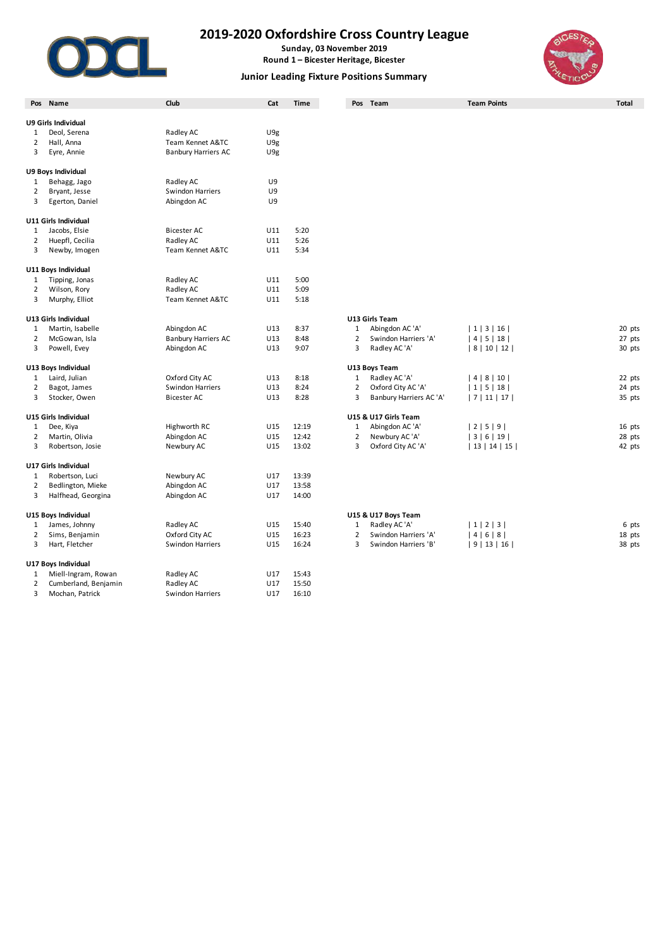

**Sunday, 03 November 2019 Round 1 – Bicester Heritage, Bicester**

### **Junior Leading Fixture Positions Summary**



|                | Pos Name                                 | Club                                 | Cat        | <b>Time</b>    |                | Pos Team                          | <b>Team Points</b> | <b>Total</b> |
|----------------|------------------------------------------|--------------------------------------|------------|----------------|----------------|-----------------------------------|--------------------|--------------|
|                | U9 Girls Individual                      |                                      |            |                |                |                                   |                    |              |
| 1              | Deol, Serena                             | Radley AC                            | U9g        |                |                |                                   |                    |              |
| 2              | Hall, Anna                               | Team Kennet A&TC                     | U9g        |                |                |                                   |                    |              |
| 3              | Eyre, Annie                              | <b>Banbury Harriers AC</b>           | U9g        |                |                |                                   |                    |              |
|                |                                          |                                      |            |                |                |                                   |                    |              |
|                | U9 Boys Individual                       |                                      |            |                |                |                                   |                    |              |
| 1              | Behagg, Jago                             | Radley AC                            | U9         |                |                |                                   |                    |              |
| 2              | Bryant, Jesse                            | <b>Swindon Harriers</b>              | U9         |                |                |                                   |                    |              |
| 3              | Egerton, Daniel                          | Abingdon AC                          | U9         |                |                |                                   |                    |              |
|                | U11 Girls Individual                     |                                      |            |                |                |                                   |                    |              |
| 1              | Jacobs, Elsie                            | <b>Bicester AC</b>                   | U11        | 5:20           |                |                                   |                    |              |
| 2              | Huepfl, Cecilia                          | Radley AC                            | U11        | 5:26           |                |                                   |                    |              |
| 3              | Newby, Imogen                            | Team Kennet A&TC                     | U11        | 5:34           |                |                                   |                    |              |
|                | U11 Boys Individual                      |                                      |            |                |                |                                   |                    |              |
| 1              | Tipping, Jonas                           | Radley AC                            | U11        | 5:00           |                |                                   |                    |              |
| 2              | Wilson, Rory                             | Radley AC                            | U11        | 5:09           |                |                                   |                    |              |
| 3              | Murphy, Elliot                           | Team Kennet A&TC                     | U11        | 5:18           |                |                                   |                    |              |
|                |                                          |                                      |            |                |                |                                   |                    |              |
| 1              | U13 Girls Individual<br>Martin, Isabelle | Abingdon AC                          | U13        | 8:37           | $\mathbf{1}$   | U13 Girls Team<br>Abingdon AC 'A' | 1 3 16             | 20 pts       |
| 2              | McGowan, Isla                            | <b>Banbury Harriers AC</b>           | U13        | 8:48           | $\overline{2}$ | Swindon Harriers 'A'              | 4 5 18             | 27 pts       |
| 3              | Powell, Evey                             | Abingdon AC                          | U13        | 9:07           | 3              | Radley AC 'A'                     | 8   10   12        | 30 pts       |
|                |                                          |                                      |            |                |                |                                   |                    |              |
|                | U13 Boys Individual                      |                                      |            |                |                | U13 Boys Team                     |                    |              |
| 1              | Laird, Julian                            | Oxford City AC                       | U13        | 8:18           | $\mathbf{1}$   | Radley AC 'A'                     | 4 8 10             | 22 pts       |
| 2              | Bagot, James                             | <b>Swindon Harriers</b>              | U13        | 8:24           | $\overline{2}$ | Oxford City AC 'A'                | 1 5 18             | 24 pts       |
| 3              | Stocker, Owen                            | <b>Bicester AC</b>                   | U13        | 8:28           | 3              | Banbury Harriers AC 'A'           | 7 11 17            | 35 pts       |
|                | U15 Girls Individual                     |                                      |            |                |                | U15 & U17 Girls Team              |                    |              |
| 1              | Dee, Kiya                                | Highworth RC                         | U15        | 12:19          | $\mathbf{1}$   | Abingdon AC 'A'                   | 2 5 9              | 16 pts       |
| 2              | Martin, Olivia                           | Abingdon AC                          | U15        | 12:42          | $\overline{2}$ | Newbury AC 'A'                    | 3 6 19             | 28 pts       |
| 3              | Robertson, Josie                         | Newbury AC                           | U15        | 13:02          | 3              | Oxford City AC 'A'                | 13 14 15           | 42 pts       |
|                | U17 Girls Individual                     |                                      |            |                |                |                                   |                    |              |
| $\mathbf{1}$   | Robertson, Luci                          | Newbury AC                           | U17        | 13:39          |                |                                   |                    |              |
| 2              | Bedlington, Mieke                        | Abingdon AC                          | U17        | 13:58          |                |                                   |                    |              |
| 3              | Halfhead, Georgina                       | Abingdon AC                          | U17        | 14:00          |                |                                   |                    |              |
|                | U15 Boys Individual                      |                                      |            |                |                | U15 & U17 Boys Team               |                    |              |
| 1              | James, Johnny                            | Radley AC                            | U15        | 15:40          | $\mathbf{1}$   | Radley AC 'A'                     | 1 2 3              | 6 pts        |
| $\overline{2}$ | Sims, Benjamin                           | Oxford City AC                       | U15        | 16:23          | $\overline{2}$ | Swindon Harriers 'A'              | 4 6 8              | 18 pts       |
| 3              | Hart, Fletcher                           | Swindon Harriers                     | U15        | 16:24          | 3              | Swindon Harriers 'B'              | 9 13 16            | 38 pts       |
|                |                                          |                                      |            |                |                |                                   |                    |              |
|                | U17 Boys Individual                      |                                      |            |                |                |                                   |                    |              |
| 1              | Miell-Ingram, Rowan                      | Radley AC                            | U17        | 15:43          |                |                                   |                    |              |
| 2<br>3         | Cumberland, Benjamin<br>Mochan, Patrick  | Radley AC<br><b>Swindon Harriers</b> | U17<br>U17 | 15:50<br>16:10 |                |                                   |                    |              |
|                |                                          |                                      |            |                |                |                                   |                    |              |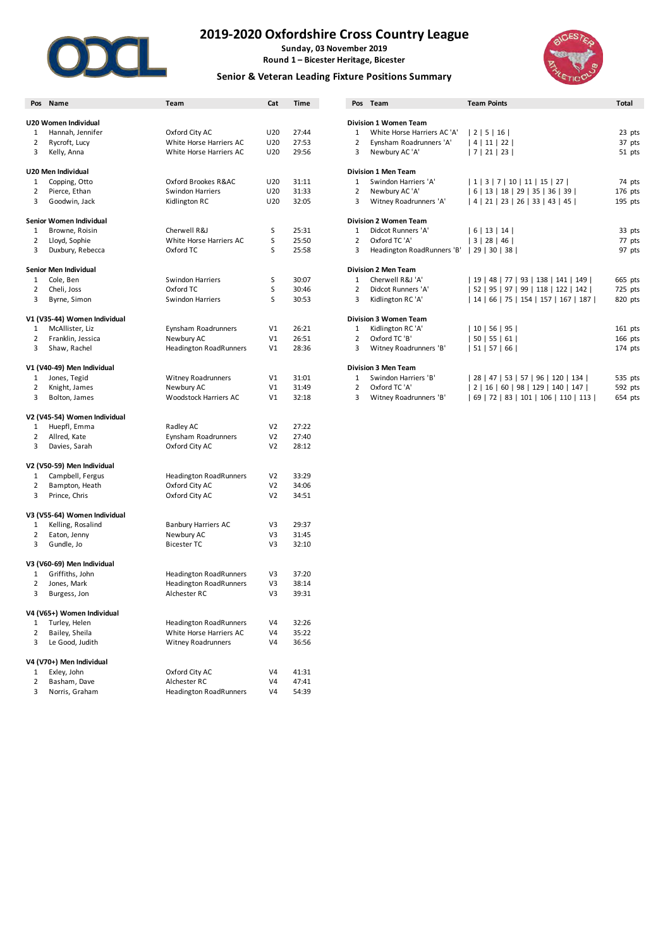

**Sunday, 03 November 2019 Round 1 – Bicester Heritage, Bicester**

### **Senior & Veteran Leading Fixture Positions Summary**



|                     | Pos Name                                       | Team                          | Cat                              | Time           |                | Pos Team                     | <b>Team Points</b>                   | <b>Total</b>     |
|---------------------|------------------------------------------------|-------------------------------|----------------------------------|----------------|----------------|------------------------------|--------------------------------------|------------------|
|                     | U20 Women Individual                           |                               |                                  |                |                | <b>Division 1 Women Team</b> |                                      |                  |
|                     |                                                | Oxford City AC                | U20                              | 27:44          | $\mathbf{1}$   | White Horse Harriers AC 'A'  | 2 5 16                               |                  |
| 1<br>2              | Hannah, Jennifer<br>Rycroft, Lucy              | White Horse Harriers AC       | U20                              | 27:53          | $\overline{2}$ | Eynsham Roadrunners 'A'      | 4 11 22                              | 23 pts<br>37 pts |
| 3                   | Kelly, Anna                                    | White Horse Harriers AC       | U20                              | 29:56          | 3              | Newbury AC 'A'               | 7 21 23                              | 51 pts           |
|                     |                                                |                               |                                  |                |                |                              |                                      |                  |
|                     | U20 Men Individual                             |                               |                                  |                |                | <b>Division 1 Men Team</b>   |                                      |                  |
| 1                   | Copping, Otto                                  | Oxford Brookes R&AC           | U20                              | 31:11          | $\mathbf{1}$   | Swindon Harriers 'A'         | 1 3 7 10 11 15 27                    | 74 pts           |
| 2                   | Pierce, Ethan                                  | Swindon Harriers              | U20                              | 31:33          | $\overline{2}$ | Newbury AC 'A'               | 6   13   18   29   35   36   39      | 176 pts          |
| 3                   | Goodwin, Jack                                  | Kidlington RC                 | U20                              | 32:05          | 3              | Witney Roadrunners 'A'       | 4   21   23   26   33   43   45      | 195 pts          |
|                     | Senior Women Individual                        |                               |                                  |                |                | <b>Division 2 Women Team</b> |                                      |                  |
| 1                   | Browne, Roisin                                 | Cherwell R&J                  | S                                | 25:31          | $\mathbf{1}$   | Didcot Runners 'A'           | 6 13 14                              | 33 pts           |
| $\overline{2}$      | Lloyd, Sophie                                  | White Horse Harriers AC       | $\sf S$                          | 25:50          | $\overline{2}$ | Oxford TC 'A'                | 3 28 46                              | 77 pts           |
| 3                   | Duxbury, Rebecca                               | Oxford TC                     | S                                | 25:58          | 3              | Headington RoadRunners 'B'   | 29 30 38                             | 97 pts           |
|                     |                                                |                               |                                  |                |                |                              |                                      |                  |
|                     | Senior Men Individual                          |                               |                                  |                |                | <b>Division 2 Men Team</b>   |                                      |                  |
| 1                   | Cole, Ben                                      | Swindon Harriers              | S                                | 30:07          | $\mathbf{1}$   | Cherwell R&J 'A'             | 19   48   77   93   138   141   149  | 665 pts          |
| $\overline{2}$      | Cheli, Joss                                    | Oxford TC                     | S                                | 30:46          | 2              | Didcot Runners 'A'           | 52   95   97   99   118   122   142  | 725 pts          |
| 3                   | Byrne, Simon                                   | <b>Swindon Harriers</b>       | S                                | 30:53          | 3              | Kidlington RC 'A'            | 14   66   75   154   157   167   187 | 820 pts          |
|                     | V1 (V35-44) Women Individual                   |                               |                                  |                |                | <b>Division 3 Women Team</b> |                                      |                  |
| 1                   | McAllister, Liz                                | Eynsham Roadrunners           | V1                               | 26:21          | $\mathbf{1}$   | Kidlington RC 'A'            | 10 56 95                             | $161$ pts        |
| 2                   | Franklin, Jessica                              | Newbury AC                    | V1                               | 26:51          | $\overline{2}$ | Oxford TC 'B'                | 50 55 61                             | 166 pts          |
| 3                   | Shaw, Rachel                                   | <b>Headington RoadRunners</b> | V1                               | 28:36          | 3              | Witney Roadrunners 'B'       | 51 57 66                             | 174 pts          |
|                     | V1 (V40-49) Men Individual                     |                               |                                  |                |                | <b>Division 3 Men Team</b>   |                                      |                  |
| 1                   | Jones, Tegid                                   | <b>Witney Roadrunners</b>     | V1                               | 31:01          | 1              | Swindon Harriers 'B'         | 28   47   53   57   96   120   134   | 535 pts          |
| 2                   | Knight, James                                  | Newbury AC                    | V1                               | 31:49          | $\overline{2}$ | Oxford TC 'A'                | 2   16   60   98   129   140   147   | 592 pts          |
| 3                   | Bolton, James                                  | Woodstock Harriers AC         | V1                               | 32:18          | 3              | Witney Roadrunners 'B'       | 69   72   83   101   106   110   113 | 654 pts          |
|                     | V2 (V45-54) Women Individual                   |                               |                                  |                |                |                              |                                      |                  |
| 1                   | Huepfl, Emma                                   | Radley AC                     | V <sub>2</sub>                   | 27:22          |                |                              |                                      |                  |
| $\overline{2}$      | Allred, Kate                                   | Eynsham Roadrunners           | V <sub>2</sub>                   | 27:40          |                |                              |                                      |                  |
| 3                   | Davies, Sarah                                  | Oxford City AC                | V <sub>2</sub>                   | 28:12          |                |                              |                                      |                  |
|                     |                                                |                               |                                  |                |                |                              |                                      |                  |
| 1                   | V2 (V50-59) Men Individual<br>Campbell, Fergus | <b>Headington RoadRunners</b> | V <sub>2</sub>                   | 33:29          |                |                              |                                      |                  |
|                     |                                                |                               |                                  |                |                |                              |                                      |                  |
| $\overline{2}$<br>3 | Bampton, Heath<br>Prince, Chris                | Oxford City AC                | V <sub>2</sub><br>V <sub>2</sub> | 34:06<br>34:51 |                |                              |                                      |                  |
|                     |                                                | Oxford City AC                |                                  |                |                |                              |                                      |                  |
|                     | V3 (V55-64) Women Individual                   |                               |                                  |                |                |                              |                                      |                  |
| 1                   | Kelling, Rosalind                              | <b>Banbury Harriers AC</b>    | V3                               | 29:37          |                |                              |                                      |                  |
| 2                   | Eaton, Jenny                                   | Newbury AC                    | V3                               | 31:45          |                |                              |                                      |                  |
| 3                   | Gundle, Jo                                     | <b>Bicester TC</b>            | V3                               | 32:10          |                |                              |                                      |                  |
|                     | V3 (V60-69) Men Individual                     |                               |                                  |                |                |                              |                                      |                  |
| 1                   | Griffiths, John                                | <b>Headington RoadRunners</b> | V3                               | 37:20          |                |                              |                                      |                  |
| 2                   | Jones, Mark                                    | <b>Headington RoadRunners</b> | V3                               | 38:14          |                |                              |                                      |                  |
| 3                   | Burgess, Jon                                   | Alchester RC                  | V3                               | 39:31          |                |                              |                                      |                  |
|                     | V4 (V65+) Women Individual                     |                               |                                  |                |                |                              |                                      |                  |
| 1                   | Turley, Helen                                  | <b>Headington RoadRunners</b> | V <sub>4</sub>                   | 32:26          |                |                              |                                      |                  |
| 2                   | Bailey, Sheila                                 | White Horse Harriers AC       | V <sub>4</sub>                   | 35:22          |                |                              |                                      |                  |
| 3                   | Le Good, Judith                                | <b>Witney Roadrunners</b>     | V4                               | 36:56          |                |                              |                                      |                  |
|                     | V4 (V70+) Men Individual                       |                               |                                  |                |                |                              |                                      |                  |
| 1                   | Exley, John                                    | Oxford City AC                | V <sub>4</sub>                   | 41:31          |                |                              |                                      |                  |
| 2                   | Basham, Dave                                   | Alchester RC                  | V <sub>4</sub>                   | 47:41          |                |                              |                                      |                  |
| 3                   | Norris, Graham                                 | <b>Headington RoadRunners</b> | V4                               | 54:39          |                |                              |                                      |                  |
|                     |                                                |                               |                                  |                |                |                              |                                      |                  |

|   | 'os Name                  | Team                          | Cat             | <b>Time</b> | Pos          | Team                         | <b>Team Points</b>                   | <b>Total</b> |
|---|---------------------------|-------------------------------|-----------------|-------------|--------------|------------------------------|--------------------------------------|--------------|
|   |                           |                               |                 |             |              |                              |                                      |              |
|   | 0 Women Individual        |                               |                 |             |              | <b>Division 1 Women Team</b> |                                      |              |
|   | Hannah, Jennifer          | Oxford City AC                | U <sub>20</sub> | 27:44       | $\mathbf{1}$ | White Horse Harriers AC 'A'  | 2   5   16                           | 23 pts       |
| 2 | Rycroft, Lucy             | White Horse Harriers AC       | U <sub>20</sub> | 27:53       | 2            | Eynsham Roadrunners 'A'      | 4   11   22                          | 37 pts       |
| 3 | Kelly, Anna               | White Horse Harriers AC       | U <sub>20</sub> | 29:56       | 3            | Newbury AC 'A'               | 7   21   23                          | 51 pts       |
|   | 0 Men Individual          |                               |                 |             |              | <b>Division 1 Men Team</b>   |                                      |              |
|   | Copping, Otto             | Oxford Brookes R&AC           | U <sub>20</sub> | 31:11       | 1            | Swindon Harriers 'A'         | 1   3   7   10   11   15   27        | 74 pts       |
|   | Pierce, Ethan             | <b>Swindon Harriers</b>       | U <sub>20</sub> | 31:33       | 2            | Newbury AC 'A'               | 6   13   18   29   35   36   39      | 176 pts      |
| 3 | Goodwin, Jack             | Kidlington RC                 | U <sub>20</sub> | 32:05       | 3            | Witney Roadrunners 'A'       | 4   21   23   26   33   43   45      | 195 pts      |
|   | nior Women Individual     |                               |                 |             |              | <b>Division 2 Women Team</b> |                                      |              |
| 1 | Browne, Roisin            | Cherwell R&J                  | S               | 25:31       | 1            | Didcot Runners 'A'           | 6   13   14                          | 33 pts       |
|   | Lloyd, Sophie             | White Horse Harriers AC       | S               | 25:50       | 2            | Oxford TC 'A'                | 3   28   46                          | 77 pts       |
| 3 | Duxbury, Rebecca          | Oxford TC                     | S               | 25:58       | 3            | Headington RoadRunners 'B'   | 29   30   38                         | 97 pts       |
|   | nior Men Individual       |                               |                 |             |              | <b>Division 2 Men Team</b>   |                                      |              |
|   | Cole, Ben                 | <b>Swindon Harriers</b>       | S               | 30:07       |              | Cherwell R&J 'A'             | 19   48   77   93   138   141   149  | 665 pts      |
|   | Cheli, Joss               | Oxford TC                     | S               | 30:46       | 2            | Didcot Runners 'A'           | 52   95   97   99   118   122   142  | 725 pts      |
| 3 | Byrne, Simon              | <b>Swindon Harriers</b>       | S               | 30:53       | 3            | Kidlington RC 'A'            | 14   66   75   154   157   167   187 | 820 pts      |
|   | (V35-44) Women Individual |                               |                 |             |              | <b>Division 3 Women Team</b> |                                      |              |
|   | McAllister, Liz           | Eynsham Roadrunners           | V <sub>1</sub>  | 26:21       |              | Kidlington RC 'A'            | $10$   56   95                       | 161 pts      |
|   | Franklin, Jessica         | Newbury AC                    | V <sub>1</sub>  | 26:51       |              | Oxford TC 'B'                | 50   55   61                         | 166 pts      |
| 3 | Shaw, Rachel              | <b>Headington RoadRunners</b> | V <sub>1</sub>  | 28:36       | 3            | Witney Roadrunners 'B'       | 51   57   66                         | $174$ pts    |
|   | (V40-49) Men Individual   |                               |                 |             |              | <b>Division 3 Men Team</b>   |                                      |              |
|   | Jones, Tegid              | <b>Witney Roadrunners</b>     | V <sub>1</sub>  | 31:01       |              | Swindon Harriers 'B'         | 28   47   53   57   96   120   134   | 535 pts      |

| Oxford TC 'A'          | 2 16 60 98 129 140 147               | 592 |
|------------------------|--------------------------------------|-----|
| Witney Roadrunners 'B' | 69   72   83   101   106   110   113 | 654 |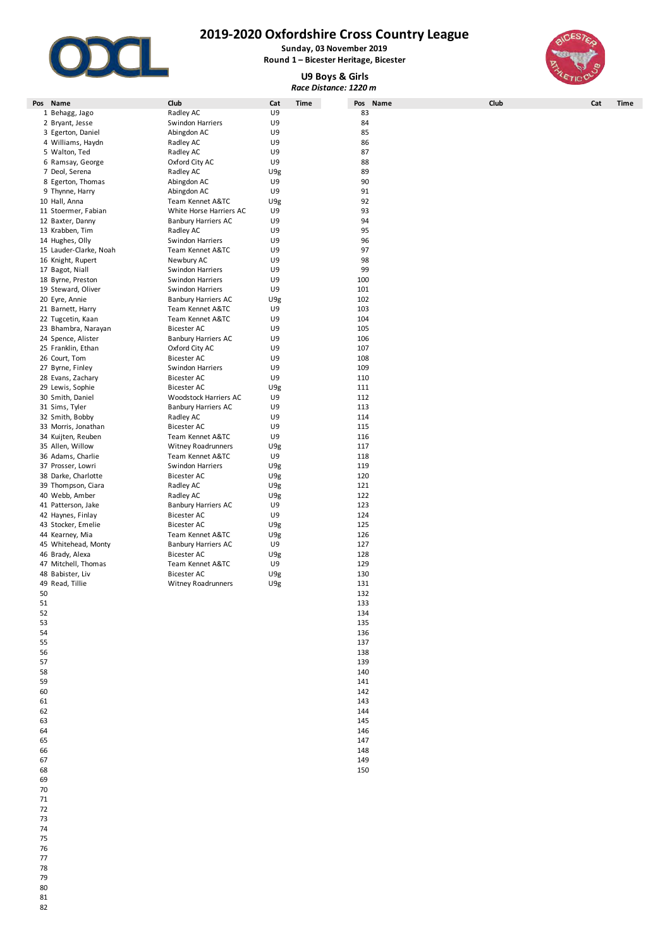

**Sunday, 03 November 2019 Round 1 – Bicester Heritage, Bicester**

**U9 Boys & Girls**

*Race Distance: 1220 m*



**Pos Name Club Cat Time Pos Name Club Cat Time** 1 Behagg, Jago **Radley AC** U9 83 2 Bryant, Jesse Swindon Harriers U9 84 3 Egerton, Daniel Abingdon AC U9 85 4 Williams, Haydn Radley AC U9 86 5 Walton, Ted **Radley AC 19 Matter Strategies AC 19 Matter** Strategies AT 87<br>19 Mamsay, George **Radley AC 19 Matter Strategies AC 19** Matter Strategies AT 88 6 Ramsay, George Oxford City AC U9 88 7 Deol, Serena **Radley AC** U9g 89 8 Egerton, Thomas **Abingdon AC** U9 90 9 Thynne, Harry **Abingdon AC** U9 31 10 Hall, Anna Team Kennet A&TC U9g 92 11 Stoermer, Fabian White Horse Harriers AC U9 93 12 Baxter, Danny Banbury Harriers AC U9 94 13 Krabben, Tim **13 Krabben, Tim 13 Krabben, Tim 13 Krabben, Tim 14 R**adley AC U9 95<br>14 Hughes, Olly Swindon Harriers U9 Swindon Harriers 15 Lauder-Clarke, Noah Team Kennet A&TC U9 97 16 Knight, Rupert Newbury AC<br>17 Bagot Niall New Swindon Harriers 17 Bagot, Niall **17 Bagot, Niall Swindon Harriers** U9 99<br>18 Byrne. Preston **National Swindon Harriers** U9 99 100 18 Byrne, Preston Swindon Harriers U9 19 Steward, Oliver Swindon Harriers U9 101 20 Eyre, Annie Banbury Harriers AC U9g 102 21 Barnett, Harry **Team Kennet A&TC** U9 103<br>22 Tugcetin, Kaan **Team Kennet A&TC** U9 104 22 Team Kennet A&TC UP 104<br>Bicester AC U9 105 23 Bhambra, Narayan Bicester AC U9 105 24 Spence, Alister Banbury Harriers AC U9 106 25 Franklin, Ethan Oxford City AC U9 107 26 Court, Tom 27 Byrne, Finley **Swindon Harriers** U9 109 28 Evans, Zachary Bicester AC U9 110 29 Lewis, Sophie **Bicester AC** U9g 111 30 Smith, Daniel Woodstock Harriers AC U9 112 31 Sims, Tyler Banbury Harriers AC U9 113 32 Smith, Bobby **Radley AC** U9 114<br>33 Morris, Jonathan **Bicester AC** U9 115 33 Morris, Jonathan **Bicester AC** U9 115<br>34 Kuijten, Reuben **Bicester ACT** U9 116 Team Kennet A&TC 35 Allen, Willow **Witney Roadrunners** U9g 117<br>36 Adams, Charlie **Network Clarent Communist Clarent Clarent Clarent Clarent Clarent Clarent Clarent Clarent Cla** 36 Team Kennet A&TC U9<br>3 Swindon Harriers U9g 37 Prosser, Lowri **Swindon Harriers** U9g 119<br>38 Darke. Charlotte **National State Bicester AC** U9g 120 38 Darke, Charlotte Bicester AC U9g 120 39 Thompson, Ciara **Radley AC** U9g U9g 121 40 Webb, Amber **Radley AC** U9g U9g 122 41 Patterson, Jake Banbury Harriers AC U9 123 42 Haynes, Finlay **124** Bicester AC 19<br>43 Stocker, Emelie 125 Bicester AC 199 U9g 125 43 Stocker, Emelie **125 Exercise Bicester AC** U9g 125<br>44 Kearney, Mia **126 Exercise 126 Team Kennet A&TC** U9g 126 126 Team Kennet A&TC U9g 126<br>Banbury Harriers AC U9 127 45 Whitehead, Monty **Alta Communist Banbury Harriers AC** 19<br>46 Brady, Alexa 128 **Bicester AC** 199<sub>8</sub> 128 46 Brady, Alexa Bicester AC U9g 128 47 Mitchell, Thomas Team Kennet A&TC U9<br>48 Babister Liv 196 48 Babister, Liv Bicester AC U9g 130 49 Read, Tillie **Witney Roadrunners** U9g 131  $50$  and  $132$  $51$  133  $52$  134  $53$  135  $54$  136  $55$  137  $56$  and  $138$  $57$  and  $139$ 

77  $\frac{1}{78}$ 79

80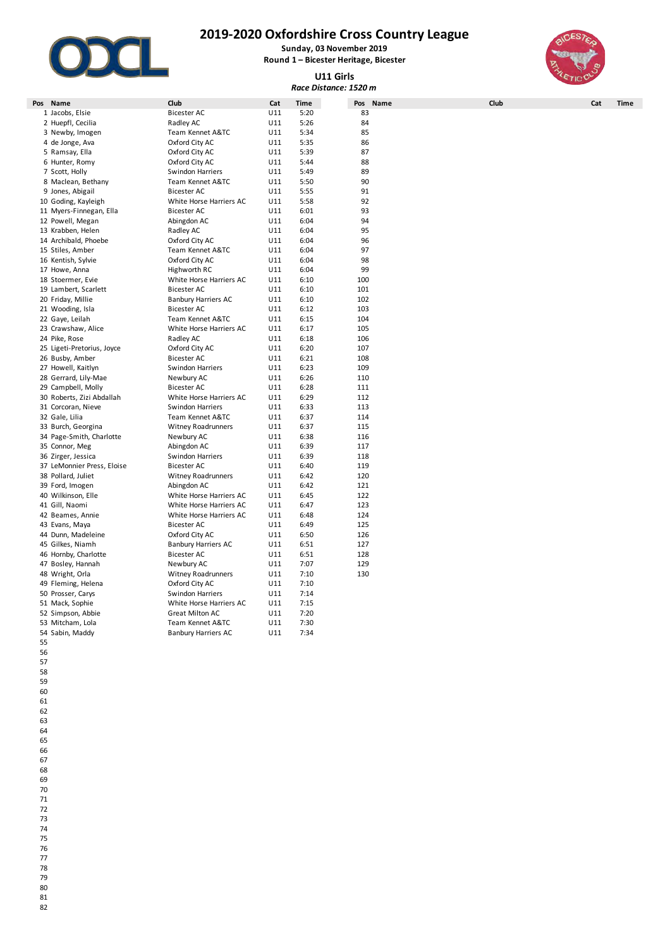

# **2019-2020 Oxfordshire Cross Country League**

**Sunday, 03 November 2019 Round 1 – Bicester Heritage, Bicester**

## **U11 Girls**



| Race Distance: 1520 m      |                            |     |             |            |      |     |      |  |  |  |  |
|----------------------------|----------------------------|-----|-------------|------------|------|-----|------|--|--|--|--|
| Pos Name                   | Club                       | Cat | <b>Time</b> | Pos Name   | Club | Cat | Time |  |  |  |  |
| 1 Jacobs, Elsie            | <b>Bicester AC</b>         | U11 | 5:20        | 83         |      |     |      |  |  |  |  |
| 2 Huepfl, Cecilia          | Radley AC                  | U11 | 5:26        | 84         |      |     |      |  |  |  |  |
| 3 Newby, Imogen            | Team Kennet A&TC           | U11 | 5:34        | 85         |      |     |      |  |  |  |  |
| 4 de Jonge, Ava            | Oxford City AC             | U11 | 5:35        | 86         |      |     |      |  |  |  |  |
| 5 Ramsay, Ella             | Oxford City AC             | U11 | 5:39        | 87         |      |     |      |  |  |  |  |
| 6 Hunter, Romy             | Oxford City AC             | U11 | 5:44        | 88         |      |     |      |  |  |  |  |
| 7 Scott, Holly             | Swindon Harriers           | U11 | 5:49        | 89         |      |     |      |  |  |  |  |
| 8 Maclean, Bethany         | Team Kennet A&TC           | U11 | 5:50        | 90         |      |     |      |  |  |  |  |
| 9 Jones, Abigail           | <b>Bicester AC</b>         | U11 | 5:55        | 91         |      |     |      |  |  |  |  |
| 10 Goding, Kayleigh        | White Horse Harriers AC    | U11 | 5:58        | 92         |      |     |      |  |  |  |  |
| 11 Myers-Finnegan, Ella    | <b>Bicester AC</b>         | U11 | 6:01        | 93         |      |     |      |  |  |  |  |
| 12 Powell, Megan           | Abingdon AC                | U11 | 6:04        | 94         |      |     |      |  |  |  |  |
| 13 Krabben, Helen          | Radley AC                  | U11 | 6:04        | 95         |      |     |      |  |  |  |  |
| 14 Archibald, Phoebe       | Oxford City AC             | U11 | 6:04        | 96         |      |     |      |  |  |  |  |
| 15 Stiles, Amber           | Team Kennet A&TC           | U11 | 6:04        | 97         |      |     |      |  |  |  |  |
| 16 Kentish, Sylvie         | Oxford City AC             | U11 | 6:04        | 98         |      |     |      |  |  |  |  |
| 17 Howe, Anna              | Highworth RC               | U11 | 6:04        | 99         |      |     |      |  |  |  |  |
| 18 Stoermer, Evie          | White Horse Harriers AC    | U11 | 6:10        | 100        |      |     |      |  |  |  |  |
| 19 Lambert, Scarlett       | Bicester AC                | U11 | 6:10        | 101        |      |     |      |  |  |  |  |
| 20 Friday, Millie          | <b>Banbury Harriers AC</b> | U11 | 6:10        | 102        |      |     |      |  |  |  |  |
| 21 Wooding, Isla           | <b>Bicester AC</b>         | U11 | 6:12        | 103        |      |     |      |  |  |  |  |
| 22 Gaye, Leilah            | Team Kennet A&TC           | U11 | 6:15        | 104        |      |     |      |  |  |  |  |
| 23 Crawshaw, Alice         | White Horse Harriers AC    | U11 | 6:17        | 105        |      |     |      |  |  |  |  |
| 24 Pike, Rose              | Radley AC                  | U11 | 6:18        | 106        |      |     |      |  |  |  |  |
| 25 Ligeti-Pretorius, Joyce | Oxford City AC             | U11 | 6:20        | 107        |      |     |      |  |  |  |  |
| 26 Busby, Amber            | <b>Bicester AC</b>         | U11 | 6:21        | 108        |      |     |      |  |  |  |  |
| 27 Howell, Kaitlyn         | <b>Swindon Harriers</b>    | U11 | 6:23        | 109        |      |     |      |  |  |  |  |
| 28 Gerrard, Lily-Mae       | Newbury AC                 | U11 | 6:26        | 110        |      |     |      |  |  |  |  |
| 29 Campbell, Molly         | <b>Bicester AC</b>         | U11 | 6:28        | 111        |      |     |      |  |  |  |  |
| 30 Roberts, Zizi Abdallah  | White Horse Harriers AC    | U11 | 6:29        | 112        |      |     |      |  |  |  |  |
| 31 Corcoran, Nieve         | <b>Swindon Harriers</b>    | U11 | 6:33        | 113        |      |     |      |  |  |  |  |
|                            |                            | U11 | 6:37        |            |      |     |      |  |  |  |  |
| 32 Gale, Lilia             | Team Kennet A&TC           | U11 | 6:37        | 114<br>115 |      |     |      |  |  |  |  |
| 33 Burch, Georgina         | <b>Witney Roadrunners</b>  |     |             |            |      |     |      |  |  |  |  |
| 34 Page-Smith, Charlotte   | Newbury AC                 | U11 | 6:38        | 116        |      |     |      |  |  |  |  |
| 35 Connor, Meg             | Abingdon AC                | U11 | 6:39        | 117        |      |     |      |  |  |  |  |
| 36 Zirger, Jessica         | Swindon Harriers           | U11 | 6:39        | 118        |      |     |      |  |  |  |  |
| 37 LeMonnier Press, Eloise | <b>Bicester AC</b>         | U11 | 6:40        | 119        |      |     |      |  |  |  |  |
| 38 Pollard, Juliet         | Witney Roadrunners         | U11 | 6:42        | 120        |      |     |      |  |  |  |  |
| 39 Ford, Imogen            | Abingdon AC                | U11 | 6:42        | 121        |      |     |      |  |  |  |  |
| 40 Wilkinson, Elle         | White Horse Harriers AC    | U11 | 6:45        | 122        |      |     |      |  |  |  |  |
| 41 Gill, Naomi             | White Horse Harriers AC    | U11 | 6:47        | 123        |      |     |      |  |  |  |  |
| 42 Beames, Annie           | White Horse Harriers AC    | U11 | 6:48        | 124        |      |     |      |  |  |  |  |
| 43 Evans, Maya             | <b>Bicester AC</b>         | U11 | 6:49        | 125        |      |     |      |  |  |  |  |
| 44 Dunn, Madeleine         | Oxford City AC             | U11 | 6:50        | 126        |      |     |      |  |  |  |  |
| 45 Gilkes, Niamh           | <b>Banbury Harriers AC</b> | U11 | 6:51        | 127        |      |     |      |  |  |  |  |
| 46 Hornby, Charlotte       | <b>Bicester AC</b>         | U11 | 6:51        | 128        |      |     |      |  |  |  |  |
| 47 Bosley, Hannah          | Newbury AC                 | U11 | 7:07        | 129        |      |     |      |  |  |  |  |
| 48 Wright, Orla            | <b>Witney Roadrunners</b>  | U11 | 7:10        | 130        |      |     |      |  |  |  |  |
| 49 Fleming, Helena         | Oxford City AC             | U11 | 7:10        |            |      |     |      |  |  |  |  |
| 50 Prosser, Carys          | Swindon Harriers           | U11 | 7:14        |            |      |     |      |  |  |  |  |
| 51 Mack, Sophie            | White Horse Harriers AC    | U11 | 7:15        |            |      |     |      |  |  |  |  |
| 52 Simpson, Abbie          | <b>Great Milton AC</b>     | U11 | 7:20        |            |      |     |      |  |  |  |  |
| 53 Mitcham, Lola           | Team Kennet A&TC           | U11 | 7:30        |            |      |     |      |  |  |  |  |
| 54 Sabin, Maddy            | <b>Banbury Harriers AC</b> | U11 | 7:34        |            |      |     |      |  |  |  |  |
|                            |                            |     |             |            |      |     |      |  |  |  |  |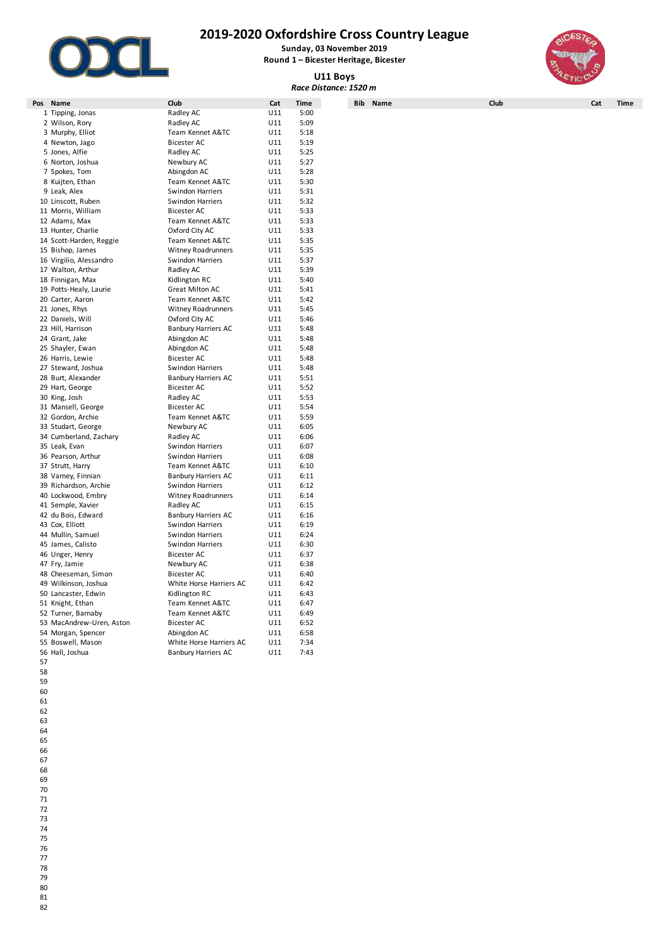

**Sunday, 03 November 2019**

**Round 1 – Bicester Heritage, Bicester U11 Boys**

*Race Distance: 1520 m*



| Pos | Name                     | Club                                   | Cat        | <b>Time</b> | Bib | Name | Club | Cat | <b>Time</b> |
|-----|--------------------------|----------------------------------------|------------|-------------|-----|------|------|-----|-------------|
|     | 1 Tipping, Jonas         | Radley AC                              | U11        | 5:00        |     |      |      |     |             |
|     | 2 Wilson, Rory           | Radley AC                              | U11        | 5:09        |     |      |      |     |             |
|     |                          |                                        |            | 5:18        |     |      |      |     |             |
|     | 3 Murphy, Elliot         | Team Kennet A&TC<br><b>Bicester AC</b> | U11<br>U11 | 5:19        |     |      |      |     |             |
|     | 4 Newton, Jago           |                                        |            |             |     |      |      |     |             |
|     | 5 Jones, Alfie           | Radley AC                              | U11        | 5:25        |     |      |      |     |             |
|     | 6 Norton, Joshua         | Newbury AC                             | U11        | 5:27        |     |      |      |     |             |
|     | 7 Spokes, Tom            | Abingdon AC                            | U11        | 5:28        |     |      |      |     |             |
|     | 8 Kuijten, Ethan         | Team Kennet A&TC                       | U11        | 5:30        |     |      |      |     |             |
|     | 9 Leak, Alex             | Swindon Harriers                       | U11        | 5:31        |     |      |      |     |             |
|     | 10 Linscott, Ruben       | Swindon Harriers                       | U11        | 5:32        |     |      |      |     |             |
|     | 11 Morris, William       | <b>Bicester AC</b>                     | U11        | 5:33        |     |      |      |     |             |
|     | 12 Adams, Max            | Team Kennet A&TC                       | U11        | 5:33        |     |      |      |     |             |
|     | 13 Hunter, Charlie       | Oxford City AC                         | U11        | 5:33        |     |      |      |     |             |
|     | 14 Scott-Harden, Reggie  | Team Kennet A&TC                       | U11        | 5:35        |     |      |      |     |             |
|     | 15 Bishop, James         | <b>Witney Roadrunners</b>              | U11        | 5:35        |     |      |      |     |             |
|     | 16 Virgilio, Alessandro  | Swindon Harriers                       | U11        | 5:37        |     |      |      |     |             |
|     | 17 Walton, Arthur        | Radley AC                              | U11        | 5:39        |     |      |      |     |             |
|     | 18 Finnigan, Max         | Kidlington RC                          | U11        | 5:40        |     |      |      |     |             |
|     | 19 Potts-Healy, Laurie   | <b>Great Milton AC</b>                 | U11        | 5:41        |     |      |      |     |             |
|     | 20 Carter, Aaron         | Team Kennet A&TC                       | U11        | 5:42        |     |      |      |     |             |
|     | 21 Jones, Rhys           | <b>Witney Roadrunners</b>              | U11        | 5:45        |     |      |      |     |             |
|     | 22 Daniels, Will         | Oxford City AC                         | U11        | 5:46        |     |      |      |     |             |
|     | 23 Hill, Harrison        | <b>Banbury Harriers AC</b>             | U11        | 5:48        |     |      |      |     |             |
|     | 24 Grant, Jake           | Abingdon AC                            | U11        | 5:48        |     |      |      |     |             |
|     | 25 Shayler, Ewan         | Abingdon AC                            | U11        | 5:48        |     |      |      |     |             |
|     | 26 Harris, Lewie         | <b>Bicester AC</b>                     | U11        | 5:48        |     |      |      |     |             |
|     | 27 Steward, Joshua       | Swindon Harriers                       | U11        | 5:48        |     |      |      |     |             |
|     | 28 Burt, Alexander       | <b>Banbury Harriers AC</b>             | U11        | 5:51        |     |      |      |     |             |
|     | 29 Hart, George          | <b>Bicester AC</b>                     | U11        | 5:52        |     |      |      |     |             |
|     | 30 King, Josh            | Radley AC                              | U11        | 5:53        |     |      |      |     |             |
|     | 31 Mansell, George       | <b>Bicester AC</b>                     | U11        | 5:54        |     |      |      |     |             |
|     | 32 Gordon, Archie        | Team Kennet A&TC                       | U11        | 5:59        |     |      |      |     |             |
|     | 33 Studart, George       | Newbury AC                             | U11        | 6:05        |     |      |      |     |             |
|     | 34 Cumberland, Zachary   | Radley AC                              | U11        | 6:06        |     |      |      |     |             |
|     | 35 Leak, Evan            | Swindon Harriers                       | U11        | 6:07        |     |      |      |     |             |
|     | 36 Pearson, Arthur       | Swindon Harriers                       | U11        | 6:08        |     |      |      |     |             |
|     | 37 Strutt, Harry         | Team Kennet A&TC                       | U11        | 6:10        |     |      |      |     |             |
|     | 38 Varney, Finnian       | <b>Banbury Harriers AC</b>             | U11        | 6:11        |     |      |      |     |             |
|     | 39 Richardson, Archie    | Swindon Harriers                       | U11        | 6:12        |     |      |      |     |             |
|     | 40 Lockwood, Embry       | <b>Witney Roadrunners</b>              | U11        | 6:14        |     |      |      |     |             |
|     | 41 Semple, Xavier        | Radley AC                              | U11        | 6:15        |     |      |      |     |             |
|     | 42 du Bois, Edward       | <b>Banbury Harriers AC</b>             | U11        | 6:16        |     |      |      |     |             |
|     | 43 Cox, Elliott          | Swindon Harriers                       | U11        | 6:19        |     |      |      |     |             |
|     | 44 Mullin, Samuel        | Swindon Harriers                       | U11        | 6:24        |     |      |      |     |             |
|     | 45 James, Calisto        | Swindon Harriers                       | U11        | 6:30        |     |      |      |     |             |
|     | 46 Unger, Henry          | <b>Bicester AC</b>                     | U11        | 6:37        |     |      |      |     |             |
|     | 47 Fry, Jamie            | Newbury AC                             | U11        | 6:38        |     |      |      |     |             |
|     | 48 Cheeseman, Simon      | <b>Bicester AC</b>                     | U11        | 6:40        |     |      |      |     |             |
|     | 49 Wilkinson, Joshua     | White Horse Harriers AC                | U11        | 6:42        |     |      |      |     |             |
|     | 50 Lancaster, Edwin      | Kidlington RC                          | U11        | 6:43        |     |      |      |     |             |
|     | 51 Knight, Ethan         | Team Kennet A&TC                       | U11        | 6:47        |     |      |      |     |             |
|     | 52 Turner, Barnaby       | Team Kennet A&TC                       | U11        | 6:49        |     |      |      |     |             |
|     | 53 MacAndrew-Uren, Aston | <b>Bicester AC</b>                     | U11        | 6:52        |     |      |      |     |             |
|     | 54 Morgan, Spencer       | Abingdon AC                            | U11        | 6:58        |     |      |      |     |             |
|     | 55 Boswell, Mason        | White Horse Harriers AC                | U11        | 7:34        |     |      |      |     |             |
|     | 56 Hall, Joshua          | <b>Banbury Harriers AC</b>             | U11        | 7:43        |     |      |      |     |             |
|     |                          |                                        |            |             |     |      |      |     |             |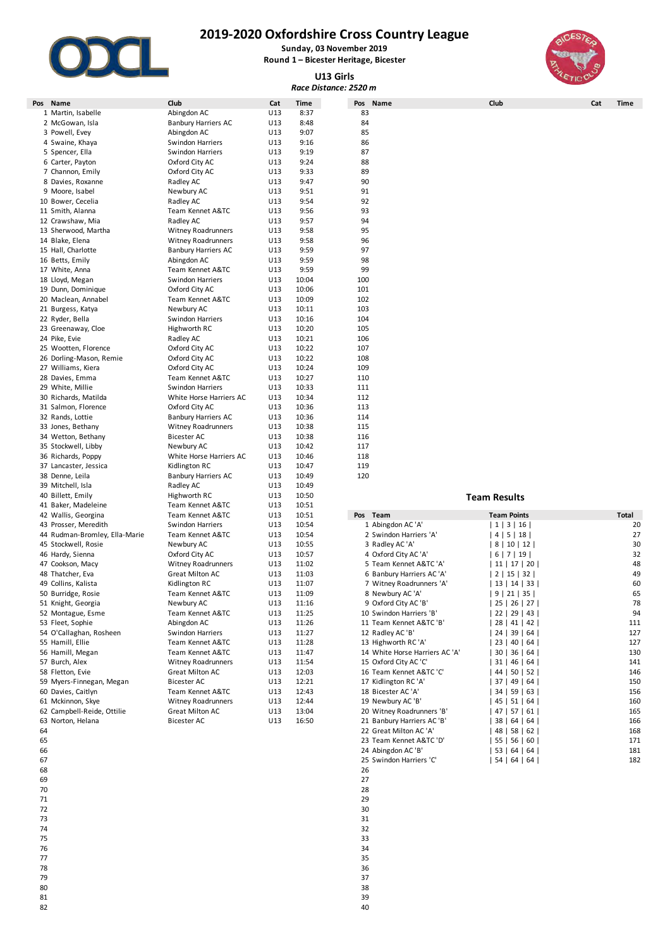

**Sunday, 03 November 2019 Round 1 – Bicester Heritage, Bicester**

**U13 Girls**

|                                                |                                       |            |                | Race Distance: 2520 m                            |                                  |             |
|------------------------------------------------|---------------------------------------|------------|----------------|--------------------------------------------------|----------------------------------|-------------|
| Name<br>Pos                                    | Club                                  | Cat        | Time           | Pos<br>Name                                      | Club                             | Cat<br>Time |
| 1 Martin, Isabelle                             | Abingdon AC                           | U13        | 8:37           | 83                                               |                                  |             |
| 2 McGowan, Isla                                | <b>Banbury Harriers AC</b>            | U13        | 8:48           | 84                                               |                                  |             |
| 3 Powell, Evey                                 | Abingdon AC                           | U13        | 9:07           | 85                                               |                                  |             |
| 4 Swaine, Khaya                                | Swindon Harriers                      | U13        | 9:16           | 86                                               |                                  |             |
| 5 Spencer, Ella                                | Swindon Harriers                      | U13<br>U13 | 9:19<br>9:24   | 87<br>88                                         |                                  |             |
| 6 Carter, Payton                               | Oxford City AC                        | U13        | 9:33           | 89                                               |                                  |             |
| 7 Channon, Emily<br>8 Davies, Roxanne          | Oxford City AC<br>Radley AC           | U13        | 9:47           | 90                                               |                                  |             |
| 9 Moore, Isabel                                | Newbury AC                            | U13        | 9:51           | 91                                               |                                  |             |
| 10 Bower, Cecelia                              | Radley AC                             | U13        | 9:54           | 92                                               |                                  |             |
| 11 Smith, Alanna                               | Team Kennet A&TC                      | U13        | 9:56           | 93                                               |                                  |             |
| 12 Crawshaw, Mia                               | Radley AC                             | U13        | 9:57           | 94                                               |                                  |             |
| 13 Sherwood, Martha                            | Witney Roadrunners                    | U13        | 9:58           | 95                                               |                                  |             |
| 14 Blake, Elena                                | <b>Witney Roadrunners</b>             | U13        | 9:58           | 96                                               |                                  |             |
| 15 Hall, Charlotte                             | <b>Banbury Harriers AC</b>            | U13        | 9:59           | 97                                               |                                  |             |
| 16 Betts, Emily                                | Abingdon AC                           | U13        | 9:59           | 98                                               |                                  |             |
| 17 White, Anna                                 | Team Kennet A&TC                      | U13        | 9:59           | 99                                               |                                  |             |
| 18 Lloyd, Megan                                | Swindon Harriers                      | U13        | 10:04          | 100                                              |                                  |             |
| 19 Dunn, Dominique                             | Oxford City AC                        | U13        | 10:06          | 101                                              |                                  |             |
| 20 Maclean, Annabel                            | Team Kennet A&TC                      | U13        | 10:09          | 102                                              |                                  |             |
| 21 Burgess, Katya                              | Newbury AC                            | U13        | 10:11          | 103                                              |                                  |             |
| 22 Ryder, Bella                                | Swindon Harriers                      | U13        | 10:16          | 104                                              |                                  |             |
| 23 Greenaway, Cloe                             | Highworth RC                          | U13        | 10:20          | 105                                              |                                  |             |
| 24 Pike, Evie                                  | Radley AC                             | U13        | 10:21          | 106                                              |                                  |             |
| 25 Wootten, Florence                           | Oxford City AC                        | U13        | 10:22          | 107                                              |                                  |             |
| 26 Dorling-Mason, Remie                        | Oxford City AC                        | U13        | 10:22          | 108                                              |                                  |             |
| 27 Williams, Kiera                             | Oxford City AC                        | U13        | 10:24          | 109                                              |                                  |             |
| 28 Davies, Emma                                | Team Kennet A&TC                      | U13        | 10:27          | 110                                              |                                  |             |
| 29 White, Millie                               | <b>Swindon Harriers</b>               | U13        | 10:33          | 111                                              |                                  |             |
| 30 Richards, Matilda                           | White Horse Harriers AC               | U13        | 10:34          | 112                                              |                                  |             |
| 31 Salmon, Florence                            | Oxford City AC                        | U13        | 10:36          | 113                                              |                                  |             |
| 32 Rands, Lottie                               | <b>Banbury Harriers AC</b>            | U13        | 10:36          | 114                                              |                                  |             |
| 33 Jones, Bethany                              | <b>Witney Roadrunners</b>             | U13        | 10:38          | 115                                              |                                  |             |
| 34 Wetton, Bethany                             | <b>Bicester AC</b>                    | U13        | 10:38          | 116                                              |                                  |             |
| 35 Stockwell, Libby                            | Newbury AC                            | U13        | 10:42          | 117                                              |                                  |             |
| 36 Richards, Poppy                             | White Horse Harriers AC               | U13        | 10:46          | 118                                              |                                  |             |
| 37 Lancaster, Jessica                          | Kidlington RC                         | U13        | 10:47          | 119                                              |                                  |             |
| 38 Denne, Leila                                | <b>Banbury Harriers AC</b>            | U13        | 10:49          | 120                                              |                                  |             |
| 39 Mitchell, Isla                              | Radley AC                             | U13        | 10:49          |                                                  |                                  |             |
| 40 Billett, Emily                              | Highworth RC                          | U13        | 10:50          |                                                  | <b>Team Results</b>              |             |
| 41 Baker, Madeleine                            | Team Kennet A&TC                      | U13        | 10:51          |                                                  |                                  |             |
| 42 Wallis, Georgina                            | Team Kennet A&TC                      | U13        | 10:51          | Pos Team                                         | <b>Team Points</b>               | Total       |
| 43 Prosser, Meredith                           | Swindon Harriers                      | U13        | 10:54          | 1 Abingdon AC 'A'                                | 1   3   16                       | 20          |
| 44 Rudman-Bromley, Ella-Marie                  | Team Kennet A&TC                      | U13        | 10:54          | 2 Swindon Harriers 'A'                           | 4   5   18                       | 27          |
| 45 Stockwell, Rosie                            | Newbury AC                            | U13        | 10:55          | 3 Radley AC 'A'                                  | 8   10   12                      | 30          |
| 46 Hardy, Sienna                               | Oxford City AC                        | U13        | 10:57          | 4 Oxford City AC 'A'                             | 6   7   19                       | 32          |
| 47 Cookson, Macy                               | <b>Witney Roadrunners</b>             | U13        | 11:02          | 5 Team Kennet A&TC 'A'                           | 11   17   20                     | 48          |
| 48 Thatcher, Eva                               | Great Milton AC                       | U13        | 11:03          | 6 Banbury Harriers AC 'A'                        | 2   15   32                      | 49          |
| 49 Collins, Kalista                            | Kidlington RC                         | U13        | 11:07          | 7 Witney Roadrunners 'A'                         | 13   14   33                     | 60          |
| 50 Burridge, Rosie                             | Team Kennet A&TC                      | U13        | 11:09          | 8 Newbury AC 'A'                                 | 9   21   35                      | 65          |
| 51 Knight, Georgia                             | Newbury AC                            | U13        | 11:16          | 9 Oxford City AC 'B'                             | 25 26 27                         | 78          |
| 52 Montague, Esme                              | Team Kennet A&TC                      | U13        | 11:25          | 10 Swindon Harriers 'B'                          | 22   29   43                     | 94          |
| 53 Fleet, Sophie                               | Abingdon AC                           | U13        | 11:26          | 11 Team Kennet A&TC 'B'                          | 28   41   42                     | 111         |
| 54 O'Callaghan, Rosheen                        | Swindon Harriers                      | U13        | 11:27          | 12 Radley AC 'B'                                 | 24   39   64                     | 127         |
| 55 Hamill, Ellie<br>56 Hamill, Megan           | Team Kennet A&TC                      | U13        | 11:28          | 13 Highworth RC 'A'                              | 23   40   64                     | 127<br>130  |
|                                                | Team Kennet A&TC                      | U13        | 11:47          | 14 White Horse Harriers AC 'A'                   | 30   36   64                     |             |
| 57 Burch, Alex                                 | Witney Roadrunners                    | U13        | 11:54          | 15 Oxford City AC 'C'<br>16 Team Kennet A&TC 'C' | 31   46   64                     | 141<br>146  |
| 58 Fletton, Evie                               | Great Milton AC<br><b>Bicester AC</b> | U13        | 12:03<br>12:21 | 17 Kidlington RC 'A'                             | 44   50   52                     | 150         |
| 59 Myers-Finnegan, Megan<br>60 Davies, Caitlyn | Team Kennet A&TC                      | U13<br>U13 | 12:43          | 18 Bicester AC 'A'                               | 37   49   64                     | 156         |
| 61 Mckinnon, Skye                              | Witney Roadrunners                    | U13        | 12:44          | 19 Newbury AC 'B'                                | 34   59   63                     | 160         |
| 62 Campbell-Reide, Ottilie                     | Great Milton AC                       | U13        | 13:04          | 20 Witney Roadrunners 'B'                        | 45   51   64  <br>  47   57   61 | 165         |
| 63 Norton, Helana                              | <b>Bicester AC</b>                    | U13        | 16:50          | 21 Banbury Harriers AC 'B'                       | 38   64   64                     | 166         |
| 64                                             |                                       |            |                | 22 Great Milton AC 'A'                           |                                  | 168         |
|                                                |                                       |            |                |                                                  | 48   58   62                     |             |

- 
- 
- 
- 
- 
- 33
- 
- 
- 36
- 37 38
- 
- 39 and  $40$

| 42 Wallis, Georgina           | Team Kennet A&TC          | U13             | 10:51 | Team<br>Pos                    | <b>Team Points</b>            | Total |
|-------------------------------|---------------------------|-----------------|-------|--------------------------------|-------------------------------|-------|
| 43 Prosser, Meredith          | <b>Swindon Harriers</b>   | U13             | 10:54 | 1 Abingdon AC 'A'              | 3   16  <br>1 <sup>1</sup>    | 20    |
| 44 Rudman-Bromley, Ella-Marie | Team Kennet A&TC          | U13             | 10:54 | 2 Swindon Harriers 'A'         | 5   18  <br>4                 | 27    |
| 45 Stockwell, Rosie           | Newbury AC                | U13             | 10:55 | 3 Radley AC 'A'                | 81<br>10   12                 | 30    |
| 46 Hardy, Sienna              | Oxford City AC            | U13             | 10:57 | 4 Oxford City AC 'A'           | 6   7   19                    | 32    |
| 47 Cookson, Macy              | <b>Witney Roadrunners</b> | U <sub>13</sub> | 11:02 | 5 Team Kennet A&TC 'A'         | $17$   20  <br>11 l           | 48    |
| 48 Thatcher, Eva              | <b>Great Milton AC</b>    | U13             | 11:03 | 6 Banbury Harriers AC 'A'      | 2 <sup>1</sup><br>15   32     | 49    |
| 49 Collins, Kalista           | Kidlington RC             | U13             | 11:07 | 7 Witney Roadrunners 'A'       | 13   14   33                  | 60    |
| 50 Burridge, Rosie            | Team Kennet A&TC          | U13             | 11:09 | 8 Newbury AC 'A'               | 21   35  <br>9                | 65    |
| 51 Knight, Georgia            | Newbury AC                | U <sub>13</sub> | 11:16 | 9 Oxford City AC 'B'           | 26 <sup>1</sup><br>25 l<br>27 | 78    |
| 52 Montague, Esme             | Team Kennet A&TC          | U13             | 11:25 | 10 Swindon Harriers 'B'        | $29$   43  <br>22             | 94    |
| 53 Fleet, Sophie              | Abingdon AC               | U13             | 11:26 | 11 Team Kennet A&TC 'B'        | 28 <sub>1</sub><br>$41$   42  | 111   |
| 54 O'Callaghan, Rosheen       | Swindon Harriers          | U13             | 11:27 | 12 Radley AC 'B'               | 39   64  <br>24 <sub>1</sub>  | 127   |
| 55 Hamill, Ellie              | Team Kennet A&TC          | U13             | 11:28 | 13 Highworth RC 'A'            | 23 <sup>1</sup><br>40<br>64   | 127   |
| 56 Hamill, Megan              | Team Kennet A&TC          | U13             | 11:47 | 14 White Horse Harriers AC 'A' | 36 l<br>30 l<br>64            | 130   |
| 57 Burch, Alex                | <b>Witney Roadrunners</b> | U13             | 11:54 | 15 Oxford City AC 'C'          | 31<br>46  <br>64              | 141   |
| 58 Fletton, Evie              | <b>Great Milton AC</b>    | U13             | 12:03 | 16 Team Kennet A&TC 'C'        | 44  <br>50   52               | 146   |
| 59 Myers-Finnegan, Megan      | <b>Bicester AC</b>        | U13             | 12:21 | 17 Kidlington RC 'A'           | 37 <sup>1</sup><br>49   64    | 150   |
| 60 Davies, Caitlyn            | Team Kennet A&TC          | U13             | 12:43 | 18 Bicester AC 'A'             | 34 <br>59<br>63               | 156   |
| 61 Mckinnon, Skye             | <b>Witney Roadrunners</b> | U13             | 12:44 | 19 Newbury AC 'B'              | 51   64  <br>45               | 160   |
| 62 Campbell-Reide, Ottilie    | <b>Great Milton AC</b>    | U13             | 13:04 | 20 Witney Roadrunners 'B'      | 57  <br>47 I<br>  61          | 165   |
| 63 Norton, Helana             | <b>Bicester AC</b>        | U13             | 16:50 | 21 Banbury Harriers AC 'B'     | 38 <sup>1</sup><br>64 l<br>64 | 166   |
| 64                            |                           |                 |       | 22 Great Milton AC 'A'         | 48  <br>58   62               | 168   |
| 65                            |                           |                 |       | 23 Team Kennet A&TC 'D'        | 56  <br>55 l<br>- 60 I        | 171   |
| 66                            |                           |                 |       | 24 Abingdon AC 'B'             | 64 l<br>53 I<br>64            | 181   |
| 67                            |                           |                 |       | 25 Swindon Harriers 'C'        | 64 l<br>54<br>64 I            | 182   |
| 68                            |                           |                 |       | 26                             |                               |       |

27

29

30

31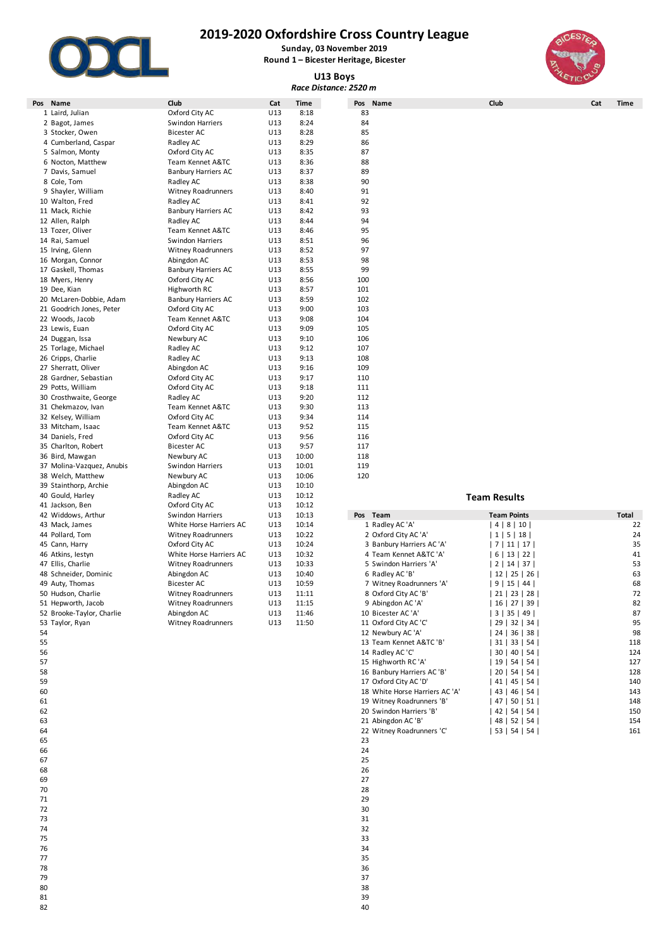

**Sunday, 03 November 2019 Round 1 – Bicester Heritage, Bicester**

## **U13 Boys**



| Race Distance: 2520 m     |                            |     |             |                           |                     |     |             |  |  |  |  |
|---------------------------|----------------------------|-----|-------------|---------------------------|---------------------|-----|-------------|--|--|--|--|
| Pos Name                  | Club                       | Cat | <b>Time</b> | Pos Name                  | Club                | Cat | <b>Time</b> |  |  |  |  |
| 1 Laird, Julian           | Oxford City AC             | U13 | 8:18        | 83                        |                     |     |             |  |  |  |  |
| 2 Bagot, James            | Swindon Harriers           | U13 | 8:24        | 84                        |                     |     |             |  |  |  |  |
| 3 Stocker, Owen           | <b>Bicester AC</b>         | U13 | 8:28        | 85                        |                     |     |             |  |  |  |  |
| 4 Cumberland, Caspar      | Radley AC                  | U13 | 8:29        | 86                        |                     |     |             |  |  |  |  |
| 5 Salmon, Monty           | Oxford City AC             | U13 | 8:35        | 87                        |                     |     |             |  |  |  |  |
| 6 Nocton, Matthew         | Team Kennet A&TC           | U13 | 8:36        | 88                        |                     |     |             |  |  |  |  |
| 7 Davis, Samuel           | <b>Banbury Harriers AC</b> | U13 | 8:37        | 89                        |                     |     |             |  |  |  |  |
| 8 Cole, Tom               | Radley AC                  | U13 | 8:38        | 90                        |                     |     |             |  |  |  |  |
| 9 Shayler, William        | Witney Roadrunners         | U13 | 8:40        | 91                        |                     |     |             |  |  |  |  |
| 10 Walton, Fred           | Radley AC                  | U13 | 8:41        | 92                        |                     |     |             |  |  |  |  |
| 11 Mack, Richie           | <b>Banbury Harriers AC</b> | U13 | 8:42        | 93                        |                     |     |             |  |  |  |  |
| 12 Allen, Ralph           | Radley AC                  | U13 | 8:44        | 94                        |                     |     |             |  |  |  |  |
| 13 Tozer, Oliver          | Team Kennet A&TC           | U13 | 8:46        | 95                        |                     |     |             |  |  |  |  |
| 14 Rai, Samuel            | Swindon Harriers           | U13 | 8:51        | 96                        |                     |     |             |  |  |  |  |
| 15 Irving, Glenn          | Witney Roadrunners         | U13 | 8:52        | 97                        |                     |     |             |  |  |  |  |
| 16 Morgan, Connor         | Abingdon AC                | U13 | 8:53        | 98                        |                     |     |             |  |  |  |  |
| 17 Gaskell, Thomas        | <b>Banbury Harriers AC</b> | U13 | 8:55        | 99                        |                     |     |             |  |  |  |  |
| 18 Myers, Henry           | Oxford City AC             | U13 | 8:56        | 100                       |                     |     |             |  |  |  |  |
| 19 Dee, Kian              | Highworth RC               | U13 | 8:57        | 101                       |                     |     |             |  |  |  |  |
| 20 McLaren-Dobbie, Adam   | <b>Banbury Harriers AC</b> | U13 | 8:59        | 102                       |                     |     |             |  |  |  |  |
| 21 Goodrich Jones, Peter  | Oxford City AC             | U13 | 9:00        | 103                       |                     |     |             |  |  |  |  |
| 22 Woods, Jacob           | Team Kennet A&TC           | U13 | 9:08        | 104                       |                     |     |             |  |  |  |  |
| 23 Lewis, Euan            | Oxford City AC             | U13 | 9:09        | 105                       |                     |     |             |  |  |  |  |
| 24 Duggan, Issa           | Newbury AC                 | U13 | 9:10        | 106                       |                     |     |             |  |  |  |  |
| 25 Torlage, Michael       | Radley AC                  | U13 | 9:12        | 107                       |                     |     |             |  |  |  |  |
| 26 Cripps, Charlie        | Radley AC                  | U13 | 9:13        | 108                       |                     |     |             |  |  |  |  |
| 27 Sherratt, Oliver       | Abingdon AC                | U13 | 9:16        | 109                       |                     |     |             |  |  |  |  |
| 28 Gardner, Sebastian     | Oxford City AC             | U13 | 9:17        | 110                       |                     |     |             |  |  |  |  |
| 29 Potts, William         | Oxford City AC             | U13 | 9:18        | 111                       |                     |     |             |  |  |  |  |
| 30 Crosthwaite, George    | Radley AC                  | U13 | 9:20        | 112                       |                     |     |             |  |  |  |  |
| 31 Chekmazov, Ivan        | Team Kennet A&TC           | U13 | 9:30        | 113                       |                     |     |             |  |  |  |  |
| 32 Kelsey, William        | Oxford City AC             | U13 | 9:34        | 114                       |                     |     |             |  |  |  |  |
| 33 Mitcham, Isaac         | Team Kennet A&TC           | U13 | 9:52        | 115                       |                     |     |             |  |  |  |  |
| 34 Daniels, Fred          | Oxford City AC             | U13 | 9:56        | 116                       |                     |     |             |  |  |  |  |
| 35 Charlton, Robert       | <b>Bicester AC</b>         | U13 | 9:57        | 117                       |                     |     |             |  |  |  |  |
| 36 Bird, Mawgan           | Newbury AC                 | U13 | 10:00       | 118                       |                     |     |             |  |  |  |  |
| 37 Molina-Vazquez, Anubis | Swindon Harriers           | U13 | 10:01       | 119                       |                     |     |             |  |  |  |  |
| 38 Welch, Matthew         | Newbury AC                 | U13 | 10:06       | 120                       |                     |     |             |  |  |  |  |
| 39 Stainthorp, Archie     | Abingdon AC                | U13 | 10:10       |                           |                     |     |             |  |  |  |  |
| 40 Gould, Harley          | Radley AC                  | U13 | 10:12       |                           | <b>Team Results</b> |     |             |  |  |  |  |
| 41 Jackson, Ben           | Oxford City AC             | U13 | 10:12       |                           |                     |     |             |  |  |  |  |
| 42 Widdows, Arthur        | Swindon Harriers           | U13 | 10:13       | Pos Team                  | <b>Team Points</b>  |     | Total       |  |  |  |  |
| 43 Mack, James            | White Horse Harriers AC    | U13 | 10:14       | 1 Radley AC 'A'           | 4 8 10              |     | 22          |  |  |  |  |
| 44 Pollard, Tom           | <b>Witney Roadrunners</b>  | U13 | 10:22       | 2 Oxford City AC 'A'      | 1 5 18              |     | 24          |  |  |  |  |
| 45 Cann, Harry            | Oxford City AC             | U13 | 10:24       | 3 Banbury Harriers AC 'A' | 7 11 17             |     | 35          |  |  |  |  |
| 46 Atkins, lestyn         | White Horse Harriers AC    | U13 | 10:32       | 4 Team Kennet A&TC 'A'    | 6 13 22             |     | 41          |  |  |  |  |
| 47 Ellis, Charlie         | Witney Roadrunners         | U13 | 10:33       | 5 Swindon Harriers 'A'    | 2 14 37             |     | 53          |  |  |  |  |
| 48 Schneider, Dominic     | Abingdon AC                | U13 | 10:40       | 6 Radley AC 'B'           | $12$   25   26      |     | 63          |  |  |  |  |
| 49 Auty, Thomas           | <b>Bicester AC</b>         | U13 | 10:59       | 7 Witney Roadrunners 'A'  | 9   15   44         |     | 68          |  |  |  |  |
| 50 Hudson, Charlie        | Witney Roadrunners         | U13 | 11:11       | 8 Oxford City AC 'B'      | 21   23   28        |     | 72          |  |  |  |  |
| 51 Hepworth, Jacob        | <b>Witney Roadrunners</b>  | U13 | 11:15       | 9 Abingdon AC 'A'         | 16   27   39        |     | 82          |  |  |  |  |
| 52 Brooke-Taylor, Charlie | Abingdon AC                | U13 | 11:46       | 10 Bicester AC 'A'        | 3   35   49         |     | 87          |  |  |  |  |
| 53 Taylor, Ryan           | Witney Roadrunners         | U13 | 11:50       | 11 Oxford City AC 'C'     | 29   32   34        |     | 95          |  |  |  |  |
| 54                        |                            |     |             | 12 Newbury AC 'A'         | 24   36   38        |     | 98          |  |  |  |  |

| 42 Widdows, Arthur        | Swindon Harriers          | U13 | 10:13 | Pos<br>Team                    | <b>Team Points</b>           | Total |
|---------------------------|---------------------------|-----|-------|--------------------------------|------------------------------|-------|
| 43 Mack, James            | White Horse Harriers AC   | U13 | 10:14 | 1 Radley AC 'A'                | 4   8   10                   | 22    |
| 44 Pollard, Tom           | Witney Roadrunners        | U13 | 10:22 | 2 Oxford City AC 'A'           | 1   5   18                   | 24    |
| 45 Cann, Harry            | Oxford City AC            | U13 | 10:24 | 3 Banbury Harriers AC 'A'      | 7   11   17                  | 35    |
| 46 Atkins, Iestyn         | White Horse Harriers AC   | U13 | 10:32 | 4 Team Kennet A&TC 'A'         | 6   13   22                  | 41    |
| 47 Ellis, Charlie         | <b>Witney Roadrunners</b> | U13 | 10:33 | 5 Swindon Harriers 'A'         | 2   14   37                  | 53    |
| 48 Schneider, Dominic     | Abingdon AC               | U13 | 10:40 | 6 Radley AC 'B'                | $12$   25   26               | 63    |
| 49 Auty, Thomas           | <b>Bicester AC</b>        | U13 | 10:59 | 7 Witney Roadrunners 'A'       | 9   15   44                  | 68    |
| 50 Hudson, Charlie        | Witney Roadrunners        | U13 | 11:11 | 8 Oxford City AC 'B'           | 21   23   28                 | 72    |
| 51 Hepworth, Jacob        | Witney Roadrunners        | U13 | 11:15 | 9 Abingdon AC 'A'              | $16$   27   39               | 82    |
| 52 Brooke-Taylor, Charlie | Abingdon AC               | U13 | 11:46 | 10 Bicester AC 'A'             | 3   35   49                  | 87    |
| 53 Taylor, Ryan           | Witney Roadrunners        | U13 | 11:50 | 11 Oxford City AC 'C'          | 32   34  <br>29 <sub>1</sub> | 95    |
| 54                        |                           |     |       | 12 Newbury AC 'A'              | 36   38  <br>24 I            | 98    |
| 55                        |                           |     |       | 13 Team Kennet A&TC 'B'        | 33   54  <br>31 l            | 118   |
| 56                        |                           |     |       | 14 Radley AC 'C'               | $40$   54<br>30 l            | 124   |
| 57                        |                           |     |       | 15 Highworth RC 'A'            | 19 <sup>1</sup><br>$54$   54 | 127   |
| 58                        |                           |     |       | 16 Banbury Harriers AC 'B'     | 20 <sub>1</sub><br>$54$   54 | 128   |
| 59                        |                           |     |       | 17 Oxford City AC 'D'          | $45$   54  <br>41            | 140   |
| 60                        |                           |     |       | 18 White Horse Harriers AC 'A' | 43  <br>$46$   54            | 143   |
| 61                        |                           |     |       | 19 Witney Roadrunners 'B'      | 47  <br>$50$   51            | 148   |
| 62                        |                           |     |       | 20 Swindon Harriers 'B'        | 42  <br>$54$   54            | 150   |
| 63                        |                           |     |       | 21 Abingdon AC 'B'             | 48   52   54                 | 154   |
| 64                        |                           |     |       | 22 Witney Roadrunners 'C'      | 53   54   54                 | 161   |
| 65                        |                           |     |       | 23                             |                              |       |

25

- -
	-
	-
	-
	-
	-
	-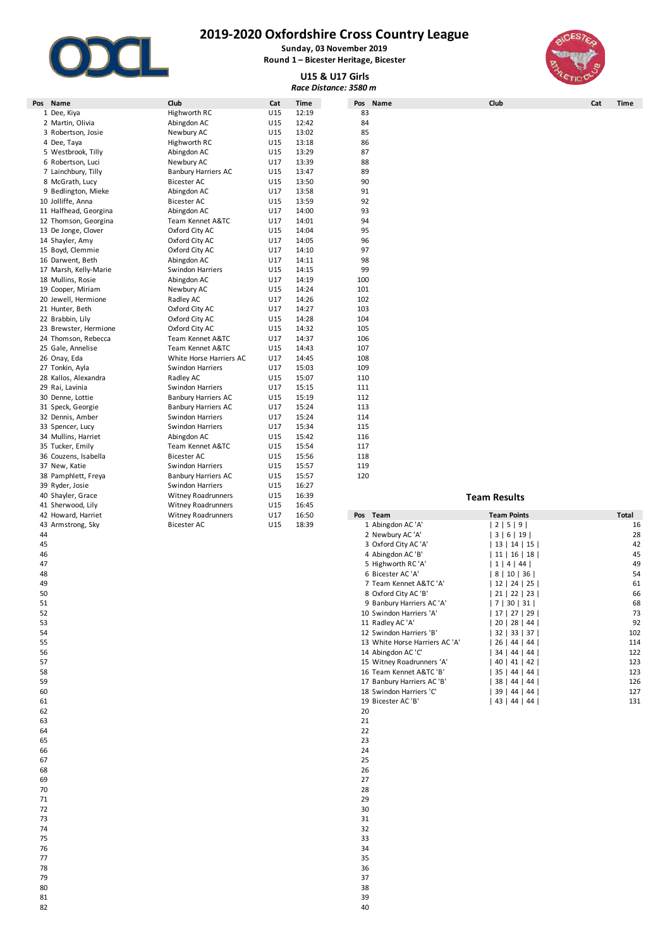

**Sunday, 03 November 2019 Round 1 – Bicester Heritage, Bicester**

# **U15 & U17 Girls**



| Race Distance: 3580 m |                            |     |             |                   |                     |     |              |  |  |
|-----------------------|----------------------------|-----|-------------|-------------------|---------------------|-----|--------------|--|--|
| Pos Name              | Club                       | Cat | <b>Time</b> | Pos Name          | Club                | Cat | <b>Time</b>  |  |  |
| 1 Dee, Kiya           | Highworth RC               | U15 | 12:19       | 83                |                     |     |              |  |  |
| 2 Martin, Olivia      | Abingdon AC                | U15 | 12:42       | 84                |                     |     |              |  |  |
| 3 Robertson, Josie    | Newbury AC                 | U15 | 13:02       | 85                |                     |     |              |  |  |
| 4 Dee, Taya           | Highworth RC               | U15 | 13:18       | 86                |                     |     |              |  |  |
| 5 Westbrook, Tilly    | Abingdon AC                | U15 | 13:29       | 87                |                     |     |              |  |  |
| 6 Robertson, Luci     | Newbury AC                 | U17 | 13:39       | 88                |                     |     |              |  |  |
| 7 Lainchbury, Tilly   | <b>Banbury Harriers AC</b> | U15 | 13:47       | 89                |                     |     |              |  |  |
| 8 McGrath, Lucy       | <b>Bicester AC</b>         | U15 | 13:50       | 90                |                     |     |              |  |  |
| 9 Bedlington, Mieke   | Abingdon AC                | U17 | 13:58       | 91                |                     |     |              |  |  |
| 10 Jolliffe, Anna     | <b>Bicester AC</b>         | U15 | 13:59       | 92                |                     |     |              |  |  |
| 11 Halfhead, Georgina | Abingdon AC                | U17 | 14:00       | 93                |                     |     |              |  |  |
| 12 Thomson, Georgina  | Team Kennet A&TC           | U17 | 14:01       | 94                |                     |     |              |  |  |
| 13 De Jonge, Clover   | Oxford City AC             | U15 | 14:04       | 95                |                     |     |              |  |  |
| 14 Shayler, Amy       | Oxford City AC             | U17 | 14:05       | 96                |                     |     |              |  |  |
| 15 Boyd, Clemmie      | Oxford City AC             | U17 | 14:10       | 97                |                     |     |              |  |  |
| 16 Darwent, Beth      | Abingdon AC                | U17 | 14:11       | 98                |                     |     |              |  |  |
| 17 Marsh, Kelly-Marie | Swindon Harriers           | U15 | 14:15       | 99                |                     |     |              |  |  |
| 18 Mullins, Rosie     | Abingdon AC                | U17 | 14:19       | 100               |                     |     |              |  |  |
| 19 Cooper, Miriam     | Newbury AC                 | U15 | 14:24       | 101               |                     |     |              |  |  |
| 20 Jewell, Hermione   | Radley AC                  | U17 | 14:26       | 102               |                     |     |              |  |  |
| 21 Hunter, Beth       | Oxford City AC             | U17 | 14:27       | 103               |                     |     |              |  |  |
| 22 Brabbin, Lily      | Oxford City AC             | U15 | 14:28       | 104               |                     |     |              |  |  |
| 23 Brewster, Hermione | Oxford City AC             | U15 | 14:32       | 105               |                     |     |              |  |  |
| 24 Thomson, Rebecca   | Team Kennet A&TC           | U17 | 14:37       | 106               |                     |     |              |  |  |
| 25 Gale, Annelise     | Team Kennet A&TC           | U15 | 14:43       | 107               |                     |     |              |  |  |
| 26 Onay, Eda          | White Horse Harriers AC    | U17 | 14:45       | 108               |                     |     |              |  |  |
| 27 Tonkin, Ayla       | Swindon Harriers           | U17 | 15:03       | 109               |                     |     |              |  |  |
| 28 Kallos, Alexandra  | Radley AC                  | U15 | 15:07       | 110               |                     |     |              |  |  |
| 29 Rai, Lavinia       | Swindon Harriers           | U17 | 15:15       | 111               |                     |     |              |  |  |
| 30 Denne, Lottie      | <b>Banbury Harriers AC</b> | U15 | 15:19       | 112               |                     |     |              |  |  |
| 31 Speck, Georgie     | <b>Banbury Harriers AC</b> | U17 | 15:24       | 113               |                     |     |              |  |  |
| 32 Dennis, Amber      | Swindon Harriers           | U17 | 15:24       | 114               |                     |     |              |  |  |
| 33 Spencer, Lucy      | Swindon Harriers           | U17 | 15:34       | 115               |                     |     |              |  |  |
| 34 Mullins, Harriet   | Abingdon AC                | U15 | 15:42       | 116               |                     |     |              |  |  |
| 35 Tucker, Emily      | Team Kennet A&TC           | U15 | 15:54       | 117               |                     |     |              |  |  |
| 36 Couzens, Isabella  | <b>Bicester AC</b>         | U15 | 15:56       | 118               |                     |     |              |  |  |
| 37 New, Katie         | Swindon Harriers           | U15 | 15:57       | 119               |                     |     |              |  |  |
| 38 Pamphlett, Freya   | <b>Banbury Harriers AC</b> | U15 | 15:57       | 120               |                     |     |              |  |  |
| 39 Ryder, Josie       | Swindon Harriers           | U15 | 16:27       |                   |                     |     |              |  |  |
| 40 Shayler, Grace     | Witney Roadrunners         | U15 | 16:39       |                   | <b>Team Results</b> |     |              |  |  |
| 41 Sherwood, Lily     | <b>Witney Roadrunners</b>  | U15 | 16:45       |                   |                     |     |              |  |  |
| 42 Howard, Harriet    | <b>Witney Roadrunners</b>  | U17 | 16:50       | Pos Team          | <b>Team Points</b>  |     | <b>Total</b> |  |  |
| 43 Armstrong, Sky     | Bicester AC                | U15 | 18:39       | 1 Abingdon AC 'A' | 2 5 9               |     |              |  |  |
| 44                    |                            |     |             | 2 Newbury AC 'A'  | 3   6   19          |     |              |  |  |

 37 38

 39 and  $40$ 

| 42 Howard, Harriet | Witney Roadrunners | U1/ | 16:50 | Pos<br>Team                    | Team Points     | Total |
|--------------------|--------------------|-----|-------|--------------------------------|-----------------|-------|
| 43 Armstrong, Sky  | <b>Bicester AC</b> | U15 | 18:39 | 1 Abingdon AC 'A'              | 2   5   9       | 16    |
| 44                 |                    |     |       | 2 Newbury AC 'A'               | 3   6   19      | 28    |
| 45                 |                    |     |       | 3 Oxford City AC 'A'           | 13   14   15    | 42    |
| 46                 |                    |     |       | 4 Abingdon AC 'B'              | 11   16   18    | 45    |
| 47                 |                    |     |       | 5 Highworth RC 'A'             | 1   4   44      | 49    |
| 48                 |                    |     |       | 6 Bicester AC 'A'              | 8   10   36     | 54    |
| 49                 |                    |     |       | 7 Team Kennet A&TC 'A'         | 12   24   25    | 61    |
| 50                 |                    |     |       | 8 Oxford City AC 'B'           | 21   22   23    | 66    |
| 51                 |                    |     |       | 9 Banbury Harriers AC 'A'      | 7   30   31     | 68    |
| 52                 |                    |     |       | 10 Swindon Harriers 'A'        | 17   27   29    | 73    |
| 53                 |                    |     |       | 11 Radley AC 'A'               | 20   28   44    | 92    |
| 54                 |                    |     |       | 12 Swindon Harriers 'B'        | 32   33   37    | 102   |
| 55                 |                    |     |       | 13 White Horse Harriers AC 'A' | 26   44   44    | 114   |
| 56                 |                    |     |       | 14 Abingdon AC 'C'             | 34   44   44    | 122   |
| 57                 |                    |     |       | 15 Witney Roadrunners 'A'      | 40  <br>41   42 | 123   |
| 58                 |                    |     |       | 16 Team Kennet A&TC 'B'        | 35   44   44    | 123   |
| 59                 |                    |     |       | 17 Banbury Harriers AC 'B'     | 38   44   44    | 126   |
| 60                 |                    |     |       | 18 Swindon Harriers 'C'        | 39   44   44    | 127   |
| 61                 |                    |     |       | 19 Bicester AC 'B'             | 43   44   44    | 131   |
| $\sim$             |                    |     |       | $\overline{2}$                 |                 |       |

 20 21

22

23

 26 27

- 
- 
-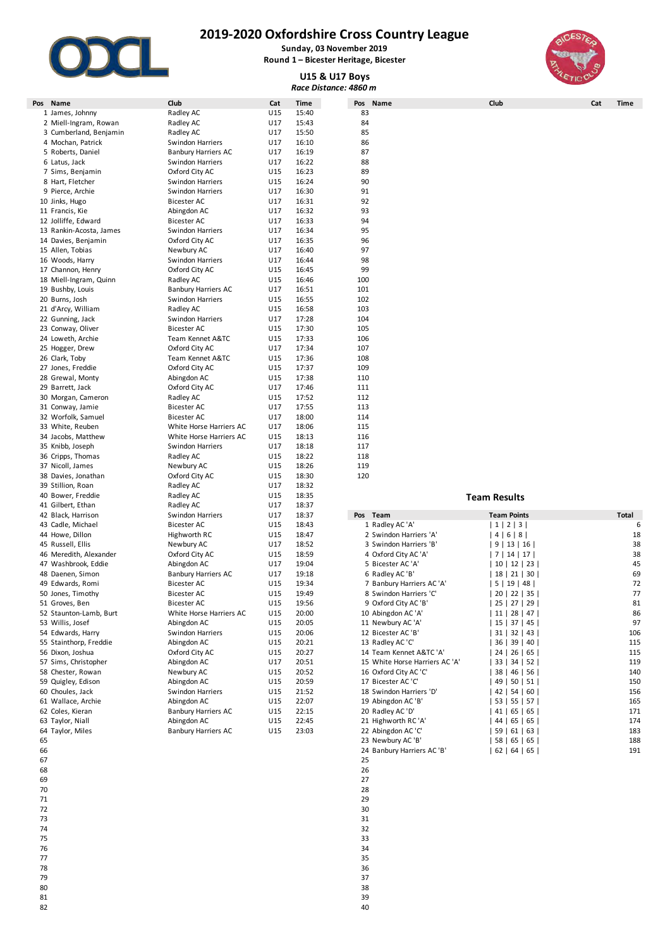

**Sunday, 03 November 2019 Round 1 – Bicester Heritage, Bicester**

## **U15 & U17 Boys**



|                                       |                                        |            |                | Race Distance: 4860 m          |                           |             |  |
|---------------------------------------|----------------------------------------|------------|----------------|--------------------------------|---------------------------|-------------|--|
| Name<br>Pos                           | Club                                   | Cat        | <b>Time</b>    | Pos Name                       | Club                      | Cat<br>Time |  |
| 1 James, Johnny                       | Radley AC                              | U15        | 15:40          | 83                             |                           |             |  |
| 2 Miell-Ingram, Rowan                 | Radley AC                              | U17        | 15:43          | 84                             |                           |             |  |
| 3 Cumberland, Benjamin                | Radley AC                              | U17        | 15:50          | 85                             |                           |             |  |
| 4 Mochan, Patrick                     | Swindon Harriers                       | U17        | 16:10          | 86                             |                           |             |  |
| 5 Roberts, Daniel                     | <b>Banbury Harriers AC</b>             | U17        | 16:19          | 87                             |                           |             |  |
| 6 Latus, Jack                         | Swindon Harriers                       | U17        | 16:22          | 88                             |                           |             |  |
| 7 Sims, Benjamin                      | Oxford City AC                         | U15        | 16:23          | 89                             |                           |             |  |
| 8 Hart, Fletcher                      | Swindon Harriers                       | U15        | 16:24<br>16:30 | 90<br>91                       |                           |             |  |
| 9 Pierce, Archie<br>10 Jinks, Hugo    | Swindon Harriers<br><b>Bicester AC</b> | U17<br>U17 | 16:31          | 92                             |                           |             |  |
| 11 Francis, Kie                       | Abingdon AC                            | U17        | 16:32          | 93                             |                           |             |  |
| 12 Jolliffe, Edward                   | Bicester AC                            | U17        | 16:33          | 94                             |                           |             |  |
| 13 Rankin-Acosta, James               | Swindon Harriers                       | U17        | 16:34          | 95                             |                           |             |  |
| 14 Davies, Benjamin                   | Oxford City AC                         | U17        | 16:35          | 96                             |                           |             |  |
| 15 Allen, Tobias                      | Newbury AC                             | U17        | 16:40          | 97                             |                           |             |  |
| 16 Woods, Harry                       | Swindon Harriers                       | U17        | 16:44          | 98                             |                           |             |  |
| 17 Channon, Henry                     | Oxford City AC                         | U15        | 16:45          | 99                             |                           |             |  |
| 18 Miell-Ingram, Quinn                | Radley AC                              | U15        | 16:46          | 100                            |                           |             |  |
| 19 Bushby, Louis                      | <b>Banbury Harriers AC</b>             | U17        | 16:51          | 101                            |                           |             |  |
| 20 Burns, Josh                        | <b>Swindon Harriers</b>                | U15        | 16:55          | 102                            |                           |             |  |
| 21 d'Arcy, William                    | Radley AC                              | U15        | 16:58          | 103                            |                           |             |  |
| 22 Gunning, Jack                      | Swindon Harriers                       | U17        | 17:28          | 104                            |                           |             |  |
| 23 Conway, Oliver                     | Bicester AC                            | U15        | 17:30          | 105                            |                           |             |  |
| 24 Loweth, Archie                     | Team Kennet A&TC                       | U15        | 17:33          | 106                            |                           |             |  |
| 25 Hogger, Drew                       | Oxford City AC                         | U17        | 17:34          | 107                            |                           |             |  |
| 26 Clark, Toby                        | Team Kennet A&TC                       | U15        | 17:36          | 108                            |                           |             |  |
| 27 Jones, Freddie                     | Oxford City AC                         | U15        | 17:37          | 109                            |                           |             |  |
| 28 Grewal, Monty                      | Abingdon AC                            | U15        | 17:38          | 110                            |                           |             |  |
| 29 Barrett, Jack                      | Oxford City AC                         | U17        | 17:46          | 111                            |                           |             |  |
| 30 Morgan, Cameron                    | Radley AC                              | U15        | 17:52          | 112                            |                           |             |  |
| 31 Conway, Jamie                      | Bicester AC                            | U17        | 17:55          | 113                            |                           |             |  |
| 32 Worfolk, Samuel                    | Bicester AC                            | U17        | 18:00          | 114                            |                           |             |  |
| 33 White, Reuben                      | White Horse Harriers AC                | U17        | 18:06          | 115                            |                           |             |  |
| 34 Jacobs, Matthew                    | White Horse Harriers AC                | U15<br>U17 | 18:13<br>18:18 | 116<br>117                     |                           |             |  |
| 35 Knibb, Joseph<br>36 Cripps, Thomas | Swindon Harriers<br>Radley AC          | U15        | 18:22          | 118                            |                           |             |  |
| 37 Nicoll, James                      | Newbury AC                             | U15        | 18:26          | 119                            |                           |             |  |
| 38 Davies, Jonathan                   | Oxford City AC                         | U15        | 18:30          | 120                            |                           |             |  |
| 39 Stillion, Roan                     | Radley AC                              | U17        | 18:32          |                                |                           |             |  |
| 40 Bower, Freddie                     | Radley AC                              | U15        | 18:35          |                                | <b>Team Results</b>       |             |  |
| 41 Gilbert, Ethan                     | Radley AC                              | U17        | 18:37          |                                |                           |             |  |
| 42 Black, Harrison                    | Swindon Harriers                       | U17        | 18:37          | Pos Team                       | <b>Team Points</b>        | Total       |  |
| 43 Cadle, Michael                     | Bicester AC                            | U15        | 18:43          | 1 Radley AC 'A'                | 1 2 3                     | 6           |  |
| 44 Howe, Dillon                       | Highworth RC                           | U15        | 18:47          | 2 Swindon Harriers 'A'         | 4   6   8                 | 18          |  |
| 45 Russell, Ellis                     | Newbury AC                             | U17        | 18:52          | 3 Swindon Harriers 'B'         | 9   13   16               | 38          |  |
| 46 Meredith, Alexander                | Oxford City AC                         | U15        | 18:59          | 4 Oxford City AC 'A'           | 7   14   17               | 38          |  |
| 47 Washbrook, Eddie                   | Abingdon AC                            | U17        | 19:04          | 5 Bicester AC 'A'              | 10   12   23              | 45          |  |
| 48 Daenen, Simon                      | <b>Banbury Harriers AC</b>             | U17        | 19:18          | 6 Radley AC 'B'                | 18   21   30              | 69          |  |
| 49 Edwards, Romi                      | Bicester AC                            | U15        | 19:34          | 7 Banbury Harriers AC 'A'      | 5   19   48               | 72          |  |
| 50 Jones, Timothy                     | Bicester AC                            | U15        | 19:49          | 8 Swindon Harriers 'C'         | 20   22   35              | 77          |  |
| 51 Groves, Ben                        | <b>Bicester AC</b>                     | U15        | 19:56          | 9 Oxford City AC 'B'           | 25   27   29              | 81          |  |
| 52 Staunton-Lamb, Burt                | White Horse Harriers AC                | U15        | 20:00          | 10 Abingdon AC 'A'             | 11   28   47              | 86          |  |
| 53 Willis, Josef                      | Abingdon AC                            | U15        | 20:05          | 11 Newbury AC 'A'              | 15   37   45              | 97          |  |
| 54 Edwards, Harry                     | Swindon Harriers                       | U15        | 20:06          | 12 Bicester AC 'B'             | $31 \mid 32 \mid 43 \mid$ | 106         |  |
| 55 Stainthorp, Freddie                | Abingdon AC                            | U15        | 20:21          | 13 Radley AC 'C'               | 36   39   40              | 115         |  |
| 56 Dixon, Joshua                      | Oxford City AC                         | U15        | 20:27          | 14 Team Kennet A&TC 'A'        | 24   26   65              | 115         |  |
| 57 Sims, Christopher                  | Abingdon AC                            | U17        | 20:51          | 15 White Horse Harriers AC 'A' | 33   34   52              | 119         |  |
| 58 Chester, Rowan                     | Newbury AC                             | U15        | 20:52          | 16 Oxford City AC 'C'          | 38   46   56              | 140         |  |
| 59 Quigley, Edison                    | Abingdon AC                            | U15        | 20:59          | 17 Bicester AC 'C'             | 49   50   51              | 150         |  |
| 60 Choules, Jack                      | Swindon Harriers                       | U15        | 21:52          | 18 Swindon Harriers 'D'        | 42   54   60              | 156         |  |
| 61 Wallace, Archie                    | Abingdon AC                            | U15        | 22:07          | 19 Abingdon AC 'B'             | 53   55   57              | 165         |  |
| 62 Coles, Kieran                      | <b>Banbury Harriers AC</b>             | U15        | 22:15          | 20 Radley AC 'D'               | $41$   65   65            | 171         |  |
| 63 Taylor, Niall                      | Abingdon AC                            | U15        | 22:45          | 21 Highworth RC 'A'            | 44 65 65                  | 174         |  |
| 64 Taylor, Miles                      | <b>Banbury Harriers AC</b>             | U15        | 23:03          | 22 Abingdon AC 'C'             | 59   61   63              | 183         |  |

- 33
- 
- 
- 36
- 38
- - 39 and  $40$

| 42 Black, Harrison     | Swindon Harriers           | U1/ | 18:37 | Pos<br>Team                    | Team Points                   | Total |
|------------------------|----------------------------|-----|-------|--------------------------------|-------------------------------|-------|
| 43 Cadle, Michael      | <b>Bicester AC</b>         | U15 | 18:43 | 1 Radley AC 'A'                | 1   2   3                     |       |
| 44 Howe, Dillon        | Highworth RC               | U15 | 18:47 | 2 Swindon Harriers 'A'         | 4   6   8                     | 18    |
| 45 Russell, Ellis      | Newbury AC                 | U17 | 18:52 | 3 Swindon Harriers 'B'         | 13   16  <br>9                | 38    |
| 46 Meredith, Alexander | Oxford City AC             | U15 | 18:59 | 4 Oxford City AC 'A'           | 7   14   17                   | 38    |
| 47 Washbrook, Eddie    | Abingdon AC                | U17 | 19:04 | 5 Bicester AC 'A'              | $10$   12   23                | 45    |
| 48 Daenen, Simon       | <b>Banbury Harriers AC</b> | U17 | 19:18 | 6 Radley AC 'B'                | 18   21   30                  | 69    |
| 49 Edwards, Romi       | Bicester AC                | U15 | 19:34 | 7 Banbury Harriers AC 'A'      | 19   48  <br>5                | 72    |
| 50 Jones, Timothy      | <b>Bicester AC</b>         | U15 | 19:49 | 8 Swindon Harriers 'C'         | 20   22   35                  | 77    |
| 51 Groves, Ben         | <b>Bicester AC</b>         | U15 | 19:56 | 9 Oxford City AC 'B'           | 25   27   29                  | 81    |
| 52 Staunton-Lamb, Burt | White Horse Harriers AC    | U15 | 20:00 | 10 Abingdon AC 'A'             | 28   47<br>-11 l              | 86    |
| 53 Willis, Josef       | Abingdon AC                | U15 | 20:05 | 11 Newbury AC 'A'              | 37   45<br>15                 | 97    |
| 54 Edwards, Harry      | Swindon Harriers           | U15 | 20:06 | 12 Bicester AC 'B'             | 31   32   43                  | 106   |
| 55 Stainthorp, Freddie | Abingdon AC                | U15 | 20:21 | 13 Radley AC 'C'               | 36 l<br>39 I<br>40            | 115   |
| 56 Dixon, Joshua       | Oxford City AC             | U15 | 20:27 | 14 Team Kennet A&TC 'A'        | $24 \mid$<br>26   65          | 115   |
| 57 Sims, Christopher   | Abingdon AC                | U17 | 20:51 | 15 White Horse Harriers AC 'A' | 34 I<br>33 I<br>52            | 119   |
| 58 Chester, Rowan      | Newbury AC                 | U15 | 20:52 | 16 Oxford City AC 'C'          | 38  <br>46  <br>56            | 140   |
| 59 Quigley, Edison     | Abingdon AC                | U15 | 20:59 | 17 Bicester AC 'C'             | 50 <sub>1</sub><br>49  <br>51 | 150   |
| 60 Choules, Jack       | Swindon Harriers           | U15 | 21:52 | 18 Swindon Harriers 'D'        | 54   60<br>42 l               | 156   |
| 61 Wallace, Archie     | Abingdon AC                | U15 | 22:07 | 19 Abingdon AC 'B'             | 53  <br>55   57               | 165   |
| 62 Coles, Kieran       | <b>Banbury Harriers AC</b> | U15 | 22:15 | 20 Radley AC 'D'               | 41  <br>65   65               | 171   |
| 63 Taylor, Niall       | Abingdon AC                | U15 | 22:45 | 21 Highworth RC 'A'            | 65   65  <br>44               | 174   |
| 64 Taylor, Miles       | <b>Banbury Harriers AC</b> | U15 | 23:03 | 22 Abingdon AC 'C'             | 61   63<br>-59 I              | 183   |
| 65                     |                            |     |       | 23 Newbury AC 'B'              | 65   65  <br>58 I             | 188   |
| 66                     |                            |     |       | 24 Banbury Harriers AC 'B'     | 64   65  <br>$62$             | 191   |
| 67                     |                            |     |       | 25                             |                               |       |

26

27

- 
- 29
- 30
- 31

32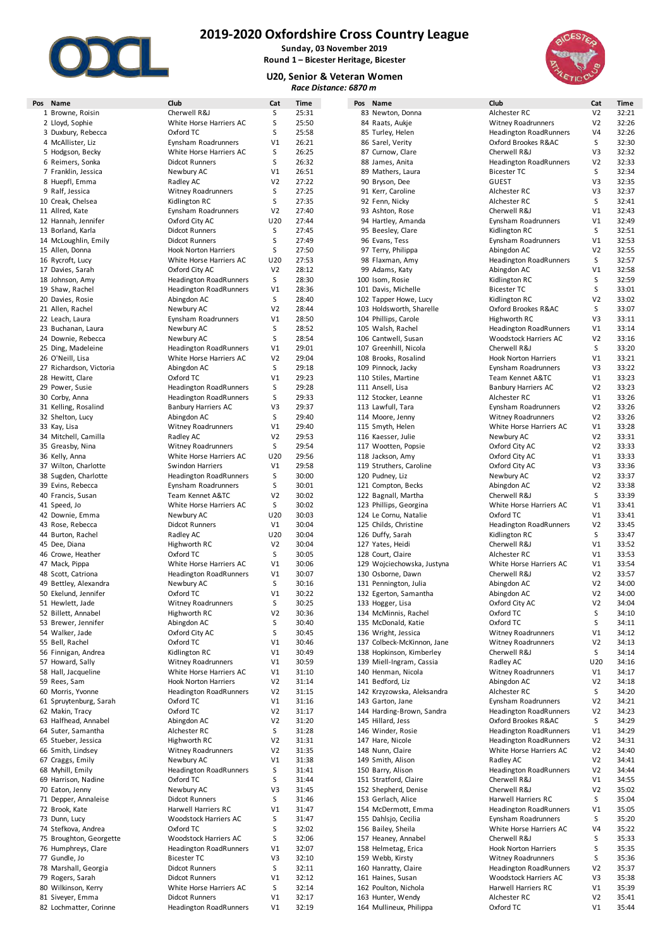

**2019-2020 Oxfordshire Cross Country League Sunday, 03 November 2019**

**Round 1 – Bicester Heritage, Bicester**

**U20, Senior & Veteran Women** *Race Distance: 6870 m*



| Pos Name                | Club                          | Cat            | Time  | Pos Name                   | Club                          | Cat            |
|-------------------------|-------------------------------|----------------|-------|----------------------------|-------------------------------|----------------|
| 1 Browne, Roisin        | Cherwell R&J                  | S              | 25:31 | 83 Newton, Donna           | Alchester RC                  | V <sub>2</sub> |
| 2 Lloyd, Sophie         | White Horse Harriers AC       | S              | 25:50 | 84 Raats, Aukje            | <b>Witney Roadrunners</b>     | V <sub>2</sub> |
| 3 Duxbury, Rebecca      | Oxford TC                     | S              | 25:58 | 85 Turley, Helen           | <b>Headington RoadRunners</b> | V <sub>4</sub> |
| 4 McAllister, Liz       | Eynsham Roadrunners           | V1             | 26:21 | 86 Sarel, Verity           | Oxford Brookes R&AC           | S              |
| 5 Hodgson, Becky        | White Horse Harriers AC       | S              | 26:25 | 87 Curnow, Clare           | Cherwell R&J                  | V3             |
| 6 Reimers, Sonka        | <b>Didcot Runners</b>         | S              | 26:32 | 88 James, Anita            | <b>Headington RoadRunners</b> | V <sub>2</sub> |
| 7 Franklin, Jessica     | Newbury AC                    | V1             | 26:51 | 89 Mathers, Laura          | <b>Bicester TC</b>            | S              |
|                         |                               | V <sub>2</sub> | 27:22 |                            | <b>GUEST</b>                  | V3             |
| 8 Huepfl, Emma          | Radley AC                     |                |       | 90 Bryson, Dee             |                               |                |
| 9 Ralf, Jessica         | <b>Witney Roadrunners</b>     | S              | 27:25 | 91 Kerr, Caroline          | Alchester RC                  | V3             |
| 10 Creak, Chelsea       | Kidlington RC                 | S              | 27:35 | 92 Fenn, Nicky             | Alchester RC                  | S              |
| 11 Allred, Kate         | Eynsham Roadrunners           | V <sub>2</sub> | 27:40 | 93 Ashton, Rose            | Cherwell R&J                  | V1             |
| 12 Hannah, Jennifer     | Oxford City AC                | U20            | 27:44 | 94 Hartley, Amanda         | Eynsham Roadrunners           | V1             |
| 13 Borland, Karla       | <b>Didcot Runners</b>         | S              | 27:45 | 95 Beesley, Clare          | Kidlington RC                 | S              |
| 14 McLoughlin, Emily    | <b>Didcot Runners</b>         | S              | 27:49 | 96 Evans, Tess             | Eynsham Roadrunners           | V1             |
| 15 Allen, Donna         | <b>Hook Norton Harriers</b>   | S              | 27:50 | 97 Terry, Philippa         | Abingdon AC                   | V <sub>2</sub> |
| 16 Rycroft, Lucy        | White Horse Harriers AC       | U20            | 27:53 | 98 Flaxman, Amy            | <b>Headington RoadRunners</b> | S              |
| 17 Davies, Sarah        | Oxford City AC                | V <sub>2</sub> | 28:12 | 99 Adams, Katy             | Abingdon AC                   | V1             |
| 18 Johnson, Amy         | <b>Headington RoadRunners</b> | S              | 28:30 | 100 Isom, Rosie            | Kidlington RC                 | S              |
|                         |                               | V1             | 28:36 | 101 Davis, Michelle        | <b>Bicester TC</b>            | S              |
| 19 Shaw, Rachel         | <b>Headington RoadRunners</b> |                |       |                            |                               |                |
| 20 Davies, Rosie        | Abingdon AC                   | S              | 28:40 | 102 Tapper Howe, Lucy      | Kidlington RC                 | V <sub>2</sub> |
| 21 Allen, Rachel        | Newbury AC                    | V <sub>2</sub> | 28:44 | 103 Holdsworth, Sharelle   | Oxford Brookes R&AC           | S              |
| 22 Leach, Laura         | Eynsham Roadrunners           | V1             | 28:50 | 104 Phillips, Carole       | Highworth RC                  | V3             |
| 23 Buchanan, Laura      | Newbury AC                    | S              | 28:52 | 105 Walsh, Rachel          | Headington RoadRunners        | V1             |
| 24 Downie, Rebecca      | Newbury AC                    | S              | 28:54 | 106 Cantwell, Susan        | <b>Woodstock Harriers AC</b>  | V <sub>2</sub> |
| 25 Ding, Madeleine      | <b>Headington RoadRunners</b> | V1             | 29:01 | 107 Greenhill, Nicola      | Cherwell R&J                  | S              |
| 26 O'Neill, Lisa        | White Horse Harriers AC       | V <sub>2</sub> | 29:04 | 108 Brooks, Rosalind       | <b>Hook Norton Harriers</b>   | V1             |
| 27 Richardson, Victoria | Abingdon AC                   | S              | 29:18 | 109 Pinnock, Jacky         | Eynsham Roadrunners           | V3             |
| 28 Hewitt, Clare        | Oxford TC                     | V1             | 29:23 | 110 Stiles, Martine        | Team Kennet A&TC              | V1             |
|                         |                               | S              | 29:28 |                            |                               | V <sub>2</sub> |
| 29 Power, Susie         | <b>Headington RoadRunners</b> |                |       | 111 Ansell, Lisa           | <b>Banbury Harriers AC</b>    |                |
| 30 Corby, Anna          | <b>Headington RoadRunners</b> | S              | 29:33 | 112 Stocker, Leanne        | Alchester RC                  | V1             |
| 31 Kelling, Rosalind    | <b>Banbury Harriers AC</b>    | V3             | 29:37 | 113 Lawfull, Tara          | Eynsham Roadrunners           | V <sub>2</sub> |
| 32 Shelton, Lucy        | Abingdon AC                   | S              | 29:40 | 114 Moore, Jenny           | <b>Witney Roadrunners</b>     | V <sub>2</sub> |
| 33 Kay, Lisa            | <b>Witney Roadrunners</b>     | V1             | 29:40 | 115 Smyth, Helen           | White Horse Harriers AC       | V1             |
| 34 Mitchell, Camilla    | Radley AC                     | V <sub>2</sub> | 29:53 | 116 Kaesser, Julie         | Newbury AC                    | V <sub>2</sub> |
| 35 Greasby, Nina        | <b>Witney Roadrunners</b>     | S              | 29:54 | 117 Wootten, Popsie        | Oxford City AC                | V <sub>2</sub> |
| 36 Kelly, Anna          | White Horse Harriers AC       | U20            | 29:56 | 118 Jackson, Amy           | Oxford City AC                | V1             |
| 37 Wilton, Charlotte    | Swindon Harriers              | V1             | 29:58 | 119 Struthers, Caroline    | Oxford City AC                | V3             |
| 38 Sugden, Charlotte    | <b>Headington RoadRunners</b> | S              | 30:00 | 120 Pudney, Liz            | Newbury AC                    | V <sub>2</sub> |
| 39 Evins, Rebecca       | Eynsham Roadrunners           | S              | 30:01 | 121 Compton, Becks         | Abingdon AC                   | V <sub>2</sub> |
| 40 Francis, Susan       | Team Kennet A&TC              | V <sub>2</sub> | 30:02 | 122 Bagnall, Martha        | Cherwell R&J                  | S              |
|                         |                               |                |       |                            |                               |                |
| 41 Speed, Jo            | White Horse Harriers AC       | S              | 30:02 | 123 Phillips, Georgina     | White Horse Harriers AC       | V1             |
| 42 Downie, Emma         | Newbury AC                    | U20            | 30:03 | 124 Le Cornu, Natalie      | Oxford TC                     | V1             |
| 43 Rose, Rebecca        | <b>Didcot Runners</b>         | V1             | 30:04 | 125 Childs, Christine      | <b>Headington RoadRunners</b> | V <sub>2</sub> |
| 44 Burton, Rachel       | Radley AC                     | U20            | 30:04 | 126 Duffy, Sarah           | Kidlington RC                 | S              |
| 45 Dee, Diana           | Highworth RC                  | V <sub>2</sub> | 30:04 | 127 Yates, Heidi           | Cherwell R&J                  | V1             |
| 46 Crowe, Heather       | Oxford TC                     | S              | 30:05 | 128 Court, Claire          | Alchester RC                  | V1             |
| 47 Mack, Pippa          | White Horse Harriers AC       | V1             | 30:06 | 129 Wojciechowska, Justyna | White Horse Harriers AC       | V1             |
| 48 Scott, Catriona      | <b>Headington RoadRunners</b> | V1             | 30:07 | 130 Osborne, Dawn          | Cherwell R&J                  | V <sub>2</sub> |
| 49 Bettley, Alexandra   | Newbury AC                    | S              | 30:16 | 131 Pennington, Julia      | Abingdon AC                   | V <sub>2</sub> |
| 50 Ekelund, Jennifer    | Oxford TC                     | V1             | 30:22 | 132 Egerton, Samantha      | Abingdon AC                   | V <sub>2</sub> |
| 51 Hewlett, Jade        | <b>Witney Roadrunners</b>     | S              | 30:25 | 133 Hogger, Lisa           | Oxford City AC                | V <sub>2</sub> |
|                         |                               |                |       |                            |                               |                |
| 52 Billett, Annabel     | Highworth RC                  | V <sub>2</sub> | 30:36 | 134 McMinnis, Rachel       | Oxford TC                     | S              |
| 53 Brewer, Jennifer     | Abingdon AC                   | S              | 30:40 | 135 McDonald, Katie        | Oxford TC                     | S              |
| 54 Walker, Jade         | Oxford City AC                | S              | 30:45 | 136 Wright, Jessica        | <b>Witney Roadrunners</b>     | V1             |
| 55 Bell, Rachel         | Oxford TC                     | V1             | 30:46 | 137 Colbeck-McKinnon, Jane | <b>Witney Roadrunners</b>     | V <sub>2</sub> |
| 56 Finnigan, Andrea     | Kidlington RC                 | V1             | 30:49 | 138 Hopkinson, Kimberley   | Cherwell R&J                  | S              |
| 57 Howard, Sally        | <b>Witney Roadrunners</b>     | V1             | 30:59 | 139 Miell-Ingram, Cassia   | Radley AC                     | U20            |
| 58 Hall, Jacqueline     | White Horse Harriers AC       | V1             | 31:10 | 140 Henman, Nicola         | <b>Witney Roadrunners</b>     | V1             |
| 59 Rees, Sam            | <b>Hook Norton Harriers</b>   | V <sub>2</sub> | 31:14 | 141 Bedford, Liz           | Abingdon AC                   | V <sub>2</sub> |
| 60 Morris, Yvonne       | <b>Headington RoadRunners</b> | V <sub>2</sub> | 31:15 | 142 Krzyzowska, Aleksandra | Alchester RC                  | S              |
| 61 Spruytenburg, Sarah  | Oxford TC                     | V1             | 31:16 | 143 Garton, Jane           | Eynsham Roadrunners           | V <sub>2</sub> |
|                         |                               |                |       |                            |                               |                |
| 62 Makin, Tracy         | Oxford TC                     | V <sub>2</sub> | 31:17 | 144 Harding-Brown, Sandra  | <b>Headington RoadRunners</b> | V <sub>2</sub> |
| 63 Halfhead, Annabel    | Abingdon AC                   | V <sub>2</sub> | 31:20 | 145 Hillard, Jess          | Oxford Brookes R&AC           | S              |
| 64 Suter, Samantha      | Alchester RC                  | S              | 31:28 | 146 Winder, Rosie          | <b>Headington RoadRunners</b> | V1             |
| 65 Stueber, Jessica     | Highworth RC                  | V <sub>2</sub> | 31:31 | 147 Hare, Nicole           | <b>Headington RoadRunners</b> | V <sub>2</sub> |
| 66 Smith, Lindsey       | <b>Witney Roadrunners</b>     | V <sub>2</sub> | 31:35 | 148 Nunn, Claire           | White Horse Harriers AC       | V <sub>2</sub> |
| 67 Craggs, Emily        | Newbury AC                    | V1             | 31:38 | 149 Smith, Alison          | Radley AC                     | V <sub>2</sub> |
| 68 Myhill, Emily        | <b>Headington RoadRunners</b> | S              | 31:41 | 150 Barry, Alison          | <b>Headington RoadRunners</b> | V <sub>2</sub> |
| 69 Harrison, Nadine     | Oxford TC                     | S              | 31:44 | 151 Stratford, Claire      | Cherwell R&J                  | V1             |
| 70 Eaton, Jenny         | Newbury AC                    | V3             | 31:45 | 152 Shepherd, Denise       | Cherwell R&J                  | V <sub>2</sub> |
| 71 Depper, Annaleise    | <b>Didcot Runners</b>         | S              | 31:46 | 153 Gerlach, Alice         | Harwell Harriers RC           | S              |
| 72 Brook, Kate          | Harwell Harriers RC           | V1             | 31:47 | 154 McDermott, Emma        | <b>Headington RoadRunners</b> | V1             |
| 73 Dunn, Lucy           | Woodstock Harriers AC         | S              | 31:47 | 155 Dahlsjo, Cecilia       | Eynsham Roadrunners           | S              |
|                         |                               |                |       |                            |                               |                |
| 74 Stefkova, Andrea     | Oxford TC                     | S              | 32:02 | 156 Bailey, Sheila         | White Horse Harriers AC       | V <sub>4</sub> |
| 75 Broughton, Georgette | Woodstock Harriers AC         | S              | 32:06 | 157 Heaney, Annabel        | Cherwell R&J                  | S              |
| 76 Humphreys, Clare     | <b>Headington RoadRunners</b> | V1             | 32:07 | 158 Helmetag, Erica        | <b>Hook Norton Harriers</b>   | S              |
| 77 Gundle, Jo           | <b>Bicester TC</b>            | V3             | 32:10 | 159 Webb, Kirsty           | <b>Witney Roadrunners</b>     | S              |
| 78 Marshall, Georgia    | <b>Didcot Runners</b>         | S              | 32:11 | 160 Hanratty, Claire       | <b>Headington RoadRunners</b> | V <sub>2</sub> |
| 79 Rogers, Sarah        | <b>Didcot Runners</b>         | V1             | 32:12 | 161 Haines, Susan          | Woodstock Harriers AC         | V3             |
| 80 Wilkinson, Kerry     | White Horse Harriers AC       | S              | 32:14 | 162 Poulton, Nichola       | Harwell Harriers RC           | V1             |
| 81 Siveyer, Emma        | <b>Didcot Runners</b>         | V1             | 32:17 | 163 Hunter, Wendy          | Alchester RC                  | V <sub>2</sub> |
| 82 Lochmatter, Corinne  | <b>Headington RoadRunners</b> | V1             | 32:19 | 164 Mullineux, Philippa    | Oxford TC                     | V1             |
|                         |                               |                |       |                            |                               |                |

| Club                                                     | Cat                              | <b>Time</b>    |
|----------------------------------------------------------|----------------------------------|----------------|
| Alchester RC                                             | V2                               | 32:21          |
| <b>Witney Roadrunners</b>                                | V <sub>2</sub><br>V <sub>4</sub> | 32:26          |
| <b>Headington RoadRunners</b><br>Oxford Brookes R&AC     | S                                | 32:26<br>32:30 |
| Cherwell R&J                                             | V3                               | 32:32          |
| <b>Headington RoadRunners</b>                            | V <sub>2</sub>                   | 32:33          |
| <b>Bicester TC</b>                                       | S                                | 32:34          |
| <b>GUEST</b>                                             | V3                               | 32:35          |
| Alchester RC<br>Alchester RC                             | V3<br>S                          | 32:37<br>32:41 |
| Cherwell R&J                                             | V <sub>1</sub>                   | 32:43          |
| Eynsham Roadrunners                                      | V1                               | 32:49          |
| Kidlington RC                                            | S                                | 32:51          |
| Eynsham Roadrunners                                      | V1                               | 32:53          |
| Abingdon AC                                              | V <sub>2</sub>                   | 32:55          |
| <b>Headington RoadRunners</b>                            | S                                | 32:57          |
| Abingdon AC<br>Kidlington RC                             | V <sub>1</sub><br>S              | 32:58<br>32:59 |
| <b>Bicester TC</b>                                       | S                                | 33:01          |
| Kidlington RC                                            | V <sub>2</sub>                   | 33:02          |
| Oxford Brookes R&AC                                      | S                                | 33:07          |
| Highworth RC                                             | V3                               | 33:11          |
| <b>Headington RoadRunners</b>                            | V1                               | 33:14          |
| <b>Woodstock Harriers AC</b><br>Cherwell R&I             | V <sub>2</sub>                   | 33:16          |
| <b>Hook Norton Harriers</b>                              | S<br>V <sub>1</sub>              | 33:20<br>33:21 |
| Eynsham Roadrunners                                      | V <sub>3</sub>                   | 33:22          |
| Team Kennet A&TC                                         | V1                               | 33:23          |
| <b>Banbury Harriers AC</b>                               | V <sub>2</sub>                   | 33:23          |
| Alchester RC                                             | V1                               | 33:26          |
| Eynsham Roadrunners                                      | V <sub>2</sub>                   | 33:26          |
| <b>Witney Roadrunners</b>                                | V <sub>2</sub>                   | 33:26          |
| White Horse Harriers AC                                  | V1<br>V <sub>2</sub>             | 33:28<br>33:31 |
| Newbury AC<br>Oxford City AC                             | V <sub>2</sub>                   | 33:33          |
| Oxford City AC                                           | V <sub>1</sub>                   | 33:33          |
| Oxford City AC                                           | V3                               | 33:36          |
| Newbury AC                                               | V <sub>2</sub>                   | 33:37          |
| Abingdon AC                                              | V <sub>2</sub>                   | 33:38          |
| Cherwell R&J                                             | S                                | 33:39          |
| White Horse Harriers AC<br>Oxford TC                     | V1<br>V <sub>1</sub>             | 33:41<br>33:41 |
| <b>Headington RoadRunners</b>                            | V <sub>2</sub>                   | 33:45          |
| Kidlington RC                                            | S                                | 33:47          |
| Cherwell R&J                                             | V <sub>1</sub>                   | 33:52          |
| Alchester RC                                             | V <sub>1</sub>                   | 33:53          |
| White Horse Harriers AC                                  | V1                               | 33:54          |
| Cherwell R&J                                             | V <sub>2</sub>                   | 33:57          |
| Abingdon AC<br>Abingdon AC                               | V <sub>2</sub><br>V2             | 34:00<br>34:00 |
| Oxford City AC                                           | V2                               | 34:04          |
| Oxford TC                                                | S                                | 34:10          |
| Oxford TC                                                | S                                | 34:11          |
| <b>Witney Roadrunners</b>                                | V1                               | 34:12          |
| Witney Roadrunners                                       | V <sub>2</sub>                   | 34:13          |
| Cherwell R&J                                             | S                                | 34:14          |
| Radley AC<br><b>Witney Roadrunners</b>                   | U20<br>V1                        | 34:16<br>34:17 |
| Abingdon AC                                              | V <sub>2</sub>                   | 34:18          |
| Alchester RC                                             | S                                | 34:20          |
| Eynsham Roadrunners                                      | V <sub>2</sub>                   | 34:21          |
| <b>Headington RoadRunners</b>                            | V <sub>2</sub>                   | 34:23          |
| Oxford Brookes R&AC                                      | S                                | 34:29          |
| <b>Headington RoadRunners</b>                            | V1                               | 34:29          |
| <b>Headington RoadRunners</b><br>White Horse Harriers AC | V <sub>2</sub><br>V <sub>2</sub> | 34:31<br>34:40 |
| Radley AC                                                | V <sub>2</sub>                   | 34:41          |
| <b>Headington RoadRunners</b>                            | V <sub>2</sub>                   | 34:44          |
| Cherwell R&J                                             | V1                               | 34:55          |
| Cherwell R&J                                             | V <sub>2</sub>                   | 35:02          |
| Harwell Harriers RC                                      | S                                | 35:04          |
| <b>Headington RoadRunners</b>                            | V1                               | 35:05          |
| Eynsham Roadrunners                                      | S<br>V <sub>4</sub>              | 35:20          |
| White Horse Harriers AC<br>Cherwell R&J                  | S                                | 35:22<br>35:33 |
| <b>Hook Norton Harriers</b>                              | S                                | 35:35          |
| <b>Witney Roadrunners</b>                                | S                                | 35:36          |
| <b>Headington RoadRunners</b>                            | V <sub>2</sub>                   | 35:37          |
| <b>Woodstock Harriers AC</b>                             | V3                               | 35:38          |
| Harwell Harriers RC                                      | V1                               | 35:39          |
| Alchester RC<br>Oxford TC                                | V <sub>2</sub><br>V1             | 35:41          |
|                                                          |                                  | 35:44          |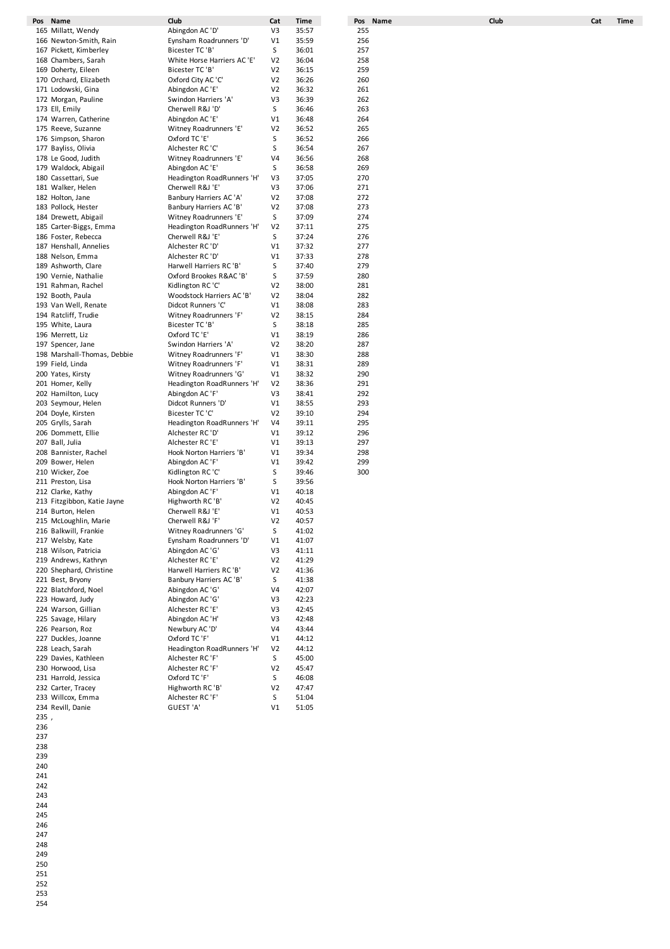|      | Pos Name                    | Club                       | Cat            | Time  | Pos Name | Club | Cat | Time |
|------|-----------------------------|----------------------------|----------------|-------|----------|------|-----|------|
|      | 165 Millatt, Wendy          | Abingdon AC 'D'            | V3             | 35:57 | 255      |      |     |      |
|      | 166 Newton-Smith, Rain      | Eynsham Roadrunners 'D'    | V1             | 35:59 | 256      |      |     |      |
|      |                             |                            |                |       |          |      |     |      |
|      | 167 Pickett, Kimberley      | Bicester TC 'B'            | S              | 36:01 | 257      |      |     |      |
|      | 168 Chambers, Sarah         | White Horse Harriers AC'E' | V <sub>2</sub> | 36:04 | 258      |      |     |      |
|      | 169 Doherty, Eileen         | Bicester TC 'B'            | V <sub>2</sub> | 36:15 | 259      |      |     |      |
|      | 170 Orchard, Elizabeth      | Oxford City AC 'C'         | V <sub>2</sub> | 36:26 | 260      |      |     |      |
|      | 171 Lodowski, Gina          | Abingdon AC 'E'            | V <sub>2</sub> | 36:32 | 261      |      |     |      |
|      |                             |                            |                |       |          |      |     |      |
|      | 172 Morgan, Pauline         | Swindon Harriers 'A'       | V3             | 36:39 | 262      |      |     |      |
|      | 173 Ell, Emily              | Cherwell R&J 'D'           | S              | 36:46 | 263      |      |     |      |
|      | 174 Warren, Catherine       | Abingdon AC 'E'            | V1             | 36:48 | 264      |      |     |      |
|      | 175 Reeve, Suzanne          | Witney Roadrunners 'E'     | V <sub>2</sub> | 36:52 | 265      |      |     |      |
|      | 176 Simpson, Sharon         | Oxford TC 'E'              | S              | 36:52 | 266      |      |     |      |
|      | 177 Bayliss, Olivia         | Alchester RC 'C'           | S              | 36:54 | 267      |      |     |      |
|      |                             |                            |                |       |          |      |     |      |
|      | 178 Le Good, Judith         | Witney Roadrunners 'E'     | V <sub>4</sub> | 36:56 | 268      |      |     |      |
|      | 179 Waldock, Abigail        | Abingdon AC 'E'            | S              | 36:58 | 269      |      |     |      |
|      | 180 Cassettari, Sue         | Headington RoadRunners 'H' | V3             | 37:05 | 270      |      |     |      |
|      | 181 Walker, Helen           | Cherwell R&J 'E'           | V3             | 37:06 | 271      |      |     |      |
|      | 182 Holton, Jane            | Banbury Harriers AC 'A'    | V <sub>2</sub> | 37:08 | 272      |      |     |      |
|      | 183 Pollock, Hester         | Banbury Harriers AC 'B'    | V <sub>2</sub> | 37:08 | 273      |      |     |      |
|      |                             |                            |                |       |          |      |     |      |
|      | 184 Drewett, Abigail        | Witney Roadrunners 'E'     | S              | 37:09 | 274      |      |     |      |
|      | 185 Carter-Biggs, Emma      | Headington RoadRunners 'H' | V <sub>2</sub> | 37:11 | 275      |      |     |      |
|      | 186 Foster, Rebecca         | Cherwell R&J 'E'           | S              | 37:24 | 276      |      |     |      |
|      | 187 Henshall, Annelies      | Alchester RC 'D'           | V1             | 37:32 | 277      |      |     |      |
|      | 188 Nelson, Emma            | Alchester RC 'D'           | V1             | 37:33 | 278      |      |     |      |
|      |                             | Harwell Harriers RC 'B'    |                |       |          |      |     |      |
|      | 189 Ashworth, Clare         |                            | S              | 37:40 | 279      |      |     |      |
|      | 190 Vernie, Nathalie        | Oxford Brookes R&AC 'B'    | S              | 37:59 | 280      |      |     |      |
|      | 191 Rahman, Rachel          | Kidlington RC 'C'          | V <sub>2</sub> | 38:00 | 281      |      |     |      |
|      | 192 Booth, Paula            | Woodstock Harriers AC 'B'  | V <sub>2</sub> | 38:04 | 282      |      |     |      |
|      | 193 Van Well, Renate        | Didcot Runners 'C'         | V1             | 38:08 | 283      |      |     |      |
|      | 194 Ratcliff, Trudie        | Witney Roadrunners 'F'     | V <sub>2</sub> | 38:15 | 284      |      |     |      |
|      |                             |                            |                |       |          |      |     |      |
|      | 195 White, Laura            | Bicester TC 'B'            | S              | 38:18 | 285      |      |     |      |
|      | 196 Merrett, Liz            | Oxford TC 'E'              | V1             | 38:19 | 286      |      |     |      |
|      | 197 Spencer, Jane           | Swindon Harriers 'A'       | V <sub>2</sub> | 38:20 | 287      |      |     |      |
|      | 198 Marshall-Thomas, Debbie | Witney Roadrunners 'F'     | V1             | 38:30 | 288      |      |     |      |
|      | 199 Field, Linda            | Witney Roadrunners 'F'     | V1             | 38:31 | 289      |      |     |      |
|      | 200 Yates, Kirsty           | Witney Roadrunners 'G'     | V1             | 38:32 | 290      |      |     |      |
|      |                             |                            |                |       | 291      |      |     |      |
|      | 201 Homer, Kelly            | Headington RoadRunners 'H' | V <sub>2</sub> | 38:36 |          |      |     |      |
|      | 202 Hamilton, Lucy          | Abingdon AC 'F'            | V3             | 38:41 | 292      |      |     |      |
|      | 203 Seymour, Helen          | Didcot Runners 'D'         | V1             | 38:55 | 293      |      |     |      |
|      | 204 Doyle, Kirsten          | Bicester TC 'C'            | V <sub>2</sub> | 39:10 | 294      |      |     |      |
|      | 205 Grylls, Sarah           | Headington RoadRunners 'H' | V4             | 39:11 | 295      |      |     |      |
|      | 206 Dommett, Ellie          | Alchester RC 'D'           | V1             | 39:12 | 296      |      |     |      |
|      | 207 Ball, Julia             | Alchester RC 'E'           | V1             | 39:13 | 297      |      |     |      |
|      |                             |                            |                |       |          |      |     |      |
|      | 208 Bannister, Rachel       | Hook Norton Harriers 'B'   | V1             | 39:34 | 298      |      |     |      |
|      | 209 Bower, Helen            | Abingdon AC 'F'            | V1             | 39:42 | 299      |      |     |      |
|      | 210 Wicker, Zoe             | Kidlington RC 'C'          | S              | 39:46 | 300      |      |     |      |
|      | 211 Preston, Lisa           | Hook Norton Harriers 'B'   | S              | 39:56 |          |      |     |      |
|      | 212 Clarke, Kathy           | Abingdon AC 'F'            | V1             | 40:18 |          |      |     |      |
|      | 213 Fitzgibbon, Katie Jayne | Highworth RC 'B'           | V <sub>2</sub> | 40:45 |          |      |     |      |
|      |                             |                            |                |       |          |      |     |      |
|      | 214 Burton, Helen           | Cherwell R&J 'E'           | V1             | 40:53 |          |      |     |      |
|      | 215 McLoughlin, Marie       | Cherwell R&J 'F'           | V2             | 40:57 |          |      |     |      |
|      | 216 Balkwill, Frankie       | Witney Roadrunners 'G'     | S              | 41:02 |          |      |     |      |
|      | 217 Welsby, Kate            | Eynsham Roadrunners 'D'    | V1             | 41:07 |          |      |     |      |
|      | 218 Wilson, Patricia        | Abingdon AC 'G'            | V3             | 41:11 |          |      |     |      |
|      | 219 Andrews, Kathryn        | Alchester RC 'E'           | V <sub>2</sub> | 41:29 |          |      |     |      |
|      | 220 Shephard, Christine     | Harwell Harriers RC 'B'    | V <sub>2</sub> | 41:36 |          |      |     |      |
|      |                             |                            |                |       |          |      |     |      |
|      | 221 Best, Bryony            | Banbury Harriers AC 'B'    | S              | 41:38 |          |      |     |      |
|      | 222 Blatchford, Noel        | Abingdon AC 'G'            | V <sub>4</sub> | 42:07 |          |      |     |      |
|      | 223 Howard, Judy            | Abingdon AC 'G'            | V3             | 42:23 |          |      |     |      |
|      | 224 Warson, Gillian         | Alchester RC 'E'           | V3             | 42:45 |          |      |     |      |
|      | 225 Savage, Hilary          | Abingdon AC 'H'            | V3             | 42:48 |          |      |     |      |
|      | 226 Pearson, Roz            | Newbury AC 'D'             | V <sub>4</sub> | 43:44 |          |      |     |      |
|      |                             |                            |                |       |          |      |     |      |
|      | 227 Duckles, Joanne         | Oxford TC 'F'              | V1             | 44:12 |          |      |     |      |
|      | 228 Leach, Sarah            | Headington RoadRunners 'H' | V <sub>2</sub> | 44:12 |          |      |     |      |
|      | 229 Davies, Kathleen        | Alchester RC 'F'           | S              | 45:00 |          |      |     |      |
|      | 230 Horwood, Lisa           | Alchester RC 'F'           | V <sub>2</sub> | 45:47 |          |      |     |      |
|      | 231 Harrold, Jessica        | Oxford TC 'F'              | S              | 46:08 |          |      |     |      |
|      | 232 Carter, Tracey          | Highworth RC 'B'           | V <sub>2</sub> | 47:47 |          |      |     |      |
|      |                             | Alchester RC 'F'           |                |       |          |      |     |      |
|      | 233 Willcox, Emma           |                            | S              | 51:04 |          |      |     |      |
|      | 234 Revill, Danie           | GUEST 'A'                  | V1             | 51:05 |          |      |     |      |
| 235, |                             |                            |                |       |          |      |     |      |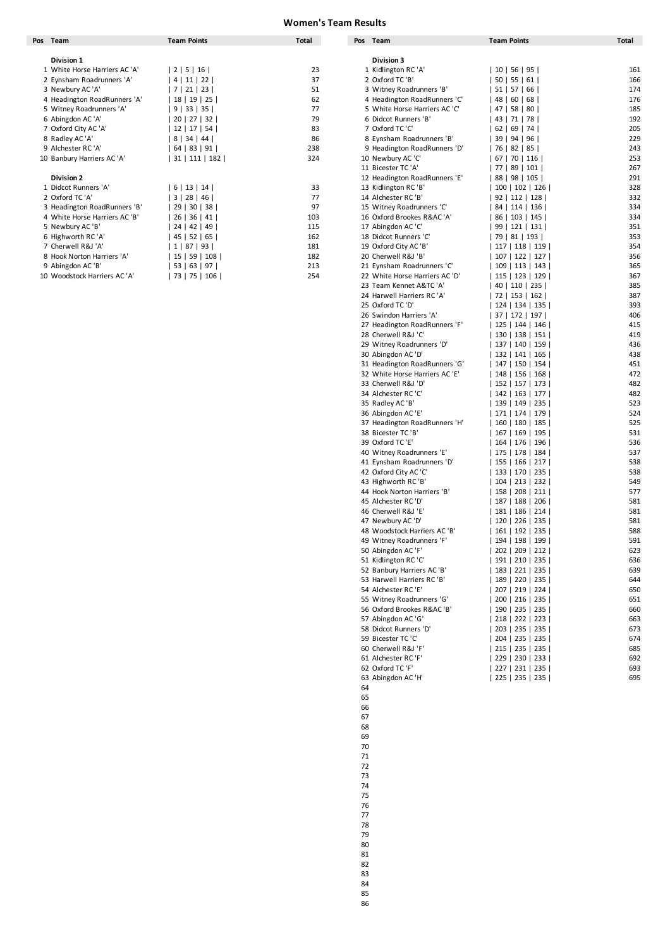| Pos Team                      | <b>Team Points</b> | Total | Pos Team                       | <b>Team Points</b>   | <b>Total</b> |
|-------------------------------|--------------------|-------|--------------------------------|----------------------|--------------|
|                               |                    |       |                                |                      |              |
| Division 1                    |                    |       | <b>Division 3</b>              |                      |              |
| 1 White Horse Harriers AC 'A' | 2   5   16         | 23    | 1 Kidlington RC 'A'            | 10   56   95         | 161          |
| 2 Eynsham Roadrunners 'A'     | 4   11  <br>  22   | 37    | 2 Oxford TC 'B'                | $50$   55   61       | 166          |
| 3 Newbury AC 'A'              | 21  <br>23<br>7    | 51    | 3 Witney Roadrunners 'B'       | $51$   57<br> 66     | 174          |
| 4 Headington RoadRunners 'A'  | 18   19  <br> 25   | 62    | 4 Headington RoadRunners 'C'   | 48  <br>60   68      | 176          |
| 5 Witney Roadrunners 'A'      | 9   33  <br>35     | 77    | 5 White Horse Harriers AC 'C'  | 47 I<br>58   80      | 185          |
| 6 Abingdon AC 'A'             | 20   27   32       | 79    | 6 Didcot Runners 'B'           | 43   71   78         | 192          |
| 7 Oxford City AC 'A'          | $12$   17  <br>54  | 83    | 7 Oxford TC 'C'                | $62$  <br>69<br> 74  | 205          |
| 8 Radley AC 'A'               | 8   34   44        | 86    | 8 Eynsham Roadrunners 'B'      | 39   94   96         | 229          |
| 9 Alchester RC 'A'            | 83   91<br>64      | 238   | 9 Headington RoadRunners 'D'   | 82   85  <br>76 I    | 243          |
| 10 Banbury Harriers AC 'A'    | 31   111   182     | 324   | 10 Newbury AC 'C'              | $67$   70   116      | 253          |
|                               |                    |       | 11 Bicester TC 'A'             | 89   101  <br>77 I   | 267          |
| <b>Division 2</b>             |                    |       | 12 Headington RoadRunners 'E'  | 88   98   105        | 291          |
| 1 Didcot Runners 'A'          | 6   13   14        | 33    | 13 Kidlington RC 'B'           | 100   102   126      | 328          |
| 2 Oxford TC 'A'               | 3   28  <br>46     | 77    | 14 Alchester RC 'B'            | $92$   112   128     | 332          |
| 3 Headington RoadRunners 'B'  | 30<br>29<br>38     | 97    | 15 Witney Roadrunners 'C'      | 114   136<br>84      | 334          |
| 4 White Horse Harriers AC 'B' | 36 <br>26<br>41    | 103   | 16 Oxford Brookes R&AC 'A'     | 86  <br>103   145    | 334          |
| 5 Newbury AC 'B'              | 24<br>42  <br>49   | 115   | 17 Abingdon AC 'C'             | 121   131  <br>99 I  | 351          |
| 6 Highworth RC 'A'            | 45<br>52  <br>65   | 162   | 18 Didcot Runners 'C'          | 79   81   193        | 353          |
| 7 Cherwell R&J 'A'            | 87<br>93<br>1      | 181   | 19 Oxford City AC 'B'          | 118 119 <br>117      | 354          |
| 8 Hook Norton Harriers 'A'    | 15   59  <br>108   | 182   | 20 Cherwell R&J 'B'            | 107   122   127      | 356          |
| 9 Abingdon AC 'B'             | 63 l<br>53<br>  97 | 213   | 21 Eynsham Roadrunners 'C'     | 113 143 <br>109      | 365          |
| 10 Woodstock Harriers AC 'A   | 75<br>73<br>106    | 254   | 22 White Horse Harriers AC 'D' | $115$   123  <br>129 | 367          |

| ıs. | Team                                                       | Team Points              | Total    | Pos | Team                                                    | Team Points                            | Total      |
|-----|------------------------------------------------------------|--------------------------|----------|-----|---------------------------------------------------------|----------------------------------------|------------|
|     |                                                            |                          |          |     |                                                         |                                        |            |
|     | Division 1                                                 |                          |          |     | Division 3                                              |                                        |            |
|     | 1 White Horse Harriers AC 'A'<br>2 Eynsham Roadrunners 'A' | 2 5 16                   | 23<br>37 |     | 1 Kidlington RC 'A'<br>2 Oxford TC 'B'                  | 10   56   95                           | 161<br>166 |
|     | 3 Newbury AC 'A'                                           | 4 11 22<br>  7   21   23 | 51       |     | 3 Witney Roadrunners 'B'                                | 50   55   61  <br>  51   57   66       | 174        |
|     | 4 Headington RoadRunners 'A'                               | 18   19   25             | 62       |     | 4 Headington RoadRunners 'C'                            | 48   60   68                           | 176        |
|     | 5 Witney Roadrunners 'A'                                   | 9   33   35              | 77       |     | 5 White Horse Harriers AC 'C'                           | 47   58   80                           | 185        |
|     | 6 Abingdon AC 'A'                                          | 20   27   32             | 79       |     | 6 Didcot Runners 'B'                                    | 43   71   78                           | 192        |
|     | 7 Oxford City AC 'A'                                       | 12   17   54             | 83       |     | 7 Oxford TC 'C'                                         | 62   69   74                           | 205        |
|     | 8 Radley AC 'A'                                            | 8   34   44              | 86       |     | 8 Eynsham Roadrunners 'B'                               | 39   94   96                           | 229        |
|     | 9 Alchester RC 'A'                                         | 64   83   91             | 238      |     | 9 Headington RoadRunners 'D'                            | 76   82   85                           | 243        |
|     | 10 Banbury Harriers AC 'A'                                 | 31   111   182           | 324      |     | 10 Newbury AC 'C'                                       | 67   70   116                          | 253        |
|     |                                                            |                          |          |     | 11 Bicester TC 'A'                                      | 77   89   101                          | 267        |
|     | <b>Division 2</b>                                          |                          |          |     | 12 Headington RoadRunners 'E'                           | 88   98   105                          | 291        |
|     | 1 Didcot Runners 'A'                                       | 6 13 14                  | 33       |     | 13 Kidlington RC 'B'                                    | 100   102   126                        | 328        |
|     | 2 Oxford TC 'A'                                            | 3   28   46              | 77       |     | 14 Alchester RC 'B'                                     | 92   112   128                         | 332        |
|     | 3 Headington RoadRunners 'B'                               | 29 30 38                 | 97       |     | 15 Witney Roadrunners 'C'                               | 84   114   136                         | 334        |
|     | 4 White Horse Harriers AC 'B'                              | 26 36 41                 | 103      |     | 16 Oxford Brookes R&AC 'A'                              | 86   103   145                         | 334        |
|     | 5 Newbury AC 'B'                                           | 24   42   49             | 115      |     | 17 Abingdon AC 'C'                                      | 99   121   131                         | 351        |
|     | 6 Highworth RC 'A'                                         | 45   52   65             | 162      |     | 18 Didcot Runners 'C'                                   | 79   81   193                          | 353        |
|     | 7 Cherwell R&J 'A'                                         | 1   87   93              | 181      |     | 19 Oxford City AC 'B'                                   | 117   118   119                        | 354        |
|     | 8 Hook Norton Harriers 'A'                                 | 15 59 108                | 182      |     | 20 Cherwell R&J 'B'                                     | 107   122   127                        | 356        |
|     | 9 Abingdon AC 'B'                                          | 53   63   97             | 213      |     | 21 Eynsham Roadrunners 'C'                              | 109   113   143                        | 365        |
|     | 10 Woodstock Harriers AC 'A'                               | 73   75   106            | 254      |     | 22 White Horse Harriers AC 'D'                          | 115   123   129                        | 367        |
|     |                                                            |                          |          |     | 23 Team Kennet A&TC 'A'                                 | 40   110   235                         | 385        |
|     |                                                            |                          |          |     | 24 Harwell Harriers RC 'A'                              | 72   153   162                         | 387        |
|     |                                                            |                          |          |     | 25 Oxford TC 'D'                                        | 124   134   135                        | 393        |
|     |                                                            |                          |          |     | 26 Swindon Harriers 'A'                                 | 37   172   197                         | 406<br>415 |
|     |                                                            |                          |          |     | 27 Headington RoadRunners 'F'<br>28 Cherwell R&J 'C'    | 125   144   146  <br>  130   138   151 | 419        |
|     |                                                            |                          |          |     | 29 Witney Roadrunners 'D'                               | 137   140   159                        | 436        |
|     |                                                            |                          |          |     | 30 Abingdon AC 'D'                                      | 132   141   165                        | 438        |
|     |                                                            |                          |          |     | 31 Headington RoadRunners 'G'                           | 147   150   154                        | 451        |
|     |                                                            |                          |          |     | 32 White Horse Harriers AC 'E'                          | 148   156   168                        | 472        |
|     |                                                            |                          |          |     | 33 Cherwell R&J 'D'                                     | 152   157   173                        | 482        |
|     |                                                            |                          |          |     | 34 Alchester RC 'C'                                     | 142   163   177                        | 482        |
|     |                                                            |                          |          |     | 35 Radley AC 'B'                                        | 139   149   235                        | 523        |
|     |                                                            |                          |          |     | 36 Abingdon AC 'E'                                      | 171   174   179                        | 524        |
|     |                                                            |                          |          |     | 37 Headington RoadRunners 'H'                           | 160   180   185                        | 525        |
|     |                                                            |                          |          |     | 38 Bicester TC 'B'                                      | 167   169   195                        | 531        |
|     |                                                            |                          |          |     | 39 Oxford TC 'E'                                        | 164   176   196                        | 536        |
|     |                                                            |                          |          |     | 40 Witney Roadrunners 'E'                               | 175   178   184                        | 537        |
|     |                                                            |                          |          |     | 41 Eynsham Roadrunners 'D'                              | 155   166   217                        | 538        |
|     |                                                            |                          |          |     | 42 Oxford City AC 'C'                                   | 133   170   235                        | 538        |
|     |                                                            |                          |          |     | 43 Highworth RC 'B'                                     | 104   213   232                        | 549        |
|     |                                                            |                          |          |     | 44 Hook Norton Harriers 'B'                             | 158   208   211                        | 577        |
|     |                                                            |                          |          |     | 45 Alchester RC 'D'                                     | 187   188   206                        | 581        |
|     |                                                            |                          |          |     | 46 Cherwell R&J 'E                                      | 181   186   214                        | 581        |
|     |                                                            |                          |          |     | 47 Newbury AC 'D'                                       | 120   226   235                        | 581        |
|     |                                                            |                          |          |     | 48 Woodstock Harriers AC 'B'                            | 161   192   235                        | 588        |
|     |                                                            |                          |          |     | 49 Witney Roadrunners 'F'                               | 194   198   199                        | 591        |
|     |                                                            |                          |          |     | 50 Abingdon AC 'F'                                      | 202   209   212                        | 623        |
|     |                                                            |                          |          |     | 51 Kidlington RC 'C'                                    | 191   210   235<br>  183   221   235   | 636<br>639 |
|     |                                                            |                          |          |     | 52 Banbury Harriers AC 'B'<br>53 Harwell Harriers RC'B' | 189   220   235                        | 644        |
|     |                                                            |                          |          |     | 54 Alchester RC 'E'                                     | 207   219   224                        | 650        |
|     |                                                            |                          |          |     | 55 Witney Roadrunners 'G'                               | 200   216   235                        | 651        |
|     |                                                            |                          |          |     | 56 Oxford Brookes R&AC 'B'                              | 190   235   235                        | 660        |
|     |                                                            |                          |          |     | 57 Abingdon AC 'G'                                      | 218   222   223                        | 663        |
|     |                                                            |                          |          |     | 58 Didcot Runners 'D'                                   | 203   235   235                        | 673        |
|     |                                                            |                          |          |     | 59 Bicester TC 'C'                                      | 204   235   235                        | 674        |
|     |                                                            |                          |          |     | 60 Cherwell R&J 'F'                                     | 215   235   235                        | 685        |
|     |                                                            |                          |          |     | 61 Alchester RC 'F'                                     | 229   230   233                        | 692        |
|     |                                                            |                          |          |     | 62 Oxford TC 'F'                                        | 227   231   235                        | 693        |
|     |                                                            |                          |          |     | 63 Abingdon AC 'H'                                      | 225   235   235                        | 695        |
|     |                                                            |                          |          | 64  |                                                         |                                        |            |
|     |                                                            |                          |          | 65  |                                                         |                                        |            |
|     |                                                            |                          |          | 66  |                                                         |                                        |            |
|     |                                                            |                          |          | 67  |                                                         |                                        |            |
|     |                                                            |                          |          | 68  |                                                         |                                        |            |
|     |                                                            |                          |          | 69  |                                                         |                                        |            |

 

- 
- 
- 
- 
- 
- 
- 
- 
- 
- -
- 
-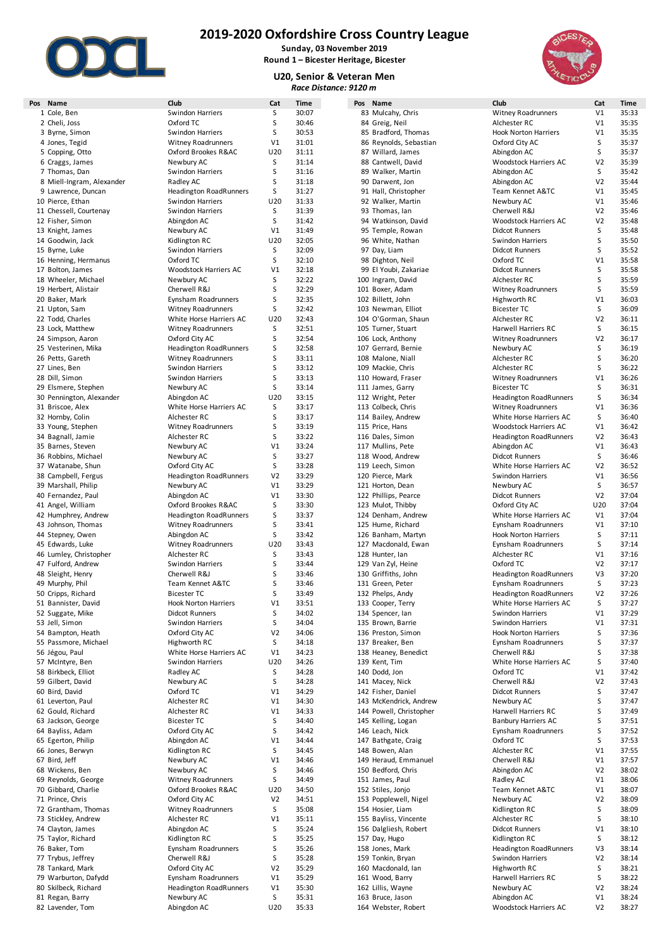

**Sunday, 03 November 2019 Round 1 – Bicester Heritage, Bicester**

**U20, Senior & Veteran Men**  $Race$  *Distance:* 



| Pos Name                  | Club                          | Cat            | Time  | Pos Name                | Club                          | Cat            |  |
|---------------------------|-------------------------------|----------------|-------|-------------------------|-------------------------------|----------------|--|
| 1 Cole, Ben               | Swindon Harriers              | S              | 30:07 | 83 Mulcahy, Chris       | Witney Roadrunners            | V1             |  |
| 2 Cheli, Joss             | Oxford TC                     | S              | 30:46 | 84 Greig, Neil          | Alchester RC                  | V1             |  |
|                           |                               | S              |       |                         | <b>Hook Norton Harriers</b>   | V1             |  |
| 3 Byrne, Simon            | Swindon Harriers              |                | 30:53 | 85 Bradford, Thomas     |                               |                |  |
| 4 Jones, Tegid            | <b>Witney Roadrunners</b>     | V1             | 31:01 | 86 Reynolds, Sebastian  | Oxford City AC                | S              |  |
| 5 Copping, Otto           | Oxford Brookes R&AC           | U20            | 31:11 | 87 Willard, James       | Abingdon AC                   | S              |  |
| 6 Craggs, James           | Newbury AC                    | S              | 31:14 | 88 Cantwell, David      | Woodstock Harriers AC         | V <sub>2</sub> |  |
| 7 Thomas, Dan             | Swindon Harriers              | S              | 31:16 | 89 Walker, Martin       | Abingdon AC                   | S              |  |
|                           |                               |                |       |                         |                               |                |  |
| 8 Miell-Ingram, Alexander | Radley AC                     | S              | 31:18 | 90 Darwent, Jon         | Abingdon AC                   | V <sub>2</sub> |  |
| 9 Lawrence, Duncan        | <b>Headington RoadRunners</b> | S              | 31:27 | 91 Hall, Christopher    | Team Kennet A&TC              | V1             |  |
| 10 Pierce, Ethan          | Swindon Harriers              | U20            | 31:33 | 92 Walker, Martin       | Newbury AC                    | V <sub>1</sub> |  |
| 11 Chessell, Courtenay    | Swindon Harriers              | S              | 31:39 | 93 Thomas, Ian          | Cherwell R&J                  | V <sub>2</sub> |  |
|                           |                               | S              | 31:42 |                         |                               | V <sub>2</sub> |  |
| 12 Fisher, Simon          | Abingdon AC                   |                |       | 94 Watkinson, David     | Woodstock Harriers AC         |                |  |
| 13 Knight, James          | Newbury AC                    | V1             | 31:49 | 95 Temple, Rowan        | <b>Didcot Runners</b>         | S              |  |
| 14 Goodwin, Jack          | Kidlington RC                 | U20            | 32:05 | 96 White, Nathan        | <b>Swindon Harriers</b>       | S              |  |
| 15 Byrne, Luke            | <b>Swindon Harriers</b>       | S              | 32:09 | 97 Day, Liam            | <b>Didcot Runners</b>         | S              |  |
| 16 Henning, Hermanus      | Oxford TC                     | S              | 32:10 | 98 Dighton, Neil        | Oxford TC                     | V1             |  |
|                           |                               | V1             |       |                         |                               |                |  |
| 17 Bolton, James          | Woodstock Harriers AC         |                | 32:18 | 99 El Youbi, Zakariae   | <b>Didcot Runners</b>         | S              |  |
| 18 Wheeler, Michael       | Newbury AC                    | S              | 32:22 | 100 Ingram, David       | Alchester RC                  | S              |  |
| 19 Herbert, Alistair      | Cherwell R&J                  | S              | 32:29 | 101 Boxer, Adam         | <b>Witney Roadrunners</b>     | S              |  |
| 20 Baker, Mark            | Eynsham Roadrunners           | S              | 32:35 | 102 Billett, John       | Highworth RC                  | V1             |  |
| 21 Upton, Sam             | <b>Witney Roadrunners</b>     | S              | 32:42 | 103 Newman, Elliot      | <b>Bicester TC</b>            | S              |  |
|                           |                               |                |       |                         |                               |                |  |
| 22 Todd, Charles          | White Horse Harriers AC       | U20            | 32:43 | 104 O'Gorman, Shaun     | Alchester RC                  | V <sub>2</sub> |  |
| 23 Lock, Matthew          | <b>Witney Roadrunners</b>     | S              | 32:51 | 105 Turner, Stuart      | Harwell Harriers RC           | S              |  |
| 24 Simpson, Aaron         | Oxford City AC                | S              | 32:54 | 106 Lock, Anthony       | <b>Witney Roadrunners</b>     | V <sub>2</sub> |  |
| 25 Vesterinen, Mika       | <b>Headington RoadRunners</b> | S              | 32:58 | 107 Gerrard, Bernie     | Newbury AC                    | S              |  |
| 26 Petts, Gareth          | <b>Witney Roadrunners</b>     | S              | 33:11 | 108 Malone, Niall       | Alchester RC                  | S              |  |
|                           |                               |                |       |                         |                               |                |  |
| 27 Lines, Ben             | Swindon Harriers              | S              | 33:12 | 109 Mackie, Chris       | Alchester RC                  | S              |  |
| 28 Dill, Simon            | Swindon Harriers              | S              | 33:13 | 110 Howard, Fraser      | <b>Witney Roadrunners</b>     | V1             |  |
| 29 Elsmere, Stephen       | Newbury AC                    | S              | 33:14 | 111 James, Garry        | <b>Bicester TC</b>            | S              |  |
| 30 Pennington, Alexander  | Abingdon AC                   | U20            | 33:15 | 112 Wright, Peter       | <b>Headington RoadRunners</b> | S              |  |
| 31 Briscoe, Alex          |                               | S              | 33:17 |                         | <b>Witney Roadrunners</b>     | V1             |  |
|                           | White Horse Harriers AC       |                |       | 113 Colbeck, Chris      |                               |                |  |
| 32 Hornby, Colin          | Alchester RC                  | S              | 33:17 | 114 Bailey, Andrew      | White Horse Harriers AC       | S              |  |
| 33 Young, Stephen         | <b>Witney Roadrunners</b>     | S              | 33:19 | 115 Price, Hans         | Woodstock Harriers AC         | V1             |  |
| 34 Bagnall, Jamie         | Alchester RC                  | S              | 33:22 | 116 Dales, Simon        | <b>Headington RoadRunners</b> | V <sub>2</sub> |  |
| 35 Barnes, Steven         | Newbury AC                    | V <sub>1</sub> | 33:24 | 117 Mullins, Pete       | Abingdon AC                   | V1             |  |
|                           |                               |                |       |                         |                               |                |  |
| 36 Robbins, Michael       | Newbury AC                    | S              | 33:27 | 118 Wood, Andrew        | <b>Didcot Runners</b>         | S              |  |
| 37 Watanabe, Shun         | Oxford City AC                | S              | 33:28 | 119 Leech, Simon        | White Horse Harriers AC       | V <sub>2</sub> |  |
| 38 Campbell, Fergus       | <b>Headington RoadRunners</b> | V <sub>2</sub> | 33:29 | 120 Pierce, Mark        | <b>Swindon Harriers</b>       | V1             |  |
| 39 Marshall, Philip       | Newbury AC                    | V1             | 33:29 | 121 Horton, Dean        | Newbury AC                    | S              |  |
| 40 Fernandez, Paul        | Abingdon AC                   | V1             | 33:30 | 122 Phillips, Pearce    | <b>Didcot Runners</b>         | V <sub>2</sub> |  |
|                           |                               |                |       |                         |                               |                |  |
| 41 Angel, William         | Oxford Brookes R&AC           | S              | 33:30 | 123 Mulot, Thibby       | Oxford City AC                | U20            |  |
| 42 Humphrey, Andrew       | <b>Headington RoadRunners</b> | S              | 33:37 | 124 Denham, Andrew      | White Horse Harriers AC       | V <sub>1</sub> |  |
| 43 Johnson, Thomas        | <b>Witney Roadrunners</b>     | S              | 33:41 | 125 Hume, Richard       | Eynsham Roadrunners           | V1             |  |
| 44 Stepney, Owen          | Abingdon AC                   | S              | 33:42 | 126 Banham, Martyn      | <b>Hook Norton Harriers</b>   | S              |  |
| 45 Edwards, Luke          | <b>Witney Roadrunners</b>     | U20            | 33:43 | 127 Macdonald, Ewan     | Eynsham Roadrunners           | S              |  |
|                           |                               |                |       |                         |                               |                |  |
| 46 Lumley, Christopher    | Alchester RC                  | S              | 33:43 | 128 Hunter, lan         | Alchester RC                  | V1             |  |
| 47 Fulford, Andrew        | Swindon Harriers              | S              | 33:44 | 129 Van Zyl, Heine      | Oxford TC                     | V <sub>2</sub> |  |
| 48 Sleight, Henry         | Cherwell R&J                  | S              | 33:46 | 130 Griffiths, John     | <b>Headington RoadRunners</b> | V3             |  |
| 49 Murphy, Phil           | Team Kennet A&TC              | S              | 33:46 | 131 Green, Peter        | Eynsham Roadrunners           | S              |  |
|                           |                               | S              |       |                         |                               | V <sub>2</sub> |  |
| 50 Cripps, Richard        | <b>Bicester TC</b>            |                | 33:49 | 132 Phelps, Andy        | <b>Headington RoadRunners</b> |                |  |
| 51 Bannister, David       | <b>Hook Norton Harriers</b>   | V1             | 33:51 | 133 Cooper, Terry       | White Horse Harriers AC       | S              |  |
| 52 Suggate, Mike          | <b>Didcot Runners</b>         | S              | 34:02 | 134 Spencer, lan        | Swindon Harriers              | V1             |  |
| 53 Jell, Simon            | Swindon Harriers              | S              | 34:04 | 135 Brown, Barrie       | Swindon Harriers              | V1             |  |
| 54 Bampton, Heath         | Oxford City AC                | V <sub>2</sub> | 34:06 | 136 Preston, Simon      | Hook Norton Harriers          | S              |  |
|                           |                               |                |       |                         |                               |                |  |
| 55 Passmore, Michael      | Highworth RC                  | S              | 34:18 | 137 Breaker, Ben        | Eynsham Roadrunners           | S              |  |
| 56 Jégou, Paul            | White Horse Harriers AC       | V1             | 34:23 | 138 Heaney, Benedict    | Cherwell R&J                  | S              |  |
| 57 McIntyre, Ben          | Swindon Harriers              | U20            | 34:26 | 139 Kent, Tim           | White Horse Harriers AC       | S              |  |
| 58 Birkbeck, Elliot       | Radley AC                     | S              | 34:28 | 140 Dodd, Jon           | Oxford TC                     | V1             |  |
| 59 Gilbert, David         | Newbury AC                    | S              | 34:28 | 141 Macey, Nick         | Cherwell R&J                  | V <sub>2</sub> |  |
|                           | Oxford TC                     | V1             | 34:29 |                         |                               | S              |  |
| 60 Bird, David            |                               |                |       | 142 Fisher, Daniel      | <b>Didcot Runners</b>         |                |  |
| 61 Leverton, Paul         | Alchester RC                  | V1             | 34:30 | 143 McKendrick, Andrew  | Newbury AC                    | S              |  |
| 62 Gould, Richard         | Alchester RC                  | V1             | 34:33 | 144 Powell, Christopher | Harwell Harriers RC           | S              |  |
| 63 Jackson, George        | <b>Bicester TC</b>            | S              | 34:40 | 145 Kelling, Logan      | <b>Banbury Harriers AC</b>    | S              |  |
| 64 Bayliss, Adam          | Oxford City AC                | S              | 34:42 | 146 Leach, Nick         | Eynsham Roadrunners           | S              |  |
| 65 Egerton, Philip        | Abingdon AC                   | V1             | 34:44 | 147 Bathgate, Craig     | Oxford TC                     | S              |  |
|                           |                               |                |       |                         |                               |                |  |
| 66 Jones, Berwyn          | Kidlington RC                 | S              | 34:45 | 148 Bowen, Alan         | Alchester RC                  | V1             |  |
| 67 Bird, Jeff             | Newbury AC                    | V1             | 34:46 | 149 Heraud, Emmanuel    | Cherwell R&J                  | V1             |  |
| 68 Wickens, Ben           | Newbury AC                    | S              | 34:46 | 150 Bedford, Chris      | Abingdon AC                   | V <sub>2</sub> |  |
| 69 Reynolds, George       | <b>Witney Roadrunners</b>     | S              | 34:49 | 151 James, Paul         | Radley AC                     | V1             |  |
| 70 Gibbard, Charlie       | Oxford Brookes R&AC           | U20            | 34:50 | 152 Stiles, Jonjo       | Team Kennet A&TC              | V1             |  |
|                           |                               |                |       |                         |                               |                |  |
| 71 Prince, Chris          | Oxford City AC                | V <sub>2</sub> | 34:51 | 153 Popplewell, Nigel   | Newbury AC                    | V <sub>2</sub> |  |
| 72 Grantham, Thomas       | Witney Roadrunners            | S              | 35:08 | 154 Hosier, Liam        | Kidlington RC                 | S              |  |
| 73 Stickley, Andrew       | Alchester RC                  | V <sub>1</sub> | 35:11 | 155 Bayliss, Vincente   | Alchester RC                  | S              |  |
| 74 Clayton, James         | Abingdon AC                   | S              | 35:24 | 156 Dalgliesh, Robert   | <b>Didcot Runners</b>         | V1             |  |
|                           |                               |                |       |                         |                               |                |  |
| 75 Taylor, Richard        | Kidlington RC                 | S              | 35:25 | 157 Day, Hugo           | Kidlington RC                 | S              |  |
| 76 Baker, Tom             | Eynsham Roadrunners           | S              | 35:26 | 158 Jones, Mark         | <b>Headington RoadRunners</b> | V3             |  |
| 77 Trybus, Jeffrey        | Cherwell R&J                  | S              | 35:28 | 159 Tonkin, Bryan       | Swindon Harriers              | V <sub>2</sub> |  |
| 78 Tankard, Mark          | Oxford City AC                | V <sub>2</sub> | 35:29 | 160 Macdonald, Ian      | Highworth RC                  | S              |  |
|                           |                               |                |       |                         |                               |                |  |
|                           | Eynsham Roadrunners           | V1             | 35:29 | 161 Wood, Barry         | Harwell Harriers RC           | S              |  |
| 79 Warburton, Dafydd      |                               |                |       |                         |                               |                |  |
| 80 Skilbeck, Richard      | <b>Headington RoadRunners</b> | V1             | 35:30 | 162 Lillis, Wayne       | Newbury AC                    | V <sub>2</sub> |  |
| 81 Regan, Barry           | Newbury AC                    | S              | 35:31 | 163 Bruce, Jason        | Abingdon AC                   | V1             |  |

|                              | Cat             | Τί                      |
|------------------------------|-----------------|-------------------------|
| don Harriers                 | S               | 3                       |
| rd TC                        | S               | $\overline{\mathbf{3}}$ |
| don Harriers                 | S               | 3                       |
| ey Roadrunners               | V1              | 3                       |
| rd Brookes R&AC              | U <sub>20</sub> | 3                       |
| bury AC                      | Ś               | 3                       |
| don Harriers                 | S<br>S          | 3                       |
| ey AC<br>lington RoadRunners | S               | 3<br>3                  |
| don Harriers                 | U20             | 3                       |
| don Harriers                 | S               | 3                       |
| gdon AC                      | S               | 3                       |
| bury AC                      | V <sub>1</sub>  | 3                       |
| ngton RC                     | U20             | 3.                      |
| don Harriers                 | S               | 3.                      |
| rd TC                        | S               | 3.                      |
| dstock Harriers AC           | V <sub>1</sub>  | 3.                      |
| bury AC                      | S               | 3.                      |
| well R&J                     | S               | 3.                      |
| ham Roadrunners              | S               | 3.                      |
| ey Roadrunners               | S               | 3.                      |
| e Horse Harriers AC          | U20             | 3.                      |
| ey Roadrunners               | S               | 3.                      |
| rd City AC                   | S               | 3.                      |
| lington RoadRunners          | S               | 3.                      |
| ey Roadrunners               | S               | 3.                      |
| don Harriers                 | S               | 3.                      |
| don Harriers                 | S               | 3.                      |
| bury AC                      | S               | 3.                      |
| gdon AC                      | U20             | 3.                      |
| e Horse Harriers AC          | S               | 3.                      |
| ester RC                     | S               | 3.                      |
| ey Roadrunners               | S               | 3.                      |
| ester RC                     | S               | 3.                      |
| bury AC                      | V <sub>1</sub>  | 3.                      |
| bury AC                      | S               | 3.                      |
| rd City AC                   | S               | 3.                      |
| lington RoadRunners          | V <sub>2</sub>  | 3.                      |
| bury AC                      | V <sub>1</sub>  | 3.                      |
| gdon AC                      | V <sub>1</sub>  | 3.                      |
| rd Brookes R&AC              | S               | 3.                      |
| lington RoadRunners          | S               | 3.                      |
| ey Roadrunners               | S               | 3.                      |
| gdon AC                      | S               | 3.                      |
| ey Roadrunners               | U20             | 3.                      |
| ester RC                     | S               | 3.                      |
| don Harriers                 | S               | 3.                      |
| well R&J                     | S               | 3.                      |
| ነ Kennet A&TC                | S               | 3.                      |
| ster TC                      | S               | 3.                      |
| Norton Harriers              | V <sub>1</sub>  | 3.                      |
| ot Runners                   | S               | 3,                      |
| don Harriers                 | S               | 3,                      |
| rd City AC                   | V <sub>2</sub>  | 3,                      |
| worth RC                     | S               | 3,                      |
| e Horse Harriers AC          | V1              | 3,                      |
| don Harriers                 | U20             | 3,                      |
| еу АС<br>bury AC             | S<br>S          | 3,<br>3,                |
|                              | V1              | 3,                      |
| rd TC                        | V <sub>1</sub>  | 3,                      |
| ester RC<br>ester RC         | V1              | 3,                      |
| ster TC                      | S               | 3,                      |
| rd City AC                   | S               | 3,                      |
| gdon AC                      | V1              | 3,                      |
|                              | S               | 3,                      |
| าgton RC<br>bury AC          | V <sub>1</sub>  | 3,                      |
|                              | S               | 3,                      |
| bury AC<br>ey Roadrunners    | S               | 3,                      |
| rd Brookes R&AC              | U20             | 3,                      |
| rd City AC                   | V <sub>2</sub>  | 3,                      |
| ey Roadrunners               | S               | 3!                      |
| ester RC                     | V <sub>1</sub>  | 3                       |
| gdon AC                      | S               | 3                       |
| าgton RC                     | S               | 3                       |
| ham Roadrunners              | S               | 3                       |
| well R&J                     | S               | 3!                      |
| rd City AC                   | V <sub>2</sub>  | 3                       |
| ham Roadrunners              | V <sub>1</sub>  | 3                       |
| lington RoadRunners          | V1              | 3                       |
| bury AC                      | S               | 3.                      |
|                              |                 |                         |

| 9120 m |                                           |
|--------|-------------------------------------------|
| Pos    | Name                                      |
|        | 83 Mulcahy, Chris                         |
|        | 84 Greig, Neil<br>85 Bradford, Thoma:     |
|        | 86 Reynolds, Sebasti                      |
|        | 87 Willard, James                         |
|        | 88 Cantwell, David                        |
|        | 89 Walker, Martin                         |
|        | 90 Darwent, Jon<br>91 Hall, Christopher   |
| 92     | Walker, Martin                            |
| 93     | Thomas, Ian                               |
| 94     | Watkinson, David                          |
|        | 95 Temple, Rowan                          |
| 96     | White, Nathan<br>97 Day, Liam             |
| 98     | Dighton, Neil                             |
|        | 99 El Youbi, Zakariae                     |
|        | 100 Ingram, David                         |
|        | 101 Boxer, Adam                           |
|        | 102 Billett, John<br>103 Newman, Elliot   |
|        | 104 O'Gorman, Shaur                       |
|        | 105 Turner, Stuart                        |
|        | 106 Lock, Anthony                         |
|        | 107 Gerrard, Bernie<br>108 Malone, Niall  |
|        |                                           |
|        | 109 Mackie, Chris<br>110 Howard, Fraser   |
|        | 111 James, Garry                          |
|        | 112 Wright, Peter                         |
|        | 113 Colbeck, Chris<br>114 Bailey, Andrew  |
|        | 115 Price, Hans                           |
|        | 116 Dales, Simon                          |
| 118    | 117 Mullins, Pete                         |
|        | Wood, Andrew<br>119 Leech, Simon          |
|        | 120 Pierce, Mark                          |
| 121    | Horton, Dean                              |
| 122    | Phillips, Pearce<br>123 Mulot, Thibby     |
|        | 124 Denham, Andrew                        |
|        | 125 Hume, Richard                         |
|        | 126 Banham, Martyn<br>127 Macdonald, Ewar |
|        | 128 Hunter, Ian                           |
|        | 129 Van Zyl, Heine                        |
|        | 130 Griffiths, John<br>131 Green, Peter   |
| 132    | Phelps, Andy                              |
|        | 133 Cooper, Terry                         |
| 134    | Spencer, Ian                              |
| 135    | Brown, Barrie<br>136 Preston, Simon       |
|        | 137 Breaker, Ben                          |
| 138    | Heaney, Benedict                          |
|        | 139 Kent, Tim                             |
| 141    | 140 Dodd, Jon<br>Macey, Nick              |
| 142    | Fisher, Daniel                            |
| 143    | McKendrick, Andr                          |
|        | 144 Powell, Christoph                     |
| 146    | 145 Kelling, Logan<br>Leach, Nick         |
|        | 147 Bathgate, Craig                       |
| 148    | Bowen, Alan                               |
|        | 149 Heraud, Emmanu<br>150 Bedford, Chris  |
| 151    | James, Paul                               |
| 152    | Stiles, Jonjo                             |
| 153    | Popplewell, Nigel                         |
| 154    | Hosier, Liam<br>155 Bayliss, Vincente     |
|        | 156 Dalgliesh, Robert                     |
|        | 157 Day, Hugo                             |
| 158    | Jones, Mark                               |
|        | 159 Tonkin, Bryan<br>160 Macdonald, Ian   |
| 161    | Wood, Barry                               |
|        | 162 Lillis, Wayne                         |
|        | 163 Bruce, Jason                          |

| :lub                                                   | Cat                  | Time           |
|--------------------------------------------------------|----------------------|----------------|
| <b>Nitney Roadrunners</b>                              | V1                   | 35:33          |
| Alchester RC<br>look Norton Harriers                   | V1<br>V1             | 35:35<br>35:35 |
| <b>Oxford City AC</b>                                  | S                    | 35:37          |
| Abingdon AC                                            | S                    | 35:37          |
| <b>Noodstock Harriers AC</b>                           | V <sub>2</sub>       | 35:39          |
| Abingdon AC<br>Abingdon AC                             | S<br>V <sub>2</sub>  | 35:42<br>35:44 |
| eam Kennet A&TC                                        | V1                   | 35:45          |
| <b>Jewbury AC</b>                                      | V <sub>1</sub>       | 35:46          |
| Cherwell R&J                                           | V <sub>2</sub>       | 35:46          |
| <b>Noodstock Harriers AC</b><br>Didcot Runners         | V2<br>S              | 35:48<br>35:48 |
| windon Harriers                                        | S                    | 35:50          |
| Didcot Runners                                         | S                    | 35:52          |
| Oxford TC                                              | V1                   | 35:58          |
| Didcot Runners<br><b>Nichester RC</b>                  | S<br>S               | 35:58<br>35:59 |
| <b>Nitney Roadrunners</b>                              | S                    | 35:59          |
| lighworth RC                                           | V <sub>1</sub>       | 36:03          |
| Bicester TC                                            | S                    | 36:09          |
| Alchester RC<br>larwell Harriers RC                    | V <sub>2</sub><br>S  | 36:11<br>36:15 |
| <b>Nitney Roadrunners</b>                              | V2                   | 36:17          |
| <b>Jewbury AC</b>                                      | S                    | 36:19          |
| Alchester RC                                           | S                    | 36:20          |
| Alchester RC                                           | S                    | 36:22          |
| <b>Nitney Roadrunners</b><br>Bicester TC               | V1<br>S              | 36:26<br>36:31 |
| leadington RoadRunners                                 | S                    | 36:34          |
| <b>Nitney Roadrunners</b>                              | V1                   | 36:36          |
| <b>White Horse Harriers AC</b>                         | S                    | 36:40          |
| <b>Noodstock Harriers AC</b><br>leadington RoadRunners | V1<br>V <sub>2</sub> | 36:42<br>36:43 |
| Abingdon AC                                            | V1                   | 36:43          |
| Didcot Runners                                         | S                    | 36:46          |
| <b>Nhite Horse Harriers AC</b>                         | V <sub>2</sub>       | 36:52          |
| windon Harriers                                        | V1<br>S              | 36:56<br>36:57 |
| <b>Jewbury AC</b><br>Didcot Runners                    | V <sub>2</sub>       | 37:04          |
| <b>Dxford City AC</b>                                  | U20                  | 37:04          |
| <b>White Horse Harriers AC</b>                         | V1                   | 37:04          |
| ynsham Roadrunners                                     | V1                   | 37:10          |
| look Norton Harriers<br>ynsham Roadrunners             | S<br>S               | 37:11<br>37:14 |
| Alchester RC                                           | V1                   | 37:16          |
| <b>Dxford TC</b>                                       | V <sub>2</sub>       | 37:17          |
| leadington RoadRunners                                 | V3                   | 37:20          |
| ynsham Roadrunners<br>leadington RoadRunners           | S<br>V <sub>2</sub>  | 37:23<br>37:26 |
| <b>Nhite Horse Harriers AC</b>                         | S                    | 37:27          |
| windon Harriers                                        | V <sub>1</sub>       | 37:29          |
| windon Harriers                                        | V1                   | 37:31          |
| look Norton Harriers<br>ynsham Roadrunners             | S<br>S               | 37:36<br>37:37 |
| Cherwell R&J                                           | S                    | 37:38          |
| <b>White Horse Harriers AC</b>                         | S                    | 37:40          |
| <b>Dxford TC</b>                                       | V1                   | 37:42          |
| herwell R&J<br>Didcot Runners                          | V2<br>S              | 37:43<br>37:47 |
| <b>Jewbury AC</b>                                      | S                    | 37:47          |
| larwell Harriers RC                                    | S                    | 37:49          |
| <b>Banbury Harriers AC</b>                             | S                    | 37:51          |
| ynsham Roadrunners<br><b>Dxford TC</b>                 | S<br>S               | 37:52          |
| Alchester RC                                           | V1                   | 37:53<br>37:55 |
| herwell R&J                                            | V1                   | 37:57          |
| Abingdon AC                                            | V <sub>2</sub>       | 38:02          |
| adley AC                                               | V1                   | 38:06          |
| eam Kennet A&TC<br><b>Jewbury AC</b>                   | V1<br>V <sub>2</sub> | 38:07<br>38:09 |
| Gidlington RC                                          | S                    | 38:09          |
| <b>Nichester RC</b>                                    | S                    | 38:10          |
| Didcot Runners                                         | V1                   | 38:10          |
| Gidlington RC                                          | S<br>V3              | 38:12          |
| leadington RoadRunners<br>windon Harriers              | V <sub>2</sub>       | 38:14<br>38:14 |
| lighworth RC                                           | S                    | 38:21          |
| larwell Harriers RC                                    | S                    | 38:22          |
| <b>Jewbury AC</b>                                      | V <sub>2</sub>       | 38:24          |
| Abingdon AC<br><b>Noodstock Harriers AC</b>            | V1<br>V <sub>2</sub> | 38:24<br>38:27 |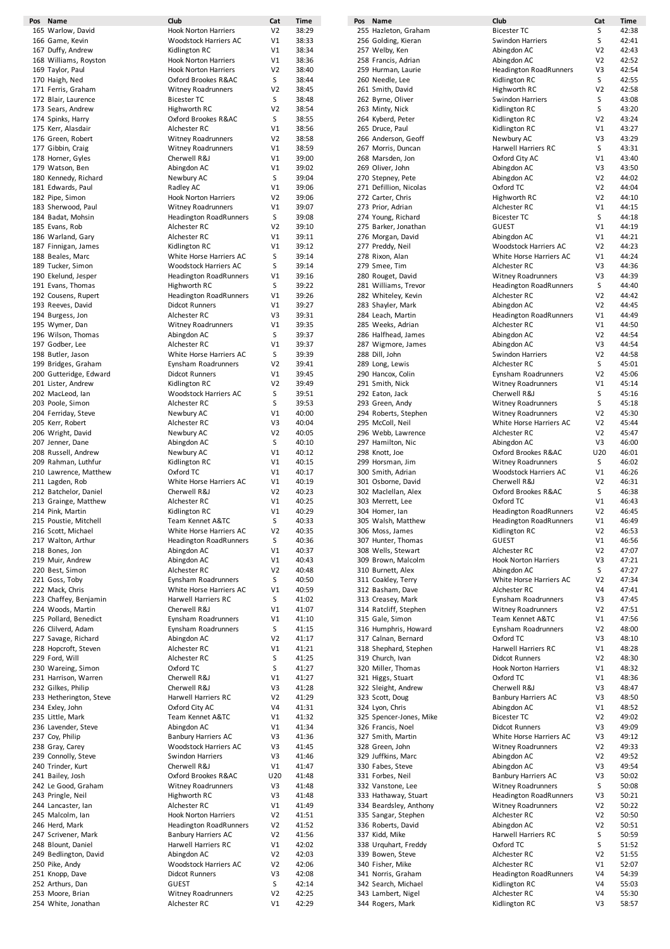| Pos Name                | Club                          | Cat            | Time  | Pos Name                | Club                          | Cat            | Time  |
|-------------------------|-------------------------------|----------------|-------|-------------------------|-------------------------------|----------------|-------|
| 165 Warlow, David       | <b>Hook Norton Harriers</b>   | V <sub>2</sub> | 38:29 | 255 Hazleton, Graham    | <b>Bicester TC</b>            | S              | 42:38 |
| 166 Game, Kevin         | Woodstock Harriers AC         | V1             | 38:33 | 256 Golding, Kieran     | <b>Swindon Harriers</b>       | S              | 42:41 |
| 167 Duffy, Andrew       | Kidlington RC                 | V1             | 38:34 | 257 Welby, Ken          | Abingdon AC                   | V2             | 42:43 |
| 168 Williams, Royston   | <b>Hook Norton Harriers</b>   | V1             | 38:36 | 258 Francis, Adrian     | Abingdon AC                   | V <sub>2</sub> | 42:52 |
| 169 Taylor, Paul        | <b>Hook Norton Harriers</b>   | V <sub>2</sub> | 38:40 | 259 Hurman, Laurie      | <b>Headington RoadRunners</b> | V3             | 42:54 |
| 170 Haigh, Ned          | Oxford Brookes R&AC           | S              | 38:44 | 260 Needle, Lee         | Kidlington RC                 | S              | 42:55 |
| 171 Ferris, Graham      | <b>Witney Roadrunners</b>     | V <sub>2</sub> | 38:45 | 261 Smith, David        | Highworth RC                  | V <sub>2</sub> | 42:58 |
| 172 Blair, Laurence     | <b>Bicester TC</b>            | S              | 38:48 | 262 Byrne, Oliver       | Swindon Harriers              | S              | 43:08 |
| 173 Sears, Andrew       | Highworth RC                  | V <sub>2</sub> | 38:54 | 263 Minty, Nick         | Kidlington RC                 | S              | 43:20 |
| 174 Spinks, Harry       | Oxford Brookes R&AC           | S              | 38:55 | 264 Kyberd, Peter       | Kidlington RC                 | V <sub>2</sub> | 43:24 |
| 175 Kerr, Alasdair      | Alchester RC                  | V1             | 38:56 | 265 Druce, Paul         | Kidlington RC                 | V1             | 43:27 |
| 176 Green, Robert       | <b>Witney Roadrunners</b>     | V <sub>2</sub> | 38:58 | 266 Anderson, Geoff     | Newbury AC                    | V3             | 43:29 |
| 177 Gibbin, Craig       | <b>Witney Roadrunners</b>     | V1             | 38:59 | 267 Morris, Duncan      | Harwell Harriers RC           | S              | 43:31 |
| 178 Horner, Gyles       | Cherwell R&J                  | V1             | 39:00 | 268 Marsden, Jon        | Oxford City AC                | V1             | 43:40 |
| 179 Watson, Ben         | Abingdon AC                   | V <sub>1</sub> | 39:02 | 269 Oliver, John        | Abingdon AC                   | V3             | 43:50 |
| 180 Kennedy, Richard    | Newbury AC                    | S              | 39:04 | 270 Stepney, Pete       | Abingdon AC                   | V <sub>2</sub> | 44:02 |
| 181 Edwards, Paul       | Radley AC                     | V1             | 39:06 | 271 Defillion, Nicolas  | Oxford TC                     | V <sub>2</sub> | 44:04 |
| 182 Pipe, Simon         | <b>Hook Norton Harriers</b>   | V <sub>2</sub> | 39:06 | 272 Carter, Chris       | Highworth RC                  | V <sub>2</sub> | 44:10 |
| 183 Sherwood, Paul      | <b>Witney Roadrunners</b>     | V1             | 39:07 | 273 Prior, Adrian       | Alchester RC                  | V1             | 44:15 |
| 184 Badat, Mohsin       | <b>Headington RoadRunners</b> | S              | 39:08 | 274 Young, Richard      | <b>Bicester TC</b>            | S              | 44:18 |
| 185 Evans, Rob          | Alchester RC                  | V <sub>2</sub> | 39:10 | 275 Barker, Jonathan    | <b>GUEST</b>                  | V1             | 44:19 |
| 186 Warland, Gary       | Alchester RC                  | V1             | 39:11 | 276 Morgan, David       | Abingdon AC                   | V1             | 44:21 |
| 187 Finnigan, James     | Kidlington RC                 | V1             | 39:12 | 277 Preddy, Neil        | <b>Woodstock Harriers AC</b>  | V <sub>2</sub> | 44:23 |
| 188 Beales, Marc        | White Horse Harriers AC       | S              | 39:14 | 278 Rixon, Alan         | White Horse Harriers AC       | V1             | 44:24 |
| 189 Tucker, Simon       | Woodstock Harriers AC         | S              | 39:14 | 279 Smee, Tim           | Alchester RC                  | V3             | 44:36 |
| 190 Ekelund, Jesper     | <b>Headington RoadRunners</b> | V1             | 39:16 | 280 Rouget, David       | <b>Witney Roadrunners</b>     | V3             | 44:39 |
| 191 Evans, Thomas       | Highworth RC                  | S              | 39:22 | 281 Williams, Trevor    | <b>Headington RoadRunners</b> | S              | 44:40 |
| 192 Cousens, Rupert     | <b>Headington RoadRunners</b> | V1             | 39:26 | 282 Whiteley, Kevin     | Alchester RC                  | V <sub>2</sub> | 44:42 |
| 193 Reeves, David       | <b>Didcot Runners</b>         | V1             | 39:27 | 283 Shayler, Mark       | Abingdon AC                   | V <sub>2</sub> | 44:45 |
| 194 Burgess, Jon        | Alchester RC                  | V3             | 39:31 | 284 Leach, Martin       | <b>Headington RoadRunners</b> | V <sub>1</sub> | 44:49 |
| 195 Wymer, Dan          | <b>Witney Roadrunners</b>     | V1             | 39:35 | 285 Weeks, Adrian       | Alchester RC                  | V1             | 44:50 |
| 196 Wilson, Thomas      | Abingdon AC                   | S              | 39:37 | 286 Halfhead, James     | Abingdon AC                   | V <sub>2</sub> | 44:54 |
| 197 Godber, Lee         | Alchester RC                  | V1             | 39:37 | 287 Wigmore, James      | Abingdon AC                   | V3             | 44:54 |
| 198 Butler, Jason       | White Horse Harriers AC       | S              | 39:39 | 288 Dill, John          | Swindon Harriers              | V <sub>2</sub> | 44:58 |
| 199 Bridges, Graham     | Eynsham Roadrunners           | V <sub>2</sub> | 39:41 | 289 Long, Lewis         | Alchester RC                  | S              | 45:01 |
| 200 Gutteridge, Edward  | <b>Didcot Runners</b>         | V1             | 39:45 | 290 Hancox, Colin       | Eynsham Roadrunners           | V <sub>2</sub> | 45:06 |
| 201 Lister, Andrew      | Kidlington RC                 | V <sub>2</sub> | 39:49 | 291 Smith, Nick         | <b>Witney Roadrunners</b>     | V1             | 45:14 |
| 202 MacLeod, lan        | Woodstock Harriers AC         | S              | 39:51 | 292 Eaton, Jack         | Cherwell R&J                  | S              | 45:16 |
| 203 Poole, Simon        | Alchester RC                  | S              | 39:53 | 293 Green, Andy         | <b>Witney Roadrunners</b>     | S              | 45:18 |
| 204 Ferriday, Steve     | Newbury AC                    | V <sub>1</sub> | 40:00 | 294 Roberts, Stephen    | <b>Witney Roadrunners</b>     | V <sub>2</sub> | 45:30 |
| 205 Kerr, Robert        | Alchester RC                  | V3             | 40:04 | 295 McColl, Neil        | White Horse Harriers AC       | V <sub>2</sub> | 45:44 |
| 206 Wright, David       | Newbury AC                    | V <sub>2</sub> | 40:05 | 296 Webb, Lawrence      | Alchester RC                  | V <sub>2</sub> | 45:47 |
| 207 Jenner, Dane        | Abingdon AC                   | S              | 40:10 | 297 Hamilton, Nic       | Abingdon AC                   | V3             | 46:00 |
| 208 Russell, Andrew     | Newbury AC                    | V1             | 40:12 | 298 Knott, Joe          | Oxford Brookes R&AC           | U20            | 46:01 |
| 209 Rahman, Luthfur     | Kidlington RC                 | V <sub>1</sub> | 40:15 | 299 Horsman, Jim        | <b>Witney Roadrunners</b>     | S              | 46:02 |
| 210 Lawrence, Matthew   | Oxford TC                     | V1             | 40:17 | 300 Smith, Adrian       | <b>Woodstock Harriers AC</b>  | V1             | 46:26 |
| 211 Lagden, Rob         | White Horse Harriers AC       | V1             | 40:19 | 301 Osborne, David      | Cherwell R&J                  | V <sub>2</sub> | 46:31 |
| 212 Batchelor, Daniel   | Cherwell R&J                  | V <sub>2</sub> | 40:23 | 302 Maclellan, Alex     | Oxford Brookes R&AC           | S              | 46:38 |
| 213 Grainge, Matthew    | Alchester RC                  | V1             | 40:25 | 303 Merrett, Lee        | Oxford TC                     | V <sub>1</sub> | 46:43 |
| 214 Pink, Martin        | Kidlington RC                 | V <sub>1</sub> | 40:29 | 304 Homer, lan          | <b>Headington RoadRunners</b> | V <sub>2</sub> | 46:45 |
| 215 Poustie, Mitchell   | Team Kennet A&TC              | S              | 40:33 | 305 Walsh, Matthew      | <b>Headington RoadRunners</b> | V1             | 46:49 |
| 216 Scott, Michael      | White Horse Harriers AC       | V <sub>2</sub> | 40:35 | 306 Moss, James         | Kidlington RC                 | V <sub>2</sub> | 46:53 |
| 217 Walton, Arthur      | <b>Headington RoadRunners</b> | S              | 40:36 | 307 Hunter, Thomas      | <b>GUEST</b>                  | V1             | 46:56 |
| 218 Bones, Jon          | Abingdon AC                   | V1             | 40:37 | 308 Wells, Stewart      | Alchester RC                  | V <sub>2</sub> | 47:07 |
| 219 Muir, Andrew        | Abingdon AC                   | V1             | 40:43 | 309 Brown, Malcolm      | <b>Hook Norton Harriers</b>   | V3             | 47:21 |
| 220 Best, Simon         | Alchester RC                  | V <sub>2</sub> | 40:48 | 310 Burnett, Alex       | Abingdon AC                   | S              | 47:27 |
| 221 Goss, Toby          | Eynsham Roadrunners           | S              | 40:50 | 311 Coakley, Terry      | White Horse Harriers AC       | V <sub>2</sub> | 47:34 |
| 222 Mack, Chris         | White Horse Harriers AC       | V1             | 40:59 | 312 Basham, Dave        | Alchester RC                  | V <sub>4</sub> | 47:41 |
| 223 Chaffey, Benjamin   | Harwell Harriers RC           | S              | 41:02 | 313 Creasey, Mark       | Eynsham Roadrunners           | V3             | 47:45 |
| 224 Woods, Martin       | Cherwell R&J                  | V1             | 41:07 | 314 Ratcliff, Stephen   | <b>Witney Roadrunners</b>     | V <sub>2</sub> | 47:51 |
| 225 Pollard, Benedict   | Eynsham Roadrunners           | V1             | 41:10 | 315 Gale, Simon         | Team Kennet A&TC              | V1             | 47:56 |
| 226 Clilverd, Adam      | Eynsham Roadrunners           | S              | 41:15 | 316 Humphris, Howard    | Eynsham Roadrunners           | V <sub>2</sub> | 48:00 |
| 227 Savage, Richard     | Abingdon AC                   | V <sub>2</sub> | 41:17 | 317 Calnan, Bernard     | Oxford TC                     | V3             | 48:10 |
| 228 Hopcroft, Steven    | Alchester RC                  | V1             | 41:21 | 318 Shephard, Stephen   | Harwell Harriers RC           | V1             | 48:28 |
| 229 Ford, Will          | Alchester RC                  | S              | 41:25 | 319 Church, Ivan        | <b>Didcot Runners</b>         | V <sub>2</sub> | 48:30 |
| 230 Wareing, Simon      | Oxford TC                     | S              | 41:27 | 320 Miller, Thomas      | Hook Norton Harriers          | V1             | 48:32 |
| 231 Harrison, Warren    | Cherwell R&J                  | V1             | 41:27 | 321 Higgs, Stuart       | Oxford TC                     | V1             | 48:36 |
| 232 Gilkes, Philip      | Cherwell R&J                  | V3             | 41:28 | 322 Sleight, Andrew     | Cherwell R&J                  | V3             | 48:47 |
| 233 Hetherington, Steve | Harwell Harriers RC           | V <sub>2</sub> | 41:29 | 323 Scott, Doug         | <b>Banbury Harriers AC</b>    | V3             | 48:50 |
| 234 Exley, John         | Oxford City AC                | V4             | 41:31 | 324 Lyon, Chris         | Abingdon AC                   | V1             | 48:52 |
| 235 Little, Mark        | Team Kennet A&TC              | V1             | 41:32 | 325 Spencer-Jones, Mike | <b>Bicester TC</b>            | V <sub>2</sub> | 49:02 |
| 236 Lavender, Steve     | Abingdon AC                   | V1             | 41:34 | 326 Francis, Noel       | <b>Didcot Runners</b>         | V3             | 49:09 |
| 237 Coy, Philip         | <b>Banbury Harriers AC</b>    | V3             | 41:36 | 327 Smith, Martin       | White Horse Harriers AC       | V3             | 49:12 |
| 238 Gray, Carey         | Woodstock Harriers AC         | V3             | 41:45 | 328 Green, John         | <b>Witney Roadrunners</b>     | V <sub>2</sub> | 49:33 |
| 239 Connolly, Steve     | Swindon Harriers              | V3             | 41:46 | 329 Juffkins, Marc      | Abingdon AC                   | V <sub>2</sub> | 49:52 |
| 240 Trinder, Kurt       | Cherwell R&J                  | V1             | 41:47 | 330 Fabes, Steve        | Abingdon AC                   | V3             | 49:54 |
| 241 Bailey, Josh        | Oxford Brookes R&AC           | U20            | 41:48 | 331 Forbes, Neil        | <b>Banbury Harriers AC</b>    | V3             | 50:02 |
| 242 Le Good, Graham     | <b>Witney Roadrunners</b>     | V3             | 41:48 | 332 Vanstone, Lee       | Witney Roadrunners            | S              | 50:08 |
| 243 Pringle, Neil       | Highworth RC                  | V3             | 41:48 | 333 Hathaway, Stuart    | <b>Headington RoadRunners</b> | V3             | 50:21 |
| 244 Lancaster, lan      | Alchester RC                  | V1             | 41:49 | 334 Beardsley, Anthony  | <b>Witney Roadrunners</b>     | V <sub>2</sub> | 50:22 |
| 245 Malcolm, Ian        | <b>Hook Norton Harriers</b>   | V <sub>2</sub> | 41:51 | 335 Sangar, Stephen     | Alchester RC                  | V <sub>2</sub> | 50:50 |
| 246 Herd, Mark          | <b>Headington RoadRunners</b> | V <sub>2</sub> | 41:52 | 336 Roberts, David      | Abingdon AC                   | V <sub>2</sub> | 50:51 |
| 247 Scrivener, Mark     | <b>Banbury Harriers AC</b>    | V <sub>2</sub> | 41:56 | 337 Kidd, Mike          | Harwell Harriers RC           | S              | 50:59 |
| 248 Blount, Daniel      | Harwell Harriers RC           | V1             | 42:02 | 338 Urquhart, Freddy    | Oxford TC                     | S              | 51:52 |
| 249 Bedlington, David   | Abingdon AC                   | V <sub>2</sub> | 42:03 | 339 Bowen, Steve        | Alchester RC                  | V <sub>2</sub> | 51:55 |
| 250 Pike, Andy          | Woodstock Harriers AC         | V <sub>2</sub> | 42:06 | 340 Fisher, Mike        | Alchester RC                  | V1             | 52:07 |
| 251 Knopp, Dave         | <b>Didcot Runners</b>         | V3             | 42:08 | 341 Norris, Graham      | <b>Headington RoadRunners</b> | V <sub>4</sub> | 54:39 |
| 252 Arthurs, Dan        | <b>GUEST</b>                  | S              | 42:14 | 342 Search, Michael     | Kidlington RC                 | V <sub>4</sub> | 55:03 |
| 253 Moore, Brian        | Witney Roadrunners            | V <sub>2</sub> | 42:25 | 343 Lambert, Nigel      | Alchester RC                  | V <sub>4</sub> | 55:30 |
| 254 White, Jonathan     | Alchester RC                  | V1             | 42:29 | 344 Rogers, Mark        | Kidlington RC                 | V3             | 58:57 |

| . . |       |                         |                               |
|-----|-------|-------------------------|-------------------------------|
| /2  | 38:29 | 255 Hazleton, Graham    | <b>Bicester TC</b>            |
| /1  | 38:33 | 256 Golding, Kieran     | <b>Swindon Harriers</b>       |
| /1  | 38:34 | 257 Welby, Ken          | Abingdon AC                   |
| /1  | 38:36 | 258 Francis, Adrian     | Abingdon AC                   |
| /2  | 38:40 | 259 Hurman, Laurie      | <b>Headington RoadRunners</b> |
| S   | 38:44 |                         |                               |
|     |       | 260 Needle, Lee         | Kidlington RC                 |
| /2  | 38:45 | 261 Smith, David        | Highworth RC                  |
| S   | 38:48 | 262 Byrne, Oliver       | <b>Swindon Harriers</b>       |
| /2  | 38:54 | 263 Minty, Nick         | Kidlington RC                 |
| s   | 38:55 | 264 Kyberd, Peter       | Kidlington RC                 |
| /1  | 38:56 | 265 Druce, Paul         | Kidlington RC                 |
| /2  | 38:58 | 266 Anderson, Geoff     | Newbury AC                    |
| /1  | 38:59 | 267 Morris, Duncan      | Harwell Harriers RC           |
| /1  | 39:00 | 268 Marsden, Jon        | Oxford City AC                |
| /1  | 39:02 | 269 Oliver, John        | Abingdon AC                   |
| S   | 39:04 | 270 Stepney, Pete       | Abingdon AC                   |
|     |       |                         | Oxford TC                     |
| /1  | 39:06 | 271 Defillion, Nicolas  |                               |
| /2  | 39:06 | 272 Carter, Chris       | Highworth RC                  |
| /1  | 39:07 | 273 Prior, Adrian       | Alchester RC                  |
| S   | 39:08 | 274 Young, Richard      | <b>Bicester TC</b>            |
| /2  | 39:10 | 275 Barker, Jonathan    | <b>GUEST</b>                  |
| /1  | 39:11 | 276 Morgan, David       | Abingdon AC                   |
| /1  | 39:12 | 277 Preddy, Neil        | <b>Woodstock Harriers AC</b>  |
| S   | 39:14 | 278 Rixon, Alan         | White Horse Harriers AC       |
| S   | 39:14 | 279 Smee, Tim           | Alchester RC                  |
| /1  | 39:16 | 280 Rouget, David       | Witney Roadrunners            |
| S   | 39:22 | 281 Williams, Trevor    | <b>Headington RoadRunners</b> |
|     |       |                         |                               |
| /1  | 39:26 | 282 Whiteley, Kevin     | Alchester RC                  |
| /1  | 39:27 | 283 Shayler, Mark       | Abingdon AC                   |
| /3  | 39:31 | 284 Leach, Martin       | <b>Headington RoadRunners</b> |
| /1  | 39:35 | 285 Weeks, Adrian       | Alchester RC                  |
| S   | 39:37 | 286 Halfhead, James     | Abingdon AC                   |
| /1  | 39:37 | 287 Wigmore, James      | Abingdon AC                   |
| S   | 39:39 | 288 Dill, John          | <b>Swindon Harriers</b>       |
| /2  | 39:41 | 289 Long, Lewis         | Alchester RC                  |
| /1  | 39:45 | 290 Hancox, Colin       | Eynsham Roadrunners           |
|     | 39:49 |                         |                               |
| /2  |       | 291 Smith, Nick         | Witney Roadrunners            |
| S   | 39:51 | 292 Eaton, Jack         | Cherwell R&J                  |
| S   | 39:53 | 293 Green, Andy         | Witney Roadrunners            |
| /1  | 40:00 | 294 Roberts, Stephen    | Witney Roadrunners            |
| /3  | 40:04 | 295 McColl, Neil        | White Horse Harriers AC       |
| /2  | 40:05 | 296 Webb, Lawrence      | Alchester RC                  |
| S   | 40:10 | 297 Hamilton, Nic       | Abingdon AC                   |
| /1  | 40:12 | 298 Knott, Joe          | Oxford Brookes R&AC           |
| /1  | 40:15 | 299 Horsman, Jim        | Witney Roadrunners            |
| /1  | 40:17 | 300 Smith, Adrian       | Woodstock Harriers AC         |
| /1  | 40:19 | 301 Osborne, David      | Cherwell R&J                  |
|     | 40:23 | 302 Maclellan, Alex     | Oxford Brookes R&AC           |
| /2  |       |                         |                               |
| /1  | 40:25 | 303 Merrett, Lee        | Oxford TC                     |
| /1  | 40:29 | 304 Homer, lan          | <b>Headington RoadRunners</b> |
| S   | 40:33 | 305 Walsh, Matthew      | <b>Headington RoadRunners</b> |
| /2  | 40:35 | 306 Moss, James         | Kidlington RC                 |
| S   | 40:36 | 307 Hunter, Thomas      | <b>GUEST</b>                  |
| /1  | 40:37 | 308 Wells, Stewart      | Alchester RC                  |
| /1  | 40:43 | 309 Brown, Malcolm      | <b>Hook Norton Harriers</b>   |
| /2  | 40:48 | 310 Burnett, Alex       | Abingdon AC                   |
| S   | 40:50 | 311 Coakley, Terry      | White Horse Harriers AC       |
| /1  | 40:59 | 312 Basham, Dave        | Alchester RC                  |
| s   | 41:02 | 313 Creasey, Mark       | Eynsham Roadrunners           |
|     |       |                         |                               |
| /1  | 41:07 | 314 Ratcliff, Stephen   | Witney Roadrunners            |
| /1  | 41:10 | 315 Gale, Simon         | Team Kennet A&TC              |
| S   | 41:15 | 316 Humphris, Howard    | Eynsham Roadrunners           |
| /2  | 41:17 | 317 Calnan, Bernard     | Oxford TC                     |
| /1  | 41:21 | 318 Shephard, Stephen   | Harwell Harriers RC           |
| S   | 41:25 | 319 Church, Ivan        | <b>Didcot Runners</b>         |
| S   | 41:27 | 320 Miller, Thomas      | <b>Hook Norton Harriers</b>   |
| /1  | 41:27 | 321 Higgs, Stuart       | Oxford TC                     |
| /3  | 41:28 | 322 Sleight, Andrew     | Cherwell R&J                  |
| /2  | 41:29 | 323 Scott, Doug         | <b>Banbury Harriers AC</b>    |
| /4  | 41:31 | 324 Lyon, Chris         | Abingdon AC                   |
| /1  | 41:32 | 325 Spencer-Jones, Mike | <b>Bicester TC</b>            |
| /1  | 41:34 | 326 Francis, Noel       | <b>Didcot Runners</b>         |
|     |       |                         |                               |
| /3  | 41:36 | 327 Smith, Martin       | White Horse Harriers AC       |
| /3  | 41:45 | 328 Green, John         | Witney Roadrunners            |
| /3  | 41:46 | 329 Juffkins, Marc      | Abingdon AC                   |
| /1  | 41:47 | 330 Fabes, Steve        | Abingdon AC                   |
| 20  | 41:48 | 331 Forbes, Neil        | <b>Banbury Harriers AC</b>    |
| /3  | 41:48 | 332 Vanstone, Lee       | <b>Witney Roadrunners</b>     |
| /3  | 41:48 | 333 Hathaway, Stuart    | <b>Headington RoadRunners</b> |
| /1  | 41:49 | 334 Beardsley, Anthony  | Witney Roadrunners            |
| /2  | 41:51 | 335 Sangar, Stephen     | Alchester RC                  |
| /2  | 41:52 | 336 Roberts, David      | Abingdon AC                   |
|     |       |                         |                               |
| /2  | 41:56 | 337 Kidd, Mike          | Harwell Harriers RC           |
| /1  | 42:02 | 338 Urquhart, Freddy    | Oxford TC                     |
| /2  | 42:03 | 339 Bowen, Steve        | Alchester RC                  |
| /2  | 42:06 | 340 Fisher, Mike        | Alchester RC                  |
| /3  | 42:08 | 341 Norris, Graham      | <b>Headington RoadRunners</b> |
| S   | 42:14 | 342 Search, Michael     | Kidlington RC                 |
| /2  | 42:25 | 343 Lambert, Nigel      | Alchester RC                  |
|     |       |                         |                               |

| at | Time  | Pos Name                | Club                          | Cat            | <b>Time</b> |
|----|-------|-------------------------|-------------------------------|----------------|-------------|
| /2 | 38:29 | 255 Hazleton, Graham    | <b>Bicester TC</b>            | s              | 42:38       |
| /1 | 38:33 | 256 Golding, Kieran     | <b>Swindon Harriers</b>       | S              | 42:41       |
| /1 | 38:34 | 257 Welby, Ken          | Abingdon AC                   | V <sub>2</sub> | 42:43       |
|    | 38:36 | 258 Francis, Adrian     | Abingdon AC                   | V <sub>2</sub> | 42:52       |
| /1 |       |                         |                               |                |             |
| /2 | 38:40 | 259 Hurman, Laurie      | <b>Headington RoadRunners</b> | V3             | 42:54       |
| S  | 38:44 | 260 Needle, Lee         | Kidlington RC                 | S              | 42:55       |
| /2 | 38:45 | 261 Smith, David        | Highworth RC                  | V <sub>2</sub> | 42:58       |
| S  | 38:48 | 262 Byrne, Oliver       | Swindon Harriers              | S              | 43:08       |
| /2 | 38:54 | 263 Minty, Nick         | Kidlington RC                 | S              | 43:20       |
| S  | 38:55 | 264 Kyberd, Peter       | Kidlington RC                 | V <sub>2</sub> | 43:24       |
| /1 | 38:56 | 265 Druce, Paul         | Kidlington RC                 | V1             | 43:27       |
| /2 | 38:58 | 266 Anderson, Geoff     | Newbury AC                    | V3             | 43:29       |
|    |       |                         |                               |                |             |
| /1 | 38:59 | 267 Morris, Duncan      | Harwell Harriers RC           | s              | 43:31       |
| /1 | 39:00 | 268 Marsden, Jon        | Oxford City AC                | V1             | 43:40       |
| /1 | 39:02 | 269 Oliver, John        | Abingdon AC                   | V3             | 43:50       |
| S  | 39:04 | 270 Stepney, Pete       | Abingdon AC                   | V <sub>2</sub> | 44:02       |
| /1 | 39:06 | 271 Defillion, Nicolas  | Oxford TC                     | V <sub>2</sub> | 44:04       |
| /2 | 39:06 | 272 Carter, Chris       | Highworth RC                  | V <sub>2</sub> | 44:10       |
| /1 | 39:07 | 273 Prior, Adrian       | Alchester RC                  | V1             | 44:15       |
|    |       |                         |                               |                |             |
| s  | 39:08 | 274 Young, Richard      | <b>Bicester TC</b>            | S              | 44:18       |
| /2 | 39:10 | 275 Barker, Jonathan    | GUEST                         | V1             | 44:19       |
| /1 | 39:11 | 276 Morgan, David       | Abingdon AC                   | V1             | 44:21       |
| /1 | 39:12 | 277 Preddy, Neil        | Woodstock Harriers AC         | V <sub>2</sub> | 44:23       |
| S  | 39:14 | 278 Rixon, Alan         | White Horse Harriers AC       | V1             | 44:24       |
| S  | 39:14 | 279 Smee, Tim           | Alchester RC                  | V3             | 44:36       |
| /1 | 39:16 | 280 Rouget, David       | <b>Witney Roadrunners</b>     | V3             | 44:39       |
| S  | 39:22 | 281 Williams, Trevor    |                               | s              | 44:40       |
|    |       |                         | <b>Headington RoadRunners</b> |                |             |
| /1 | 39:26 | 282 Whiteley, Kevin     | Alchester RC                  | V <sub>2</sub> | 44:42       |
| /1 | 39:27 | 283 Shayler, Mark       | Abingdon AC                   | V <sub>2</sub> | 44:45       |
| /3 | 39:31 | 284 Leach, Martin       | <b>Headington RoadRunners</b> | V1             | 44:49       |
| /1 | 39:35 | 285 Weeks, Adrian       | Alchester RC                  | V <sub>1</sub> | 44:50       |
| S  | 39:37 | 286 Halfhead, James     | Abingdon AC                   | V <sub>2</sub> | 44:54       |
| /1 | 39:37 | 287 Wigmore, James      | Abingdon AC                   | V3             | 44:54       |
|    |       |                         |                               |                |             |
| S  | 39:39 | 288 Dill, John          | Swindon Harriers              | V <sub>2</sub> | 44:58       |
| /2 | 39:41 | 289 Long, Lewis         | Alchester RC                  | S              | 45:01       |
| /1 | 39:45 | 290 Hancox, Colin       | Eynsham Roadrunners           | V <sub>2</sub> | 45:06       |
| /2 | 39:49 | 291 Smith, Nick         | <b>Witney Roadrunners</b>     | V1             | 45:14       |
| S  | 39:51 | 292 Eaton, Jack         | Cherwell R&J                  | S              | 45:16       |
| S  | 39:53 | 293 Green, Andy         | <b>Witney Roadrunners</b>     | S              | 45:18       |
| /1 | 40:00 | 294 Roberts, Stephen    | <b>Witney Roadrunners</b>     | V2             | 45:30       |
|    |       |                         |                               |                |             |
| /3 | 40:04 | 295 McColl, Neil        | White Horse Harriers AC       | V <sub>2</sub> | 45:44       |
| /2 | 40:05 | 296 Webb, Lawrence      | Alchester RC                  | V <sub>2</sub> | 45:47       |
| S  | 40:10 | 297 Hamilton, Nic       | Abingdon AC                   | V3             | 46:00       |
| /1 | 40:12 | 298 Knott, Joe          | Oxford Brookes R&AC           | U20            | 46:01       |
| /1 | 40:15 | 299 Horsman, Jim        | <b>Witney Roadrunners</b>     | S              | 46:02       |
| /1 | 40:17 | 300 Smith, Adrian       | <b>Woodstock Harriers AC</b>  | V1             | 46:26       |
| /1 | 40:19 | 301 Osborne, David      | Cherwell R&J                  | V <sub>2</sub> | 46:31       |
|    |       |                         |                               |                |             |
| /2 | 40:23 | 302 Maclellan, Alex     | Oxford Brookes R&AC           | S              | 46:38       |
| /1 | 40:25 | 303 Merrett, Lee        | Oxford TC                     | V1             | 46:43       |
| /1 | 40:29 | 304 Homer, lan          | <b>Headington RoadRunners</b> | V <sub>2</sub> | 46:45       |
| s  | 40:33 | 305 Walsh, Matthew      | <b>Headington RoadRunners</b> | V1             | 46:49       |
| /2 | 40:35 | 306 Moss, James         | Kidlington RC                 | V <sub>2</sub> | 46:53       |
| s  | 40:36 | 307 Hunter, Thomas      | <b>GUEST</b>                  | V1             | 46:56       |
| /1 | 40:37 | 308 Wells, Stewart      | Alchester RC                  | V <sub>2</sub> | 47:07       |
|    |       | 309 Brown, Malcolm      | <b>Hook Norton Harriers</b>   | V3             | 47:21       |
| /1 | 40:43 |                         |                               |                |             |
| /2 | 40:48 | 310 Burnett, Alex       | Abingdon AC                   | S              | 47:27       |
| s  | 40:50 | 311 Coakley, Terry      | White Horse Harriers AC       | V <sub>2</sub> | 47:34       |
| /1 | 40:59 | 312 Basham, Dave        | Alchester RC                  | V4             | 47:41       |
| S  | 41:02 | 313 Creasey, Mark       | Eynsham Roadrunners           | V3             | 47:45       |
| /1 | 41:07 | 314 Ratcliff, Stephen   | Witney Roadrunners            | V2             | 47:51       |
| /1 | 41:10 | 315 Gale, Simon         | Team Kennet A&TC              | V1             | 47:56       |
| s  | 41:15 | 316 Humphris, Howard    | Eynsham Roadrunners           | V <sub>2</sub> | 48:00       |
| /2 | 41:17 | 317 Calnan, Bernard     | Oxford TC                     | V3             | 48:10       |
|    |       | 318 Shephard, Stephen   | Harwell Harriers RC           |                | 48:28       |
| /1 | 41:21 |                         |                               | V1             |             |
| S  | 41:25 | 319 Church, Ivan        | <b>Didcot Runners</b>         | V <sub>2</sub> | 48:30       |
| S  | 41:27 | 320 Miller, Thomas      | <b>Hook Norton Harriers</b>   | V1             | 48:32       |
| /1 | 41:27 | 321 Higgs, Stuart       | Oxford TC                     | V1             | 48:36       |
| /3 | 41:28 | 322 Sleight, Andrew     | Cherwell R&J                  | V3             | 48:47       |
| /2 | 41:29 | 323 Scott, Doug         | <b>Banbury Harriers AC</b>    | V3             | 48:50       |
| /4 | 41:31 | 324 Lyon, Chris         | Abingdon AC                   | V1             | 48:52       |
| /1 | 41:32 | 325 Spencer-Jones, Mike | <b>Bicester TC</b>            | V <sub>2</sub> | 49:02       |
|    |       |                         |                               |                |             |
| /1 | 41:34 | 326 Francis, Noel       | <b>Didcot Runners</b>         | V3             | 49:09       |
| /3 | 41:36 | 327 Smith, Martin       | White Horse Harriers AC       | V3             | 49:12       |
| /3 | 41:45 | 328 Green, John         | Witney Roadrunners            | V <sub>2</sub> | 49:33       |
| /3 | 41:46 | 329 Juffkins, Marc      | Abingdon AC                   | V <sub>2</sub> | 49:52       |
| /1 | 41:47 | 330 Fabes, Steve        | Abingdon AC                   | V3             | 49:54       |
| 20 | 41:48 | 331 Forbes, Neil        | <b>Banbury Harriers AC</b>    | V3             | 50:02       |
| /3 | 41:48 | 332 Vanstone, Lee       | Witney Roadrunners            | S              | 50:08       |
| /3 | 41:48 | 333 Hathaway, Stuart    | <b>Headington RoadRunners</b> | V3             | 50:21       |
|    |       |                         |                               |                |             |
| /1 | 41:49 | 334 Beardsley, Anthony  | Witney Roadrunners            | V2             | 50:22       |
| /2 | 41:51 | 335 Sangar, Stephen     | Alchester RC                  | V <sub>2</sub> | 50:50       |
| /2 | 41:52 | 336 Roberts, David      | Abingdon AC                   | V <sub>2</sub> | 50:51       |
| /2 | 41:56 | 337 Kidd, Mike          | Harwell Harriers RC           | S              | 50:59       |
| /1 | 42:02 | 338 Urquhart, Freddy    | Oxford TC                     | S              | 51:52       |
| /2 | 42:03 | 339 Bowen, Steve        | Alchester RC                  | V <sub>2</sub> | 51:55       |
| /2 | 42:06 | 340 Fisher, Mike        | Alchester RC                  | V1             | 52:07       |
| /3 | 42:08 | 341 Norris, Graham      | <b>Headington RoadRunners</b> | V <sub>4</sub> | 54:39       |
| S  |       | 342 Search, Michael     | Kidlington RC                 | V4             |             |
|    | 42:14 |                         |                               |                | 55:03       |
| /2 | 42:25 | 343 Lambert, Nigel      | Alchester RC                  | V4             | 55:30       |
| /1 | 42:29 | 344 Rogers, Mark        | Kidlington RC                 | V3             | 58:57       |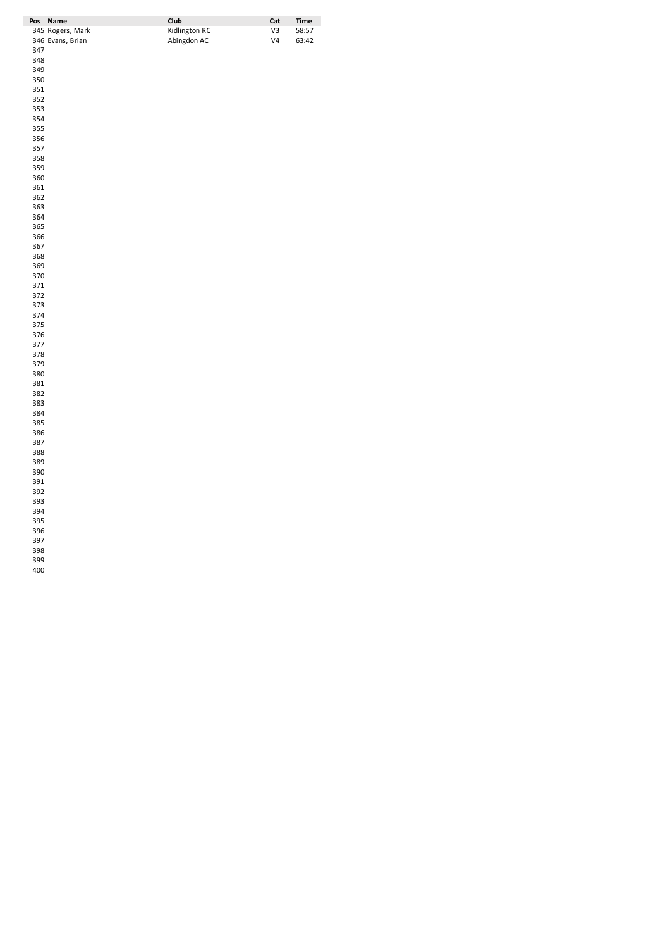| Pos        | Name             | Club          | Cat            | <b>Time</b> |
|------------|------------------|---------------|----------------|-------------|
|            | 345 Rogers, Mark | Kidlington RC | V3             | 58:57       |
|            | 346 Evans, Brian | Abingdon AC   | V <sub>4</sub> | 63:42       |
| 347        |                  |               |                |             |
| 348        |                  |               |                |             |
| 349        |                  |               |                |             |
| 350        |                  |               |                |             |
| 351        |                  |               |                |             |
| 352        |                  |               |                |             |
| 353        |                  |               |                |             |
| 354        |                  |               |                |             |
| 355        |                  |               |                |             |
| 356        |                  |               |                |             |
| 357        |                  |               |                |             |
| 358        |                  |               |                |             |
| 359        |                  |               |                |             |
| 360        |                  |               |                |             |
| 361        |                  |               |                |             |
| 362        |                  |               |                |             |
| 363        |                  |               |                |             |
| 364        |                  |               |                |             |
| 365        |                  |               |                |             |
| 366        |                  |               |                |             |
| 367        |                  |               |                |             |
| 368        |                  |               |                |             |
| 369        |                  |               |                |             |
| 370        |                  |               |                |             |
| 371        |                  |               |                |             |
| 372        |                  |               |                |             |
| 373        |                  |               |                |             |
| 374        |                  |               |                |             |
| 375        |                  |               |                |             |
| 376        |                  |               |                |             |
| 377        |                  |               |                |             |
| 378        |                  |               |                |             |
| 379<br>380 |                  |               |                |             |
| 381        |                  |               |                |             |
| 382        |                  |               |                |             |
| 383        |                  |               |                |             |
| 384        |                  |               |                |             |
| 385        |                  |               |                |             |
| 386        |                  |               |                |             |
| 387        |                  |               |                |             |
| 388        |                  |               |                |             |
| 389        |                  |               |                |             |
| 390        |                  |               |                |             |
| 391        |                  |               |                |             |
| 392        |                  |               |                |             |
| 393        |                  |               |                |             |
| 394        |                  |               |                |             |
| 395        |                  |               |                |             |
| 396        |                  |               |                |             |